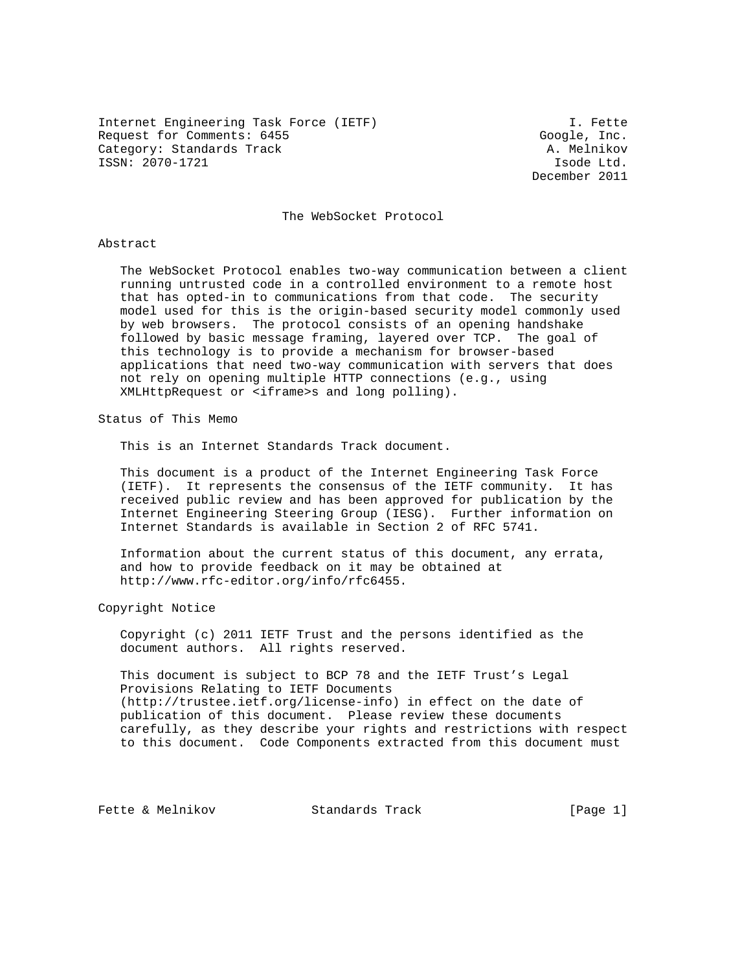Internet Engineering Task Force (IETF) I. Fette Request for Comments: 6455 Google, Inc. Category: Standards Track A. Melnikov ISSN: 2070-1721 Isode Ltd.

December 2011

#### The WebSocket Protocol

#### Abstract

 The WebSocket Protocol enables two-way communication between a client running untrusted code in a controlled environment to a remote host that has opted-in to communications from that code. The security model used for this is the origin-based security model commonly used by web browsers. The protocol consists of an opening handshake followed by basic message framing, layered over TCP. The goal of this technology is to provide a mechanism for browser-based applications that need two-way communication with servers that does not rely on opening multiple HTTP connections (e.g., using XMLHttpRequest or <iframe>s and long polling).

Status of This Memo

This is an Internet Standards Track document.

 This document is a product of the Internet Engineering Task Force (IETF). It represents the consensus of the IETF community. It has received public review and has been approved for publication by the Internet Engineering Steering Group (IESG). Further information on Internet Standards is available in Section 2 of RFC 5741.

 Information about the current status of this document, any errata, and how to provide feedback on it may be obtained at http://www.rfc-editor.org/info/rfc6455.

Copyright Notice

 Copyright (c) 2011 IETF Trust and the persons identified as the document authors. All rights reserved.

 This document is subject to BCP 78 and the IETF Trust's Legal Provisions Relating to IETF Documents (http://trustee.ietf.org/license-info) in effect on the date of publication of this document. Please review these documents carefully, as they describe your rights and restrictions with respect to this document. Code Components extracted from this document must

Fette & Melnikov Standards Track [Page 1]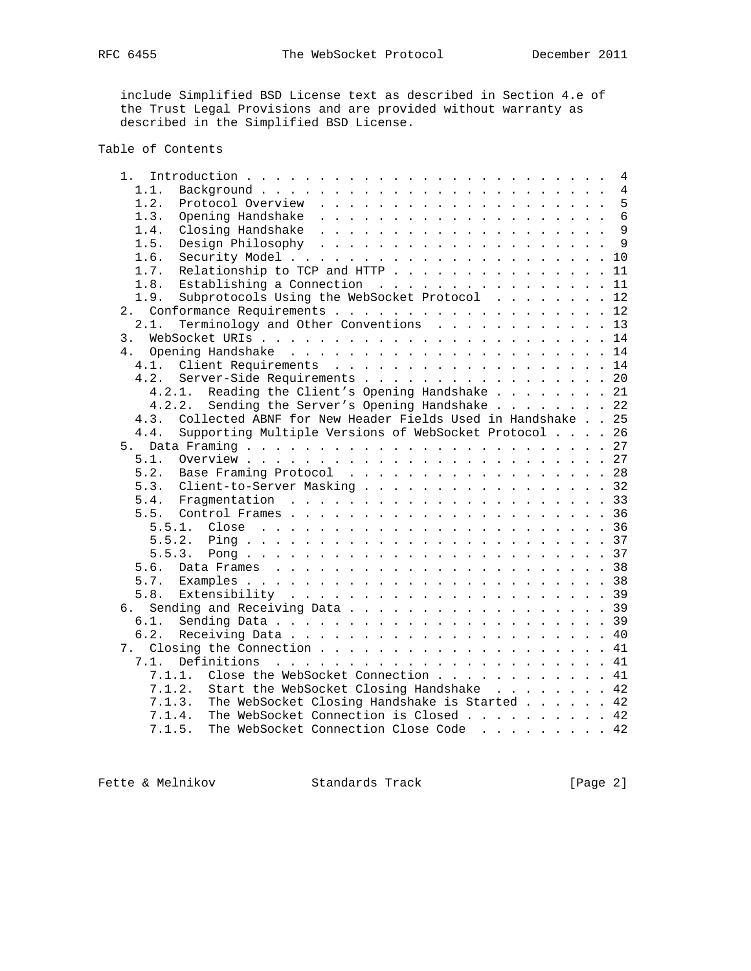include Simplified BSD License text as described in Section 4.e of the Trust Legal Provisions and are provided without warranty as described in the Simplified BSD License.

# Table of Contents

| 1.   | Introduction $\cdots$ , $\cdots$ , $\cdots$ , $\cdots$ , $\cdots$ , $\cdots$ , $\cdots$ , $\cdots$ , $\cdots$ , $\cdots$ | 4               |
|------|--------------------------------------------------------------------------------------------------------------------------|-----------------|
| 1.1. |                                                                                                                          | 4               |
| 1.2. |                                                                                                                          | 5               |
| 1.3. |                                                                                                                          | $6\phantom{1}6$ |
| 1.4. |                                                                                                                          | 9               |
| 1.5. |                                                                                                                          | 9               |
| 1.6. |                                                                                                                          |                 |
| 1.7. | Relationship to TCP and HTTP                                                                                             | 11              |
| 1.8. | Establishing a Connection                                                                                                | 11              |
| 1.9. | Subprotocols Using the WebSocket Protocol                                                                                | 12              |
| 2.   |                                                                                                                          | 12              |
| 2.1. | Terminology and Other Conventions                                                                                        | 13              |
| 3.   |                                                                                                                          | 14              |
| 4.   |                                                                                                                          |                 |
| 4.1. |                                                                                                                          | 14              |
| 4.2. | Server-Side Requirements                                                                                                 | 20              |
|      | Reading the Client's Opening Handshake<br>4.2.1.                                                                         | 21              |
|      | Sending the Server's Opening Handshake<br>4.2.2.                                                                         | 22              |
| 4.3. | Collected ABNF for New Header Fields Used in Handshake 25                                                                |                 |
| 4.4. | Supporting Multiple Versions of WebSocket Protocol 26                                                                    |                 |
| 5.   |                                                                                                                          | 27              |
| 5.1. |                                                                                                                          |                 |
|      |                                                                                                                          | 28              |
| 5.2. | Base Framing Protocol                                                                                                    |                 |
| 5.3. | Client-to-Server Masking                                                                                                 | 32              |
| 5.4. |                                                                                                                          | 33              |
| 5.5. |                                                                                                                          | 36              |
|      | 5.5.1.                                                                                                                   |                 |
|      | 5.5.2.                                                                                                                   |                 |
|      | 5.5.3.                                                                                                                   | 37              |
| 5.6. |                                                                                                                          | 38              |
| 5.7. |                                                                                                                          | 38              |
| 5.8. |                                                                                                                          |                 |
| б.   |                                                                                                                          | 39              |
| 6.1. |                                                                                                                          | 39              |
| 6.2. |                                                                                                                          | 40              |
| 7.   |                                                                                                                          | 41              |
| 7.1. | Definitions                                                                                                              | 41              |
|      | Close the WebSocket Connection<br>7.1.1.                                                                                 | 41              |
|      | Start the WebSocket Closing Handshake<br>7.1.2.                                                                          | 42              |
|      | The WebSocket Closing Handshake is Started 42<br>7.1.3.                                                                  |                 |
|      | The WebSocket Connection is Closed 42<br>7.1.4.                                                                          |                 |
|      | The WebSocket Connection Close Code 42<br>7.1.5.                                                                         |                 |
|      |                                                                                                                          |                 |

Fette & Melnikov Standards Track [Page 2]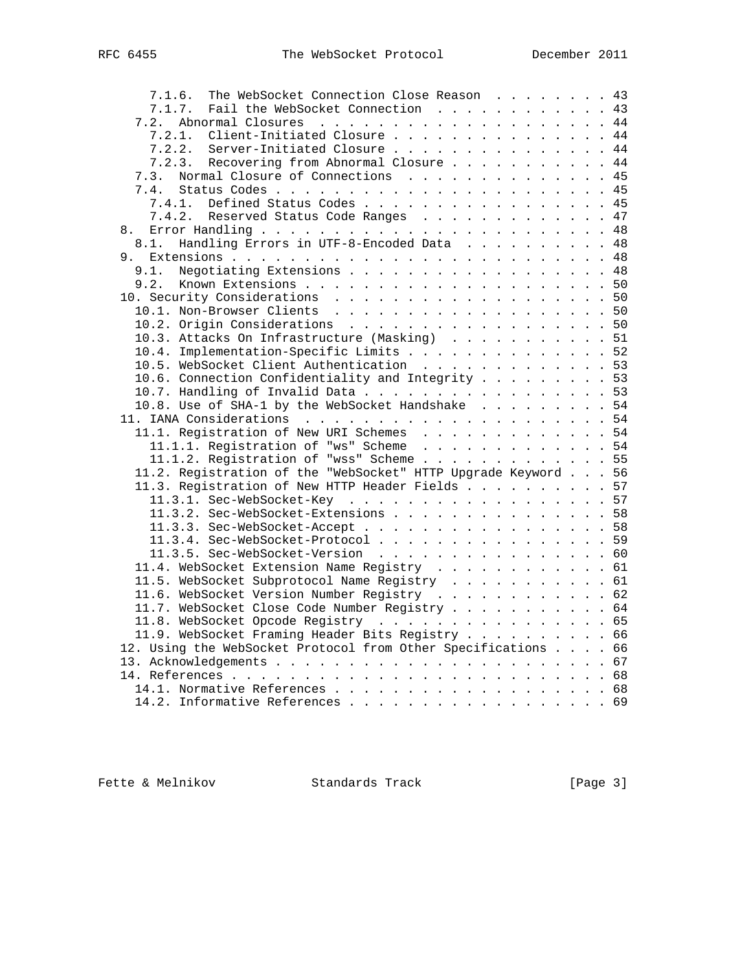| The WebSocket Connection Close Reason 43<br>7.1.6.            |    |
|---------------------------------------------------------------|----|
| Fail the WebSocket Connection 43<br>7.1.7.                    |    |
| 7.2.                                                          |    |
| Client-Initiated Closure 44<br>7.2.1.                         |    |
| 7.2.2. Server-Initiated Closure 44                            |    |
| 7.2.3. Recovering from Abnormal Closure 44                    |    |
| Normal Closure of Connections<br>7.3.                         | 45 |
| 7.4.                                                          |    |
| 7.4.1. Defined Status Codes 45                                |    |
| Reserved Status Code Ranges 47<br>7.4.2.                      |    |
| 8.                                                            |    |
| Handling Errors in UTF-8-Encoded Data 48<br>8.1.              |    |
|                                                               |    |
| Negotiating Extensions 48<br>9.1.                             |    |
|                                                               |    |
| 9.2.                                                          |    |
|                                                               |    |
| 10.1. Non-Browser Clients 50                                  |    |
| 10.2. Origin Considerations 50                                |    |
| 10.3. Attacks On Infrastructure (Masking) 51                  |    |
| 10.4. Implementation-Specific Limits 52                       |    |
| 10.5. WebSocket Client Authentication 53                      |    |
| 10.6. Connection Confidentiality and Integrity 53             |    |
| 10.7. Handling of Invalid Data 53                             |    |
| 10.8. Use of SHA-1 by the WebSocket Handshake 54              |    |
|                                                               |    |
| 11.1. Registration of New URI Schemes 54                      |    |
| 11.1.1. Registration of "ws" Scheme 54                        |    |
| 11.1.2. Registration of "wss" Scheme 55                       |    |
| 11.2. Registration of the "WebSocket" HTTP Upgrade Keyword 56 |    |
| 11.3. Registration of New HTTP Header Fields 57               |    |
| 11.3.1. Sec-WebSocket-Key 57                                  |    |
| 11.3.2. Sec-WebSocket-Extensions 58                           |    |
|                                                               |    |
| 11.3.3. Sec-WebSocket-Accept 58                               |    |
| 11.3.4. Sec-WebSocket-Protocol 59                             |    |
| 11.3.5. Sec-WebSocket-Version 60                              |    |
| 11.4. WebSocket Extension Name Registry 61                    |    |
| 11.5. WebSocket Subprotocol Name Registry 61                  |    |
| 11.6. WebSocket Version Number Registry 62                    |    |
| 11.7. WebSocket Close Code Number Registry 64                 |    |
| 11.8. WebSocket Opcode Registry 65                            |    |
| 11.9. WebSocket Framing Header Bits Registry 66               |    |
| 12. Using the WebSocket Protocol from Other Specifications 66 |    |
|                                                               |    |
|                                                               |    |
|                                                               |    |
|                                                               |    |
| 14.2. Informative References 69                               |    |

Fette & Melnikov Standards Track [Page 3]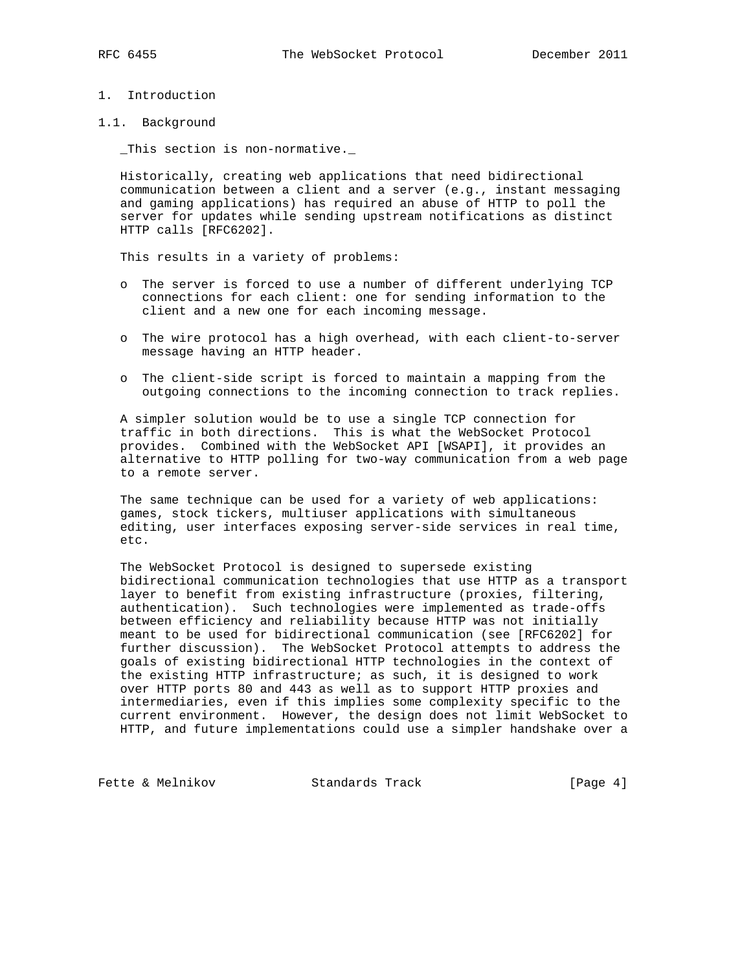## 1. Introduction

1.1. Background

\_This section is non-normative.\_

 Historically, creating web applications that need bidirectional communication between a client and a server (e.g., instant messaging and gaming applications) has required an abuse of HTTP to poll the server for updates while sending upstream notifications as distinct HTTP calls [RFC6202].

This results in a variety of problems:

- o The server is forced to use a number of different underlying TCP connections for each client: one for sending information to the client and a new one for each incoming message.
- o The wire protocol has a high overhead, with each client-to-server message having an HTTP header.
- o The client-side script is forced to maintain a mapping from the outgoing connections to the incoming connection to track replies.

 A simpler solution would be to use a single TCP connection for traffic in both directions. This is what the WebSocket Protocol provides. Combined with the WebSocket API [WSAPI], it provides an alternative to HTTP polling for two-way communication from a web page to a remote server.

 The same technique can be used for a variety of web applications: games, stock tickers, multiuser applications with simultaneous editing, user interfaces exposing server-side services in real time, etc.

 The WebSocket Protocol is designed to supersede existing bidirectional communication technologies that use HTTP as a transport layer to benefit from existing infrastructure (proxies, filtering, authentication). Such technologies were implemented as trade-offs between efficiency and reliability because HTTP was not initially meant to be used for bidirectional communication (see [RFC6202] for further discussion). The WebSocket Protocol attempts to address the goals of existing bidirectional HTTP technologies in the context of the existing HTTP infrastructure; as such, it is designed to work over HTTP ports 80 and 443 as well as to support HTTP proxies and intermediaries, even if this implies some complexity specific to the current environment. However, the design does not limit WebSocket to HTTP, and future implementations could use a simpler handshake over a

Fette & Melnikov Standards Track [Page 4]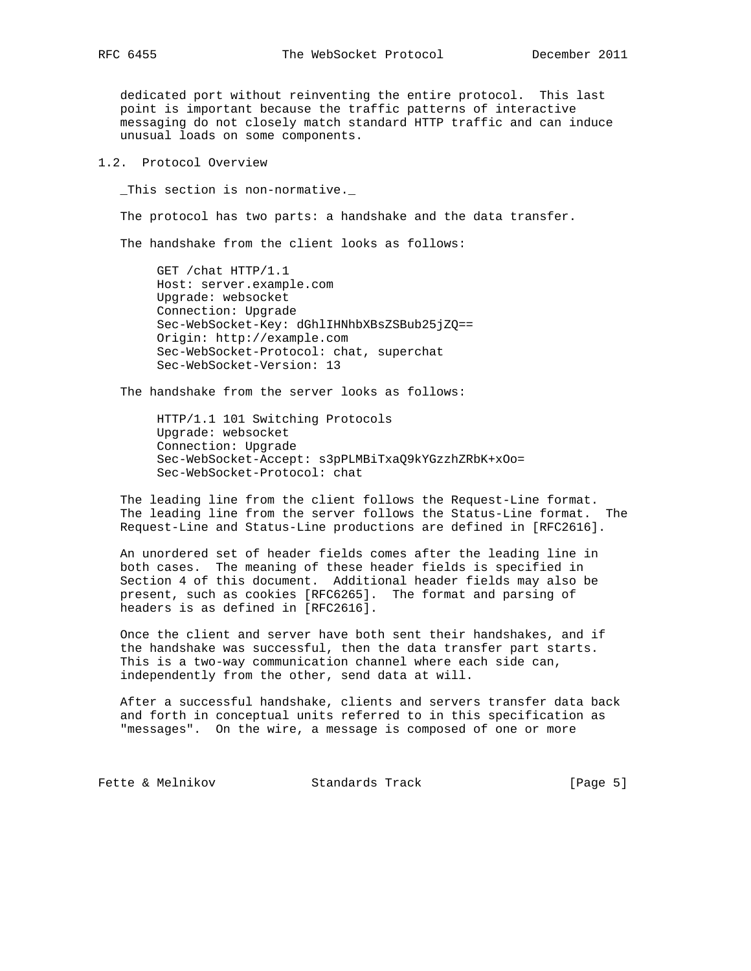dedicated port without reinventing the entire protocol. This last point is important because the traffic patterns of interactive messaging do not closely match standard HTTP traffic and can induce unusual loads on some components.

# 1.2. Protocol Overview

\_This section is non-normative.\_

The protocol has two parts: a handshake and the data transfer.

The handshake from the client looks as follows:

 GET /chat HTTP/1.1 Host: server.example.com Upgrade: websocket Connection: Upgrade Sec-WebSocket-Key: dGhlIHNhbXBsZSBub25jZQ== Origin: http://example.com Sec-WebSocket-Protocol: chat, superchat Sec-WebSocket-Version: 13

The handshake from the server looks as follows:

 HTTP/1.1 101 Switching Protocols Upgrade: websocket Connection: Upgrade Sec-WebSocket-Accept: s3pPLMBiTxaQ9kYGzzhZRbK+xOo= Sec-WebSocket-Protocol: chat

 The leading line from the client follows the Request-Line format. The leading line from the server follows the Status-Line format. The Request-Line and Status-Line productions are defined in [RFC2616].

 An unordered set of header fields comes after the leading line in both cases. The meaning of these header fields is specified in Section 4 of this document. Additional header fields may also be present, such as cookies [RFC6265]. The format and parsing of headers is as defined in [RFC2616].

 Once the client and server have both sent their handshakes, and if the handshake was successful, then the data transfer part starts. This is a two-way communication channel where each side can, independently from the other, send data at will.

 After a successful handshake, clients and servers transfer data back and forth in conceptual units referred to in this specification as "messages". On the wire, a message is composed of one or more

Fette & Melnikov Standards Track [Page 5]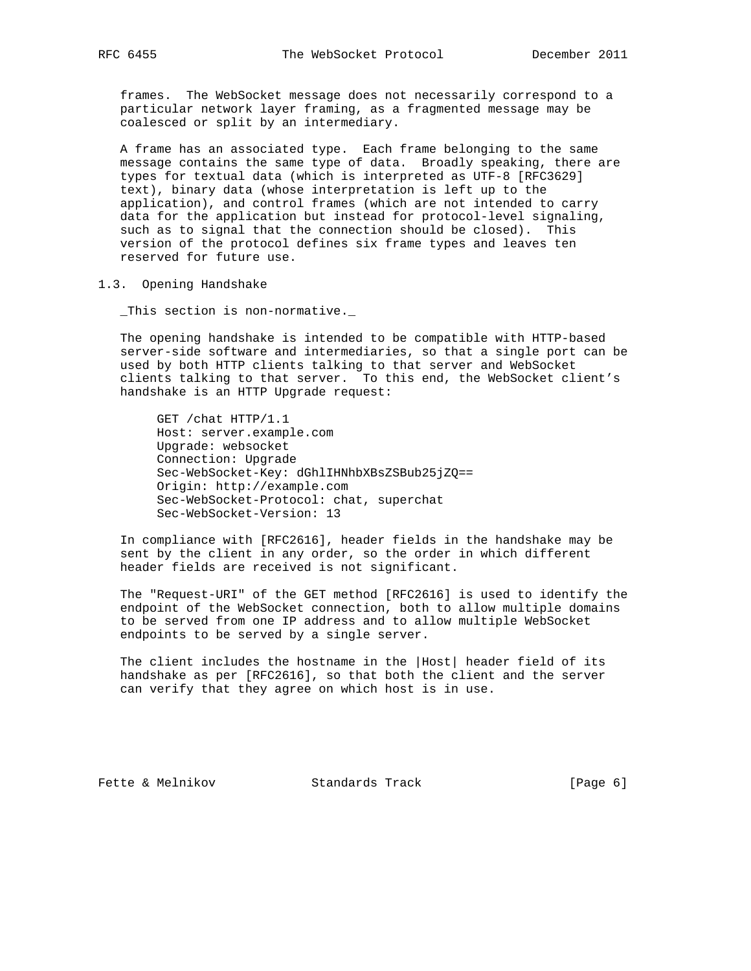frames. The WebSocket message does not necessarily correspond to a particular network layer framing, as a fragmented message may be coalesced or split by an intermediary.

 A frame has an associated type. Each frame belonging to the same message contains the same type of data. Broadly speaking, there are types for textual data (which is interpreted as UTF-8 [RFC3629] text), binary data (whose interpretation is left up to the application), and control frames (which are not intended to carry data for the application but instead for protocol-level signaling, such as to signal that the connection should be closed). This version of the protocol defines six frame types and leaves ten reserved for future use.

1.3. Opening Handshake

\_This section is non-normative.\_

 The opening handshake is intended to be compatible with HTTP-based server-side software and intermediaries, so that a single port can be used by both HTTP clients talking to that server and WebSocket clients talking to that server. To this end, the WebSocket client's handshake is an HTTP Upgrade request:

 GET /chat HTTP/1.1 Host: server.example.com Upgrade: websocket Connection: Upgrade Sec-WebSocket-Key: dGhlIHNhbXBsZSBub25jZQ== Origin: http://example.com Sec-WebSocket-Protocol: chat, superchat Sec-WebSocket-Version: 13

 In compliance with [RFC2616], header fields in the handshake may be sent by the client in any order, so the order in which different header fields are received is not significant.

 The "Request-URI" of the GET method [RFC2616] is used to identify the endpoint of the WebSocket connection, both to allow multiple domains to be served from one IP address and to allow multiple WebSocket endpoints to be served by a single server.

 The client includes the hostname in the |Host| header field of its handshake as per [RFC2616], so that both the client and the server can verify that they agree on which host is in use.

Fette & Melnikov Standards Track [Page 6]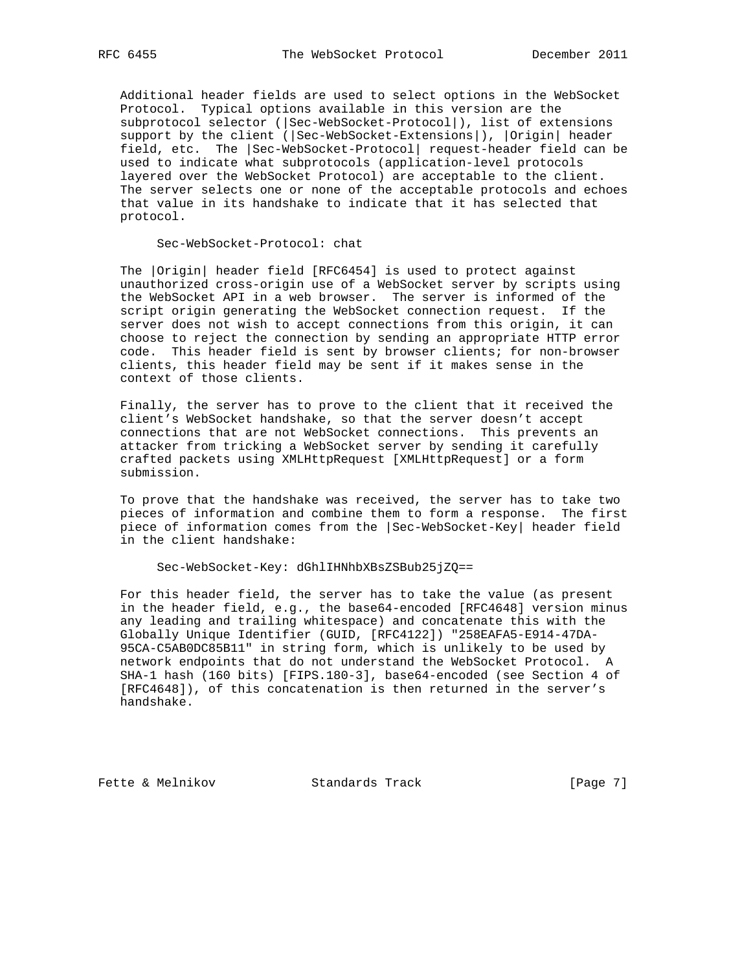Additional header fields are used to select options in the WebSocket Protocol. Typical options available in this version are the subprotocol selector (|Sec-WebSocket-Protocol|), list of extensions support by the client (|Sec-WebSocket-Extensions|), |Origin| header field, etc. The |Sec-WebSocket-Protocol| request-header field can be used to indicate what subprotocols (application-level protocols layered over the WebSocket Protocol) are acceptable to the client. The server selects one or none of the acceptable protocols and echoes that value in its handshake to indicate that it has selected that protocol.

Sec-WebSocket-Protocol: chat

 The |Origin| header field [RFC6454] is used to protect against unauthorized cross-origin use of a WebSocket server by scripts using the WebSocket API in a web browser. The server is informed of the script origin generating the WebSocket connection request. If the server does not wish to accept connections from this origin, it can choose to reject the connection by sending an appropriate HTTP error code. This header field is sent by browser clients; for non-browser clients, this header field may be sent if it makes sense in the context of those clients.

 Finally, the server has to prove to the client that it received the client's WebSocket handshake, so that the server doesn't accept connections that are not WebSocket connections. This prevents an attacker from tricking a WebSocket server by sending it carefully crafted packets using XMLHttpRequest [XMLHttpRequest] or a form submission.

 To prove that the handshake was received, the server has to take two pieces of information and combine them to form a response. The first piece of information comes from the |Sec-WebSocket-Key| header field in the client handshake:

#### Sec-WebSocket-Key: dGhlIHNhbXBsZSBub25jZQ==

 For this header field, the server has to take the value (as present in the header field, e.g., the base64-encoded [RFC4648] version minus any leading and trailing whitespace) and concatenate this with the Globally Unique Identifier (GUID, [RFC4122]) "258EAFA5-E914-47DA- 95CA-C5AB0DC85B11" in string form, which is unlikely to be used by network endpoints that do not understand the WebSocket Protocol. A SHA-1 hash (160 bits) [FIPS.180-3], base64-encoded (see Section 4 of [RFC4648]), of this concatenation is then returned in the server's handshake.

Fette & Melnikov Standards Track [Page 7]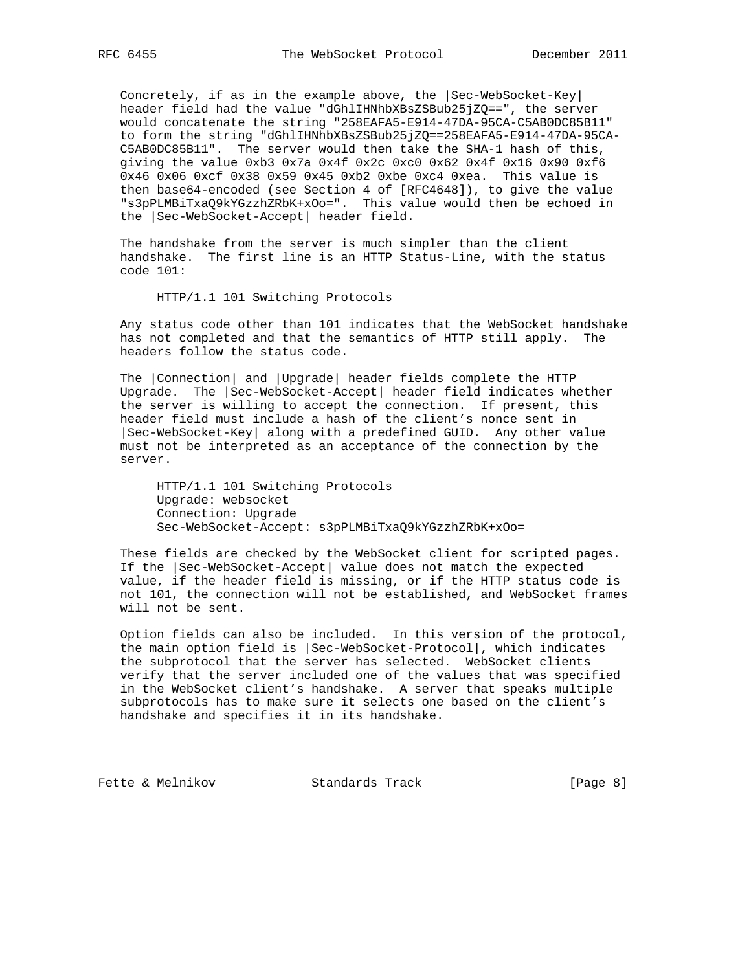Concretely, if as in the example above, the |Sec-WebSocket-Key| header field had the value "dGhlIHNhbXBsZSBub25jZQ==", the server would concatenate the string "258EAFA5-E914-47DA-95CA-C5AB0DC85B11" to form the string "dGhlIHNhbXBsZSBub25jZQ==258EAFA5-E914-47DA-95CA- C5AB0DC85B11". The server would then take the SHA-1 hash of this, giving the value 0xb3 0x7a 0x4f 0x2c 0xc0 0x62 0x4f 0x16 0x90 0xf6 0x46 0x06 0xcf 0x38 0x59 0x45 0xb2 0xbe 0xc4 0xea. This value is then base64-encoded (see Section 4 of [RFC4648]), to give the value "s3pPLMBiTxaQ9kYGzzhZRbK+xOo=". This value would then be echoed in the |Sec-WebSocket-Accept| header field.

 The handshake from the server is much simpler than the client handshake. The first line is an HTTP Status-Line, with the status code 101:

HTTP/1.1 101 Switching Protocols

 Any status code other than 101 indicates that the WebSocket handshake has not completed and that the semantics of HTTP still apply. The headers follow the status code.

 The |Connection| and |Upgrade| header fields complete the HTTP Upgrade. The |Sec-WebSocket-Accept| header field indicates whether the server is willing to accept the connection. If present, this header field must include a hash of the client's nonce sent in |Sec-WebSocket-Key| along with a predefined GUID. Any other value must not be interpreted as an acceptance of the connection by the server.

 HTTP/1.1 101 Switching Protocols Upgrade: websocket Connection: Upgrade Sec-WebSocket-Accept: s3pPLMBiTxaQ9kYGzzhZRbK+xOo=

 These fields are checked by the WebSocket client for scripted pages. If the |Sec-WebSocket-Accept| value does not match the expected value, if the header field is missing, or if the HTTP status code is not 101, the connection will not be established, and WebSocket frames will not be sent.

 Option fields can also be included. In this version of the protocol, the main option field is |Sec-WebSocket-Protocol|, which indicates the subprotocol that the server has selected. WebSocket clients verify that the server included one of the values that was specified in the WebSocket client's handshake. A server that speaks multiple subprotocols has to make sure it selects one based on the client's handshake and specifies it in its handshake.

Fette & Melnikov Standards Track [Page 8]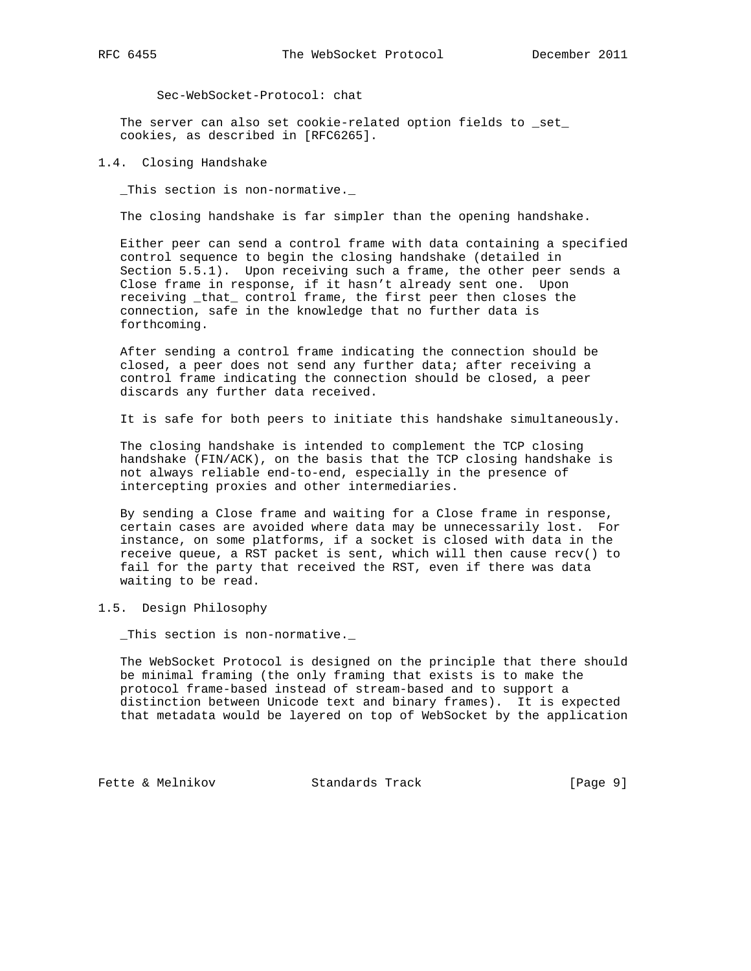Sec-WebSocket-Protocol: chat

The server can also set cookie-related option fields to \_set\_ cookies, as described in [RFC6265].

#### 1.4. Closing Handshake

\_This section is non-normative.\_

The closing handshake is far simpler than the opening handshake.

 Either peer can send a control frame with data containing a specified control sequence to begin the closing handshake (detailed in Section 5.5.1). Upon receiving such a frame, the other peer sends a Close frame in response, if it hasn't already sent one. Upon receiving \_that\_ control frame, the first peer then closes the connection, safe in the knowledge that no further data is forthcoming.

 After sending a control frame indicating the connection should be closed, a peer does not send any further data; after receiving a control frame indicating the connection should be closed, a peer discards any further data received.

It is safe for both peers to initiate this handshake simultaneously.

 The closing handshake is intended to complement the TCP closing handshake (FIN/ACK), on the basis that the TCP closing handshake is not always reliable end-to-end, especially in the presence of intercepting proxies and other intermediaries.

 By sending a Close frame and waiting for a Close frame in response, certain cases are avoided where data may be unnecessarily lost. For instance, on some platforms, if a socket is closed with data in the receive queue, a RST packet is sent, which will then cause recv() to fail for the party that received the RST, even if there was data waiting to be read.

## 1.5. Design Philosophy

\_This section is non-normative.\_

 The WebSocket Protocol is designed on the principle that there should be minimal framing (the only framing that exists is to make the protocol frame-based instead of stream-based and to support a distinction between Unicode text and binary frames). It is expected that metadata would be layered on top of WebSocket by the application

Fette & Melnikov Standards Track [Page 9]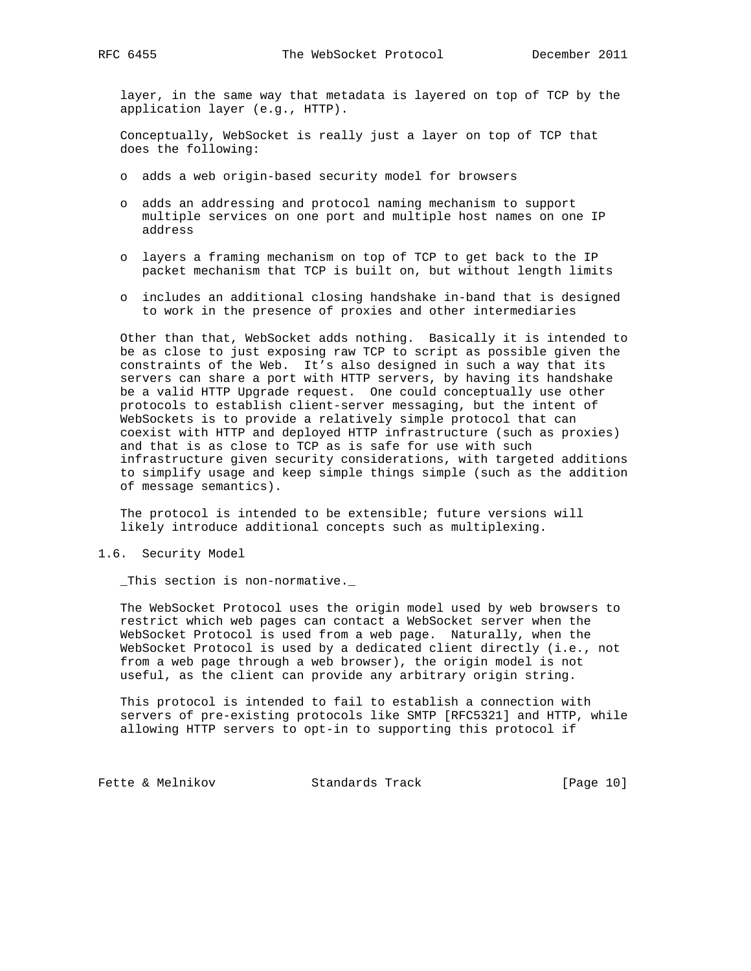layer, in the same way that metadata is layered on top of TCP by the application layer (e.g., HTTP).

 Conceptually, WebSocket is really just a layer on top of TCP that does the following:

- o adds a web origin-based security model for browsers
- o adds an addressing and protocol naming mechanism to support multiple services on one port and multiple host names on one IP address
- o layers a framing mechanism on top of TCP to get back to the IP packet mechanism that TCP is built on, but without length limits
- o includes an additional closing handshake in-band that is designed to work in the presence of proxies and other intermediaries

 Other than that, WebSocket adds nothing. Basically it is intended to be as close to just exposing raw TCP to script as possible given the constraints of the Web. It's also designed in such a way that its servers can share a port with HTTP servers, by having its handshake be a valid HTTP Upgrade request. One could conceptually use other protocols to establish client-server messaging, but the intent of WebSockets is to provide a relatively simple protocol that can coexist with HTTP and deployed HTTP infrastructure (such as proxies) and that is as close to TCP as is safe for use with such infrastructure given security considerations, with targeted additions to simplify usage and keep simple things simple (such as the addition of message semantics).

 The protocol is intended to be extensible; future versions will likely introduce additional concepts such as multiplexing.

1.6. Security Model

\_This section is non-normative.\_

 The WebSocket Protocol uses the origin model used by web browsers to restrict which web pages can contact a WebSocket server when the WebSocket Protocol is used from a web page. Naturally, when the WebSocket Protocol is used by a dedicated client directly (i.e., not from a web page through a web browser), the origin model is not useful, as the client can provide any arbitrary origin string.

 This protocol is intended to fail to establish a connection with servers of pre-existing protocols like SMTP [RFC5321] and HTTP, while allowing HTTP servers to opt-in to supporting this protocol if

Fette & Melnikov Standards Track [Page 10]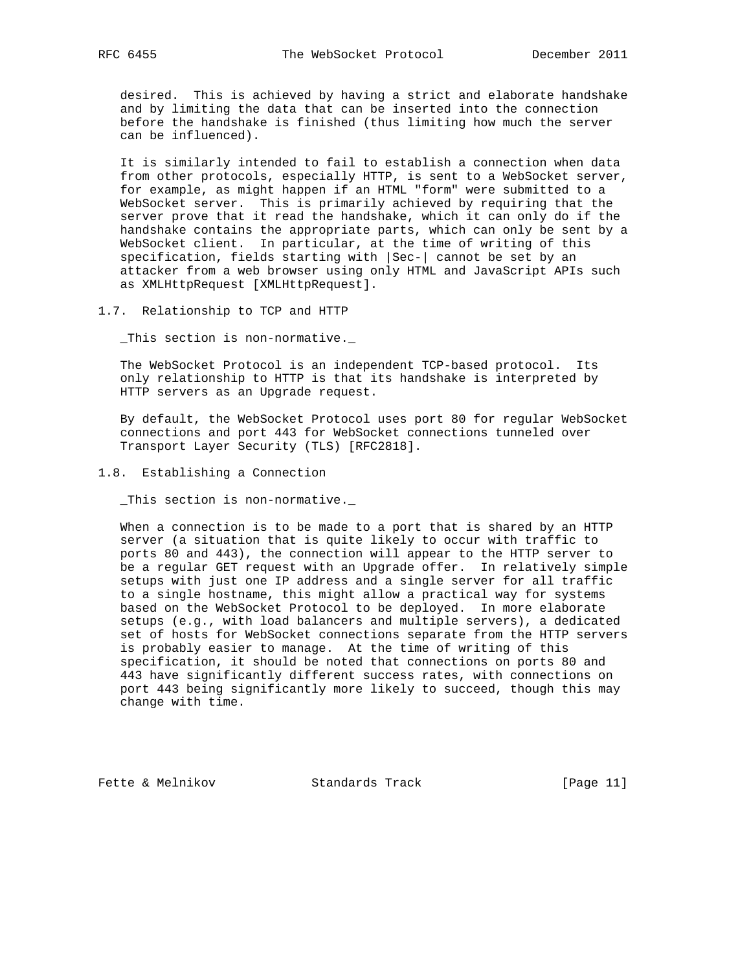desired. This is achieved by having a strict and elaborate handshake and by limiting the data that can be inserted into the connection before the handshake is finished (thus limiting how much the server can be influenced).

 It is similarly intended to fail to establish a connection when data from other protocols, especially HTTP, is sent to a WebSocket server, for example, as might happen if an HTML "form" were submitted to a WebSocket server. This is primarily achieved by requiring that the server prove that it read the handshake, which it can only do if the handshake contains the appropriate parts, which can only be sent by a WebSocket client. In particular, at the time of writing of this specification, fields starting with |Sec-| cannot be set by an attacker from a web browser using only HTML and JavaScript APIs such as XMLHttpRequest [XMLHttpRequest].

1.7. Relationship to TCP and HTTP

\_This section is non-normative.\_

 The WebSocket Protocol is an independent TCP-based protocol. Its only relationship to HTTP is that its handshake is interpreted by HTTP servers as an Upgrade request.

 By default, the WebSocket Protocol uses port 80 for regular WebSocket connections and port 443 for WebSocket connections tunneled over Transport Layer Security (TLS) [RFC2818].

1.8. Establishing a Connection

\_This section is non-normative.\_

 When a connection is to be made to a port that is shared by an HTTP server (a situation that is quite likely to occur with traffic to ports 80 and 443), the connection will appear to the HTTP server to be a regular GET request with an Upgrade offer. In relatively simple setups with just one IP address and a single server for all traffic to a single hostname, this might allow a practical way for systems based on the WebSocket Protocol to be deployed. In more elaborate setups (e.g., with load balancers and multiple servers), a dedicated set of hosts for WebSocket connections separate from the HTTP servers is probably easier to manage. At the time of writing of this specification, it should be noted that connections on ports 80 and 443 have significantly different success rates, with connections on port 443 being significantly more likely to succeed, though this may change with time.

Fette & Melnikov Standards Track [Page 11]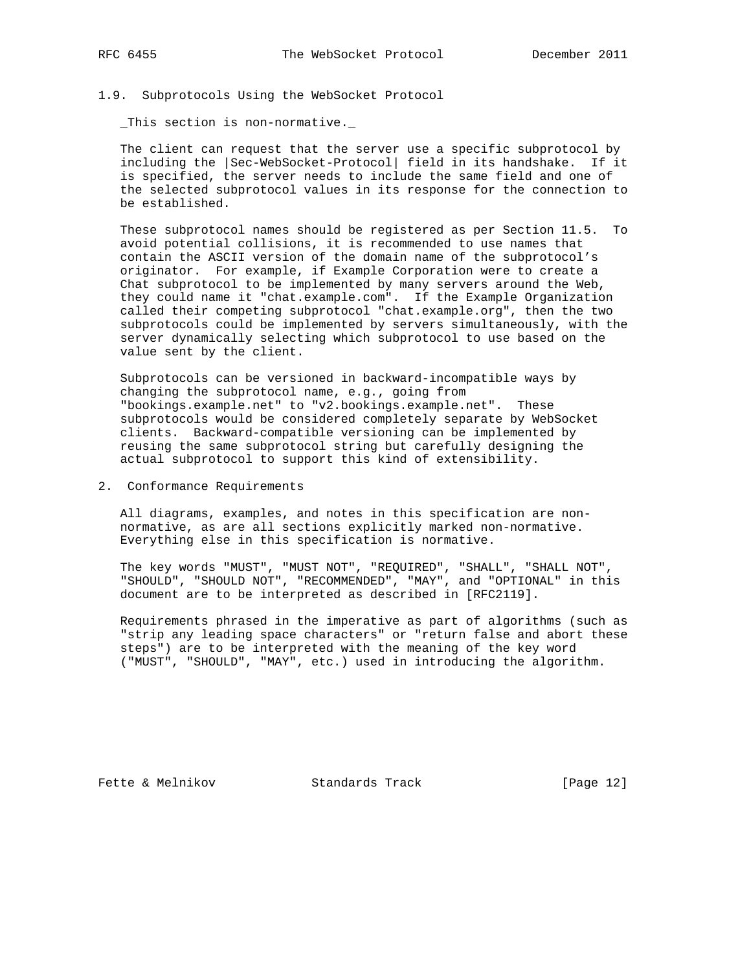#### 1.9. Subprotocols Using the WebSocket Protocol

\_This section is non-normative.\_

 The client can request that the server use a specific subprotocol by including the |Sec-WebSocket-Protocol| field in its handshake. If it is specified, the server needs to include the same field and one of the selected subprotocol values in its response for the connection to be established.

 These subprotocol names should be registered as per Section 11.5. To avoid potential collisions, it is recommended to use names that contain the ASCII version of the domain name of the subprotocol's originator. For example, if Example Corporation were to create a Chat subprotocol to be implemented by many servers around the Web, they could name it "chat.example.com". If the Example Organization called their competing subprotocol "chat.example.org", then the two subprotocols could be implemented by servers simultaneously, with the server dynamically selecting which subprotocol to use based on the value sent by the client.

 Subprotocols can be versioned in backward-incompatible ways by changing the subprotocol name, e.g., going from "bookings.example.net" to "v2.bookings.example.net". These subprotocols would be considered completely separate by WebSocket clients. Backward-compatible versioning can be implemented by reusing the same subprotocol string but carefully designing the actual subprotocol to support this kind of extensibility.

### 2. Conformance Requirements

 All diagrams, examples, and notes in this specification are non normative, as are all sections explicitly marked non-normative. Everything else in this specification is normative.

 The key words "MUST", "MUST NOT", "REQUIRED", "SHALL", "SHALL NOT", "SHOULD", "SHOULD NOT", "RECOMMENDED", "MAY", and "OPTIONAL" in this document are to be interpreted as described in [RFC2119].

 Requirements phrased in the imperative as part of algorithms (such as "strip any leading space characters" or "return false and abort these steps") are to be interpreted with the meaning of the key word ("MUST", "SHOULD", "MAY", etc.) used in introducing the algorithm.

Fette & Melnikov Standards Track [Page 12]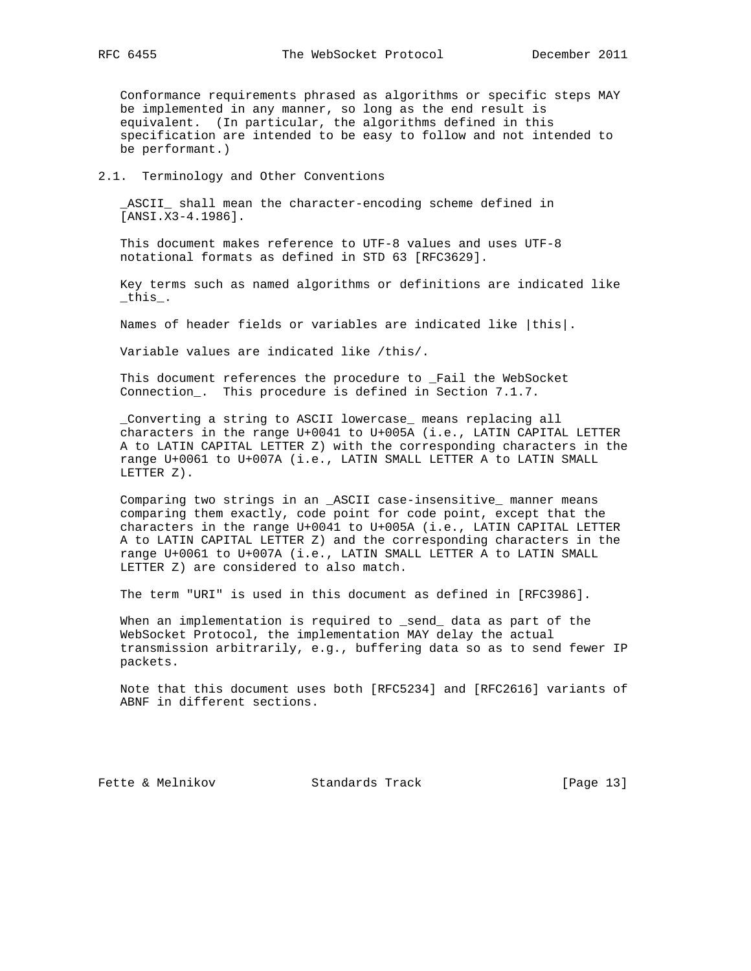Conformance requirements phrased as algorithms or specific steps MAY be implemented in any manner, so long as the end result is equivalent. (In particular, the algorithms defined in this specification are intended to be easy to follow and not intended to be performant.)

#### 2.1. Terminology and Other Conventions

 \_ASCII\_ shall mean the character-encoding scheme defined in [ANSI.X3-4.1986].

 This document makes reference to UTF-8 values and uses UTF-8 notational formats as defined in STD 63 [RFC3629].

 Key terms such as named algorithms or definitions are indicated like \_this\_.

Names of header fields or variables are indicated like |this|.

Variable values are indicated like /this/.

 This document references the procedure to \_Fail the WebSocket Connection\_. This procedure is defined in Section 7.1.7.

 \_Converting a string to ASCII lowercase\_ means replacing all characters in the range U+0041 to U+005A (i.e., LATIN CAPITAL LETTER A to LATIN CAPITAL LETTER Z) with the corresponding characters in the range U+0061 to U+007A (i.e., LATIN SMALL LETTER A to LATIN SMALL LETTER Z).

 Comparing two strings in an \_ASCII case-insensitive\_ manner means comparing them exactly, code point for code point, except that the characters in the range U+0041 to U+005A (i.e., LATIN CAPITAL LETTER A to LATIN CAPITAL LETTER Z) and the corresponding characters in the range U+0061 to U+007A (i.e., LATIN SMALL LETTER A to LATIN SMALL LETTER Z) are considered to also match.

The term "URI" is used in this document as defined in [RFC3986].

 When an implementation is required to \_send\_ data as part of the WebSocket Protocol, the implementation MAY delay the actual transmission arbitrarily, e.g., buffering data so as to send fewer IP packets.

 Note that this document uses both [RFC5234] and [RFC2616] variants of ABNF in different sections.

Fette & Melnikov Standards Track [Page 13]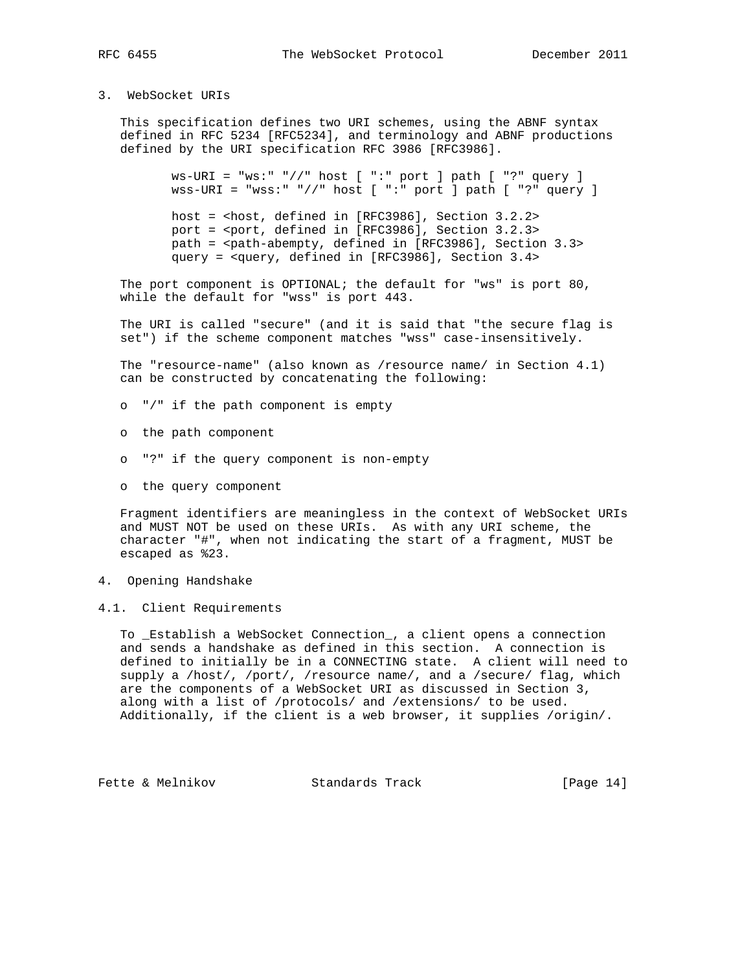## 3. WebSocket URIs

 This specification defines two URI schemes, using the ABNF syntax defined in RFC 5234 [RFC5234], and terminology and ABNF productions defined by the URI specification RFC 3986 [RFC3986].

> ws-URI = "ws:" "//" host [ ":" port ] path [ "?" query ] wss-URI = "wss:" "//" host [ ":" port ] path [ "?" query ]

 host = <host, defined in [RFC3986], Section 3.2.2> port = <port, defined in [RFC3986], Section 3.2.3> path = <path-abempty, defined in [RFC3986], Section 3.3> query = <query, defined in [RFC3986], Section 3.4>

The port component is OPTIONAL; the default for "ws" is port 80, while the default for "wss" is port 443.

 The URI is called "secure" (and it is said that "the secure flag is set") if the scheme component matches "wss" case-insensitively.

 The "resource-name" (also known as /resource name/ in Section 4.1) can be constructed by concatenating the following:

- o "/" if the path component is empty
- o the path component
- o "?" if the query component is non-empty
- o the query component

 Fragment identifiers are meaningless in the context of WebSocket URIs and MUST NOT be used on these URIs. As with any URI scheme, the character "#", when not indicating the start of a fragment, MUST be escaped as %23.

- 4. Opening Handshake
- 4.1. Client Requirements

 To \_Establish a WebSocket Connection\_, a client opens a connection and sends a handshake as defined in this section. A connection is defined to initially be in a CONNECTING state. A client will need to supply a /host/, /port/, /resource name/, and a /secure/ flag, which are the components of a WebSocket URI as discussed in Section 3, along with a list of /protocols/ and /extensions/ to be used. Additionally, if the client is a web browser, it supplies /origin/.

Fette & Melnikov Standards Track [Page 14]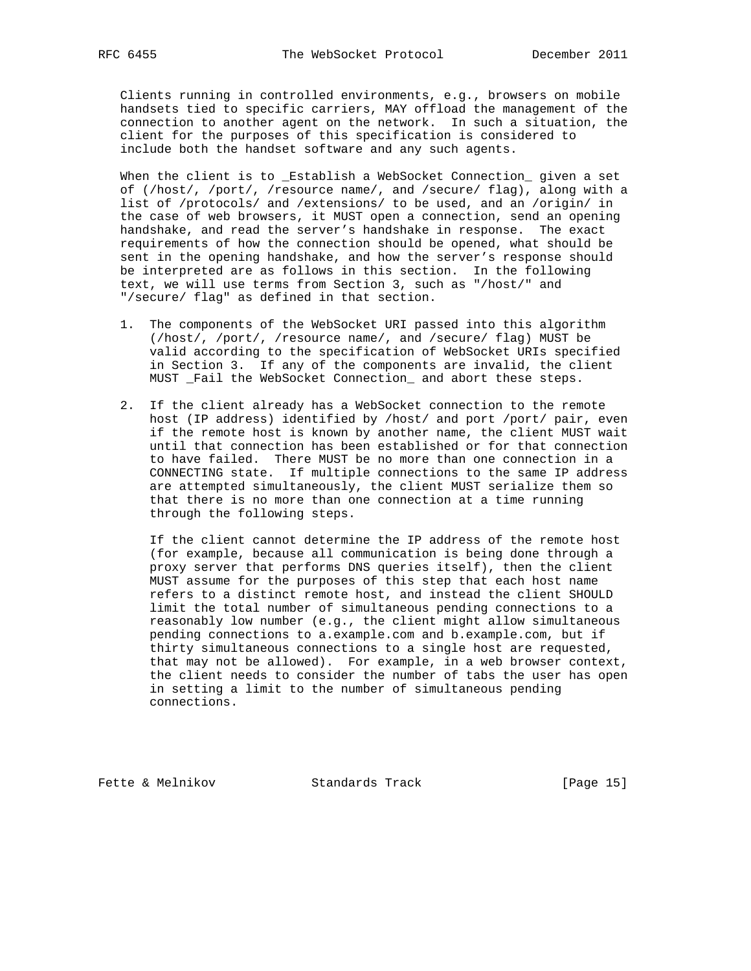Clients running in controlled environments, e.g., browsers on mobile handsets tied to specific carriers, MAY offload the management of the connection to another agent on the network. In such a situation, the client for the purposes of this specification is considered to include both the handset software and any such agents.

 When the client is to \_Establish a WebSocket Connection\_ given a set of (/host/, /port/, /resource name/, and /secure/ flag), along with a list of /protocols/ and /extensions/ to be used, and an /origin/ in the case of web browsers, it MUST open a connection, send an opening handshake, and read the server's handshake in response. The exact requirements of how the connection should be opened, what should be sent in the opening handshake, and how the server's response should be interpreted are as follows in this section. In the following text, we will use terms from Section 3, such as "/host/" and "/secure/ flag" as defined in that section.

- 1. The components of the WebSocket URI passed into this algorithm (/host/, /port/, /resource name/, and /secure/ flag) MUST be valid according to the specification of WebSocket URIs specified in Section 3. If any of the components are invalid, the client MUST \_Fail the WebSocket Connection\_ and abort these steps.
- 2. If the client already has a WebSocket connection to the remote host (IP address) identified by /host/ and port /port/ pair, even if the remote host is known by another name, the client MUST wait until that connection has been established or for that connection to have failed. There MUST be no more than one connection in a CONNECTING state. If multiple connections to the same IP address are attempted simultaneously, the client MUST serialize them so that there is no more than one connection at a time running through the following steps.

 If the client cannot determine the IP address of the remote host (for example, because all communication is being done through a proxy server that performs DNS queries itself), then the client MUST assume for the purposes of this step that each host name refers to a distinct remote host, and instead the client SHOULD limit the total number of simultaneous pending connections to a reasonably low number (e.g., the client might allow simultaneous pending connections to a.example.com and b.example.com, but if thirty simultaneous connections to a single host are requested, that may not be allowed). For example, in a web browser context, the client needs to consider the number of tabs the user has open in setting a limit to the number of simultaneous pending connections.

Fette & Melnikov Standards Track [Page 15]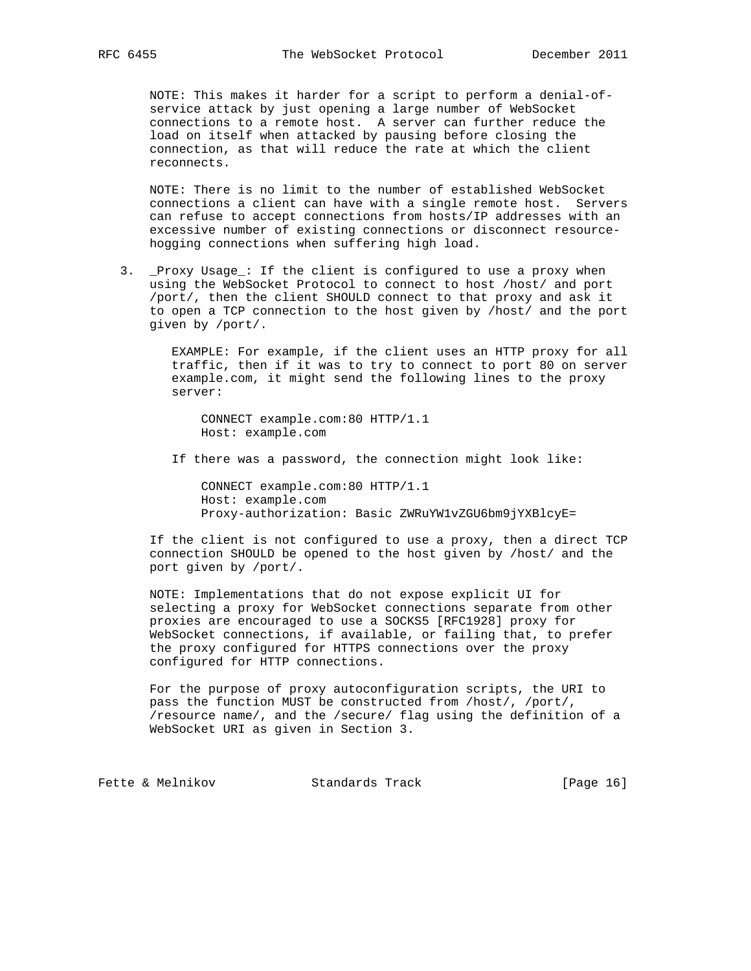NOTE: This makes it harder for a script to perform a denial-of service attack by just opening a large number of WebSocket connections to a remote host. A server can further reduce the load on itself when attacked by pausing before closing the connection, as that will reduce the rate at which the client reconnects.

 NOTE: There is no limit to the number of established WebSocket connections a client can have with a single remote host. Servers can refuse to accept connections from hosts/IP addresses with an excessive number of existing connections or disconnect resource hogging connections when suffering high load.

 3. \_Proxy Usage\_: If the client is configured to use a proxy when using the WebSocket Protocol to connect to host /host/ and port /port/, then the client SHOULD connect to that proxy and ask it to open a TCP connection to the host given by /host/ and the port given by /port/.

 EXAMPLE: For example, if the client uses an HTTP proxy for all traffic, then if it was to try to connect to port 80 on server example.com, it might send the following lines to the proxy server:

 CONNECT example.com:80 HTTP/1.1 Host: example.com

If there was a password, the connection might look like:

 CONNECT example.com:80 HTTP/1.1 Host: example.com Proxy-authorization: Basic ZWRuYW1vZGU6bm9jYXBlcyE=

 If the client is not configured to use a proxy, then a direct TCP connection SHOULD be opened to the host given by /host/ and the port given by /port/.

 NOTE: Implementations that do not expose explicit UI for selecting a proxy for WebSocket connections separate from other proxies are encouraged to use a SOCKS5 [RFC1928] proxy for WebSocket connections, if available, or failing that, to prefer the proxy configured for HTTPS connections over the proxy configured for HTTP connections.

 For the purpose of proxy autoconfiguration scripts, the URI to pass the function MUST be constructed from /host/, /port/, /resource name/, and the /secure/ flag using the definition of a WebSocket URI as given in Section 3.

Fette & Melnikov Standards Track [Page 16]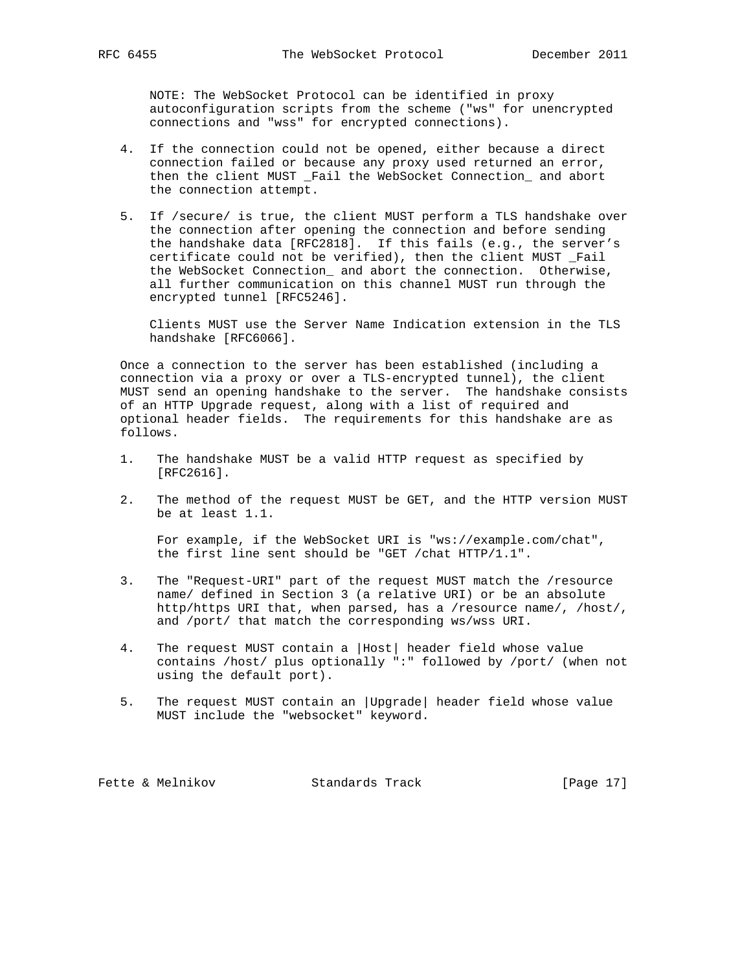NOTE: The WebSocket Protocol can be identified in proxy autoconfiguration scripts from the scheme ("ws" for unencrypted connections and "wss" for encrypted connections).

- 4. If the connection could not be opened, either because a direct connection failed or because any proxy used returned an error, then the client MUST \_Fail the WebSocket Connection\_ and abort the connection attempt.
- 5. If /secure/ is true, the client MUST perform a TLS handshake over the connection after opening the connection and before sending the handshake data [RFC2818]. If this fails (e.g., the server's certificate could not be verified), then the client MUST \_Fail the WebSocket Connection\_ and abort the connection. Otherwise, all further communication on this channel MUST run through the encrypted tunnel [RFC5246].

 Clients MUST use the Server Name Indication extension in the TLS handshake [RFC6066].

 Once a connection to the server has been established (including a connection via a proxy or over a TLS-encrypted tunnel), the client MUST send an opening handshake to the server. The handshake consists of an HTTP Upgrade request, along with a list of required and optional header fields. The requirements for this handshake are as follows.

- 1. The handshake MUST be a valid HTTP request as specified by [RFC2616].
- 2. The method of the request MUST be GET, and the HTTP version MUST be at least 1.1.

 For example, if the WebSocket URI is "ws://example.com/chat", the first line sent should be "GET /chat HTTP/1.1".

- 3. The "Request-URI" part of the request MUST match the /resource name/ defined in Section 3 (a relative URI) or be an absolute http/https URI that, when parsed, has a /resource name/, /host/, and /port/ that match the corresponding ws/wss URI.
- 4. The request MUST contain a |Host| header field whose value contains /host/ plus optionally ":" followed by /port/ (when not using the default port).
- 5. The request MUST contain an |Upgrade| header field whose value MUST include the "websocket" keyword.

Fette & Melnikov Standards Track [Page 17]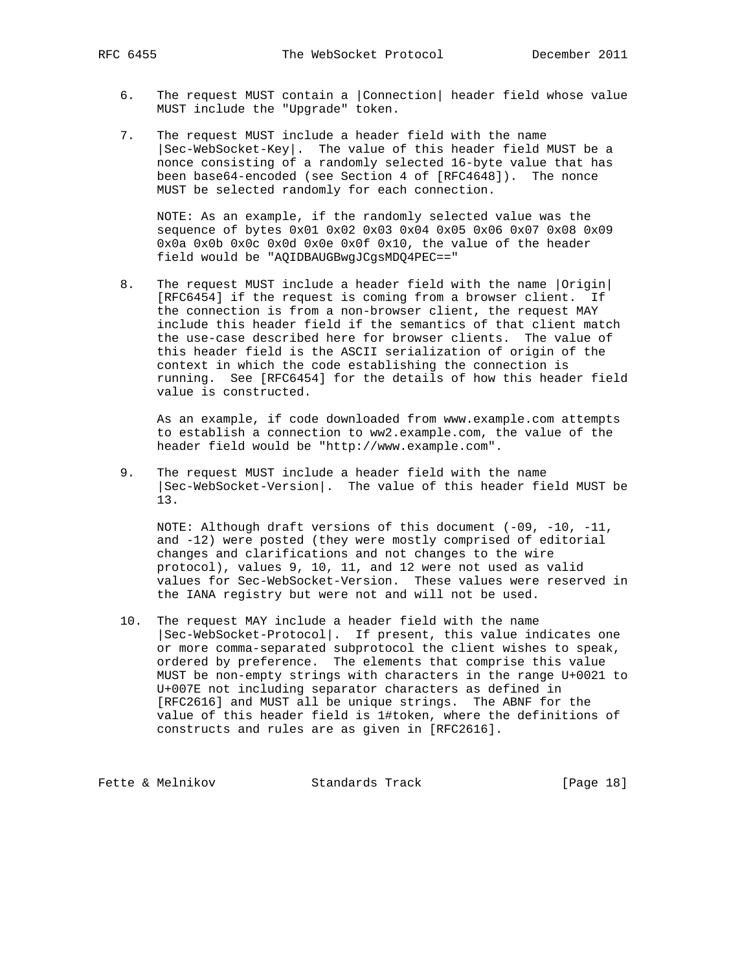- 6. The request MUST contain a |Connection| header field whose value MUST include the "Upgrade" token.
- 7. The request MUST include a header field with the name |Sec-WebSocket-Key|. The value of this header field MUST be a nonce consisting of a randomly selected 16-byte value that has been base64-encoded (see Section 4 of [RFC4648]). The nonce MUST be selected randomly for each connection.

 NOTE: As an example, if the randomly selected value was the sequence of bytes 0x01 0x02 0x03 0x04 0x05 0x06 0x07 0x08 0x09 0x0a 0x0b 0x0c 0x0d 0x0e 0x0f 0x10, the value of the header field would be "AQIDBAUGBwgJCgsMDQ4PEC=="

 8. The request MUST include a header field with the name |Origin| [RFC6454] if the request is coming from a browser client. If the connection is from a non-browser client, the request MAY include this header field if the semantics of that client match the use-case described here for browser clients. The value of this header field is the ASCII serialization of origin of the context in which the code establishing the connection is running. See [RFC6454] for the details of how this header field value is constructed.

 As an example, if code downloaded from www.example.com attempts to establish a connection to ww2.example.com, the value of the header field would be "http://www.example.com".

 9. The request MUST include a header field with the name |Sec-WebSocket-Version|. The value of this header field MUST be 13.

 NOTE: Although draft versions of this document (-09, -10, -11, and -12) were posted (they were mostly comprised of editorial changes and clarifications and not changes to the wire protocol), values 9, 10, 11, and 12 were not used as valid values for Sec-WebSocket-Version. These values were reserved in the IANA registry but were not and will not be used.

 10. The request MAY include a header field with the name |Sec-WebSocket-Protocol|. If present, this value indicates one or more comma-separated subprotocol the client wishes to speak, ordered by preference. The elements that comprise this value MUST be non-empty strings with characters in the range U+0021 to U+007E not including separator characters as defined in [RFC2616] and MUST all be unique strings. The ABNF for the value of this header field is 1#token, where the definitions of constructs and rules are as given in [RFC2616].

Fette & Melnikov Standards Track [Page 18]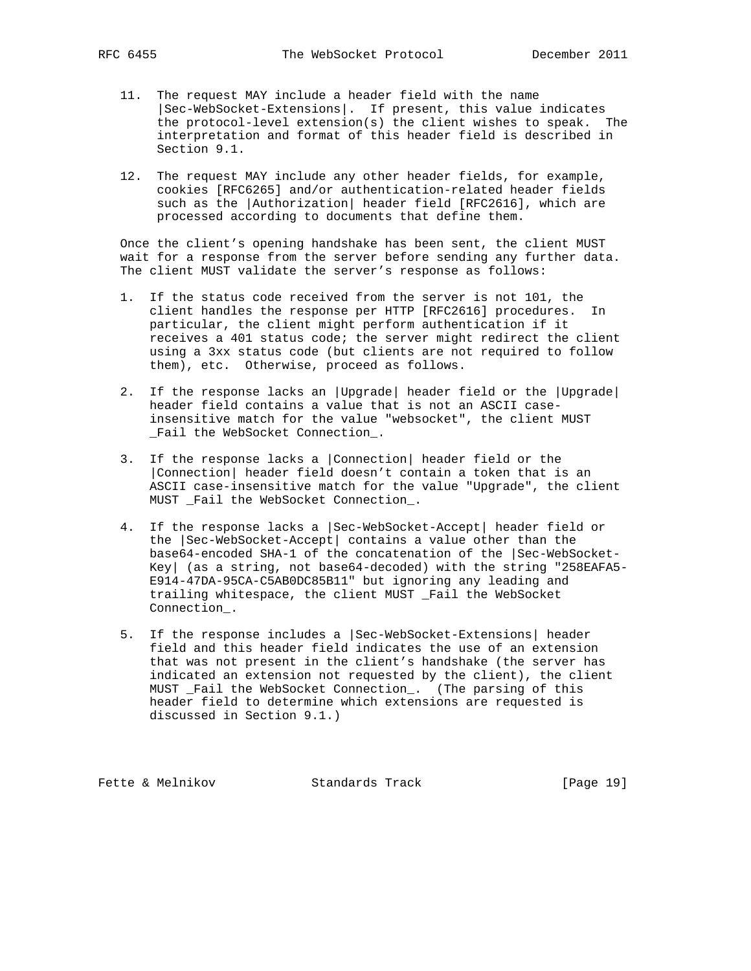- 11. The request MAY include a header field with the name |Sec-WebSocket-Extensions|. If present, this value indicates the protocol-level extension(s) the client wishes to speak. The interpretation and format of this header field is described in Section 9.1.
- 12. The request MAY include any other header fields, for example, cookies [RFC6265] and/or authentication-related header fields such as the |Authorization| header field [RFC2616], which are processed according to documents that define them.

 Once the client's opening handshake has been sent, the client MUST wait for a response from the server before sending any further data. The client MUST validate the server's response as follows:

- 1. If the status code received from the server is not 101, the client handles the response per HTTP [RFC2616] procedures. In particular, the client might perform authentication if it receives a 401 status code; the server might redirect the client using a 3xx status code (but clients are not required to follow them), etc. Otherwise, proceed as follows.
- 2. If the response lacks an |Upgrade| header field or the |Upgrade| header field contains a value that is not an ASCII case insensitive match for the value "websocket", the client MUST \_Fail the WebSocket Connection\_.
- 3. If the response lacks a |Connection| header field or the |Connection| header field doesn't contain a token that is an ASCII case-insensitive match for the value "Upgrade", the client MUST \_Fail the WebSocket Connection\_.
- 4. If the response lacks a |Sec-WebSocket-Accept| header field or the |Sec-WebSocket-Accept| contains a value other than the base64-encoded SHA-1 of the concatenation of the |Sec-WebSocket- Key| (as a string, not base64-decoded) with the string "258EAFA5- E914-47DA-95CA-C5AB0DC85B11" but ignoring any leading and trailing whitespace, the client MUST \_Fail the WebSocket Connection\_.
- 5. If the response includes a |Sec-WebSocket-Extensions| header field and this header field indicates the use of an extension that was not present in the client's handshake (the server has indicated an extension not requested by the client), the client MUST \_Fail the WebSocket Connection\_. (The parsing of this header field to determine which extensions are requested is discussed in Section 9.1.)

Fette & Melnikov Standards Track [Page 19]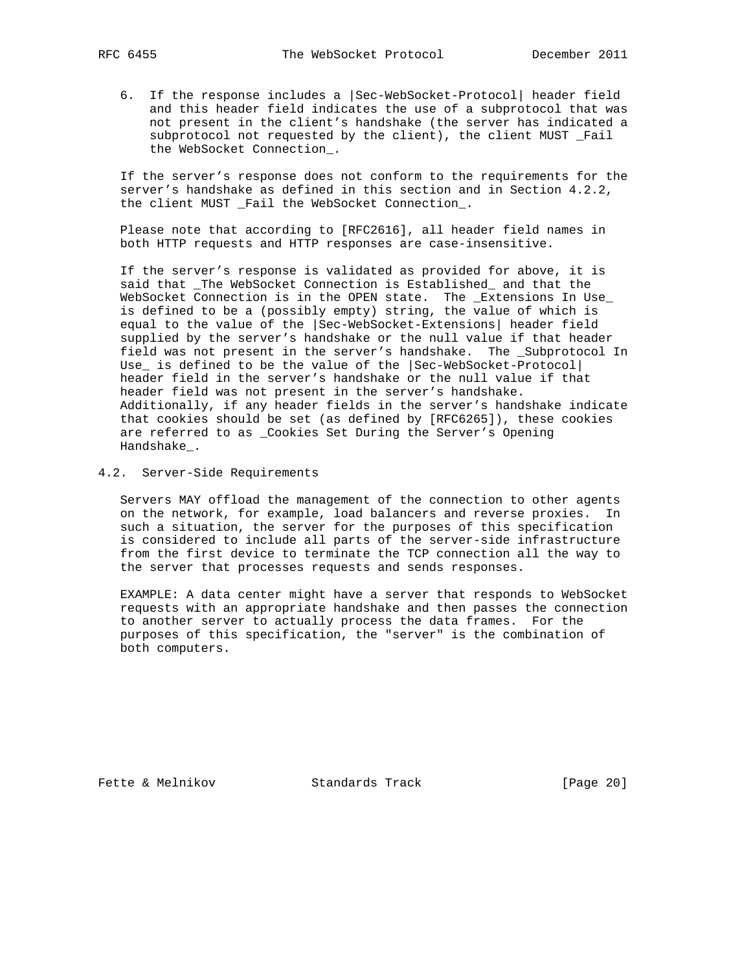6. If the response includes a |Sec-WebSocket-Protocol| header field and this header field indicates the use of a subprotocol that was not present in the client's handshake (the server has indicated a subprotocol not requested by the client), the client MUST \_Fail the WebSocket Connection\_.

 If the server's response does not conform to the requirements for the server's handshake as defined in this section and in Section 4.2.2, the client MUST \_Fail the WebSocket Connection\_.

 Please note that according to [RFC2616], all header field names in both HTTP requests and HTTP responses are case-insensitive.

 If the server's response is validated as provided for above, it is said that \_The WebSocket Connection is Established\_ and that the WebSocket Connection is in the OPEN state. The \_Extensions In Use\_ is defined to be a (possibly empty) string, the value of which is equal to the value of the |Sec-WebSocket-Extensions| header field supplied by the server's handshake or the null value if that header field was not present in the server's handshake. The \_Subprotocol In Use\_ is defined to be the value of the |Sec-WebSocket-Protocol| header field in the server's handshake or the null value if that header field was not present in the server's handshake. Additionally, if any header fields in the server's handshake indicate that cookies should be set (as defined by [RFC6265]), these cookies are referred to as \_Cookies Set During the Server's Opening Handshake\_.

#### 4.2. Server-Side Requirements

 Servers MAY offload the management of the connection to other agents on the network, for example, load balancers and reverse proxies. In such a situation, the server for the purposes of this specification is considered to include all parts of the server-side infrastructure from the first device to terminate the TCP connection all the way to the server that processes requests and sends responses.

 EXAMPLE: A data center might have a server that responds to WebSocket requests with an appropriate handshake and then passes the connection to another server to actually process the data frames. For the purposes of this specification, the "server" is the combination of both computers.

Fette & Melnikov Standards Track [Page 20]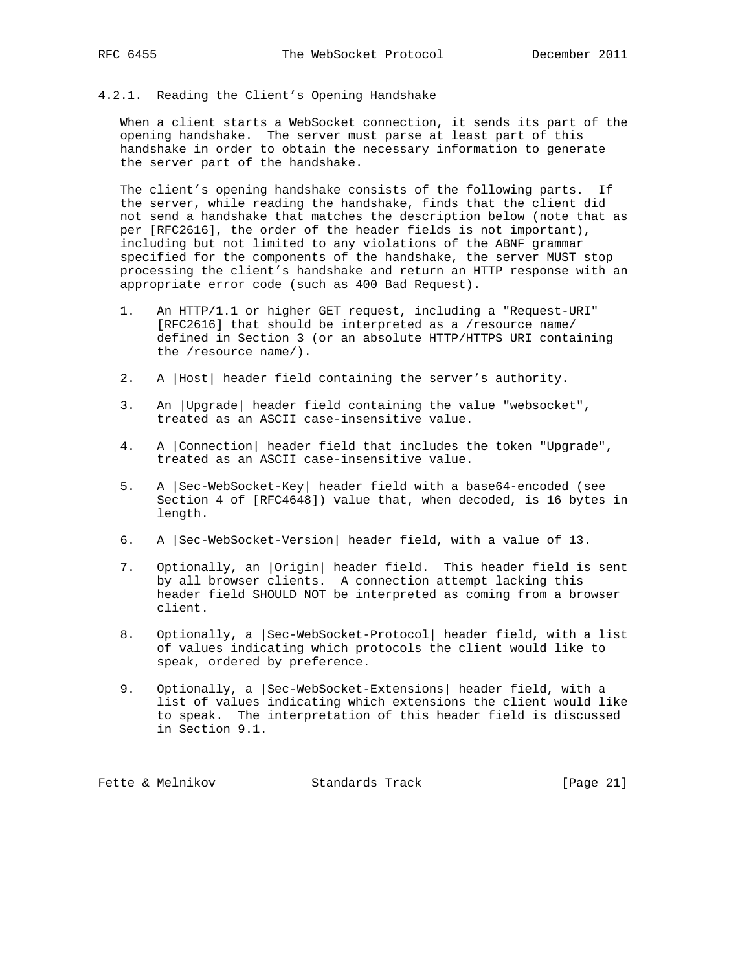# 4.2.1. Reading the Client's Opening Handshake

 When a client starts a WebSocket connection, it sends its part of the opening handshake. The server must parse at least part of this handshake in order to obtain the necessary information to generate the server part of the handshake.

 The client's opening handshake consists of the following parts. If the server, while reading the handshake, finds that the client did not send a handshake that matches the description below (note that as per [RFC2616], the order of the header fields is not important), including but not limited to any violations of the ABNF grammar specified for the components of the handshake, the server MUST stop processing the client's handshake and return an HTTP response with an appropriate error code (such as 400 Bad Request).

- 1. An HTTP/1.1 or higher GET request, including a "Request-URI" [RFC2616] that should be interpreted as a /resource name/ defined in Section 3 (or an absolute HTTP/HTTPS URI containing the /resource name/).
- 2. A |Host| header field containing the server's authority.
- 3. An |Upgrade| header field containing the value "websocket", treated as an ASCII case-insensitive value.
- 4. A |Connection| header field that includes the token "Upgrade", treated as an ASCII case-insensitive value.
- 5. A |Sec-WebSocket-Key| header field with a base64-encoded (see Section 4 of [RFC4648]) value that, when decoded, is 16 bytes in length.
- 6. A |Sec-WebSocket-Version| header field, with a value of 13.
- 7. Optionally, an |Origin| header field. This header field is sent by all browser clients. A connection attempt lacking this header field SHOULD NOT be interpreted as coming from a browser client.
- 8. Optionally, a |Sec-WebSocket-Protocol| header field, with a list of values indicating which protocols the client would like to speak, ordered by preference.
- 9. Optionally, a |Sec-WebSocket-Extensions| header field, with a list of values indicating which extensions the client would like to speak. The interpretation of this header field is discussed in Section 9.1.

Fette & Melnikov Standards Track [Page 21]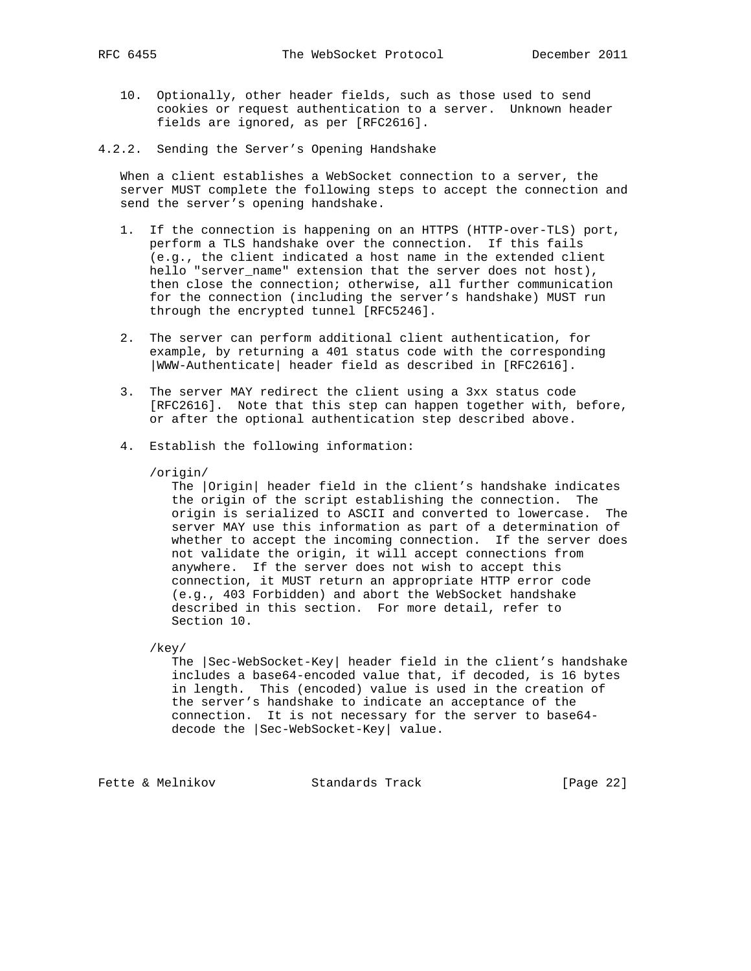- 10. Optionally, other header fields, such as those used to send cookies or request authentication to a server. Unknown header fields are ignored, as per [RFC2616].
- 4.2.2. Sending the Server's Opening Handshake

 When a client establishes a WebSocket connection to a server, the server MUST complete the following steps to accept the connection and send the server's opening handshake.

- 1. If the connection is happening on an HTTPS (HTTP-over-TLS) port, perform a TLS handshake over the connection. If this fails (e.g., the client indicated a host name in the extended client hello "server\_name" extension that the server does not host), then close the connection; otherwise, all further communication for the connection (including the server's handshake) MUST run through the encrypted tunnel [RFC5246].
- 2. The server can perform additional client authentication, for example, by returning a 401 status code with the corresponding |WWW-Authenticate| header field as described in [RFC2616].
- 3. The server MAY redirect the client using a 3xx status code [RFC2616]. Note that this step can happen together with, before, or after the optional authentication step described above.
- 4. Establish the following information:

#### /origin/

 The |Origin| header field in the client's handshake indicates the origin of the script establishing the connection. The origin is serialized to ASCII and converted to lowercase. The server MAY use this information as part of a determination of whether to accept the incoming connection. If the server does not validate the origin, it will accept connections from anywhere. If the server does not wish to accept this connection, it MUST return an appropriate HTTP error code (e.g., 403 Forbidden) and abort the WebSocket handshake described in this section. For more detail, refer to Section 10.

/key/

 The |Sec-WebSocket-Key| header field in the client's handshake includes a base64-encoded value that, if decoded, is 16 bytes in length. This (encoded) value is used in the creation of the server's handshake to indicate an acceptance of the connection. It is not necessary for the server to base64 decode the |Sec-WebSocket-Key| value.

Fette & Melnikov Standards Track [Page 22]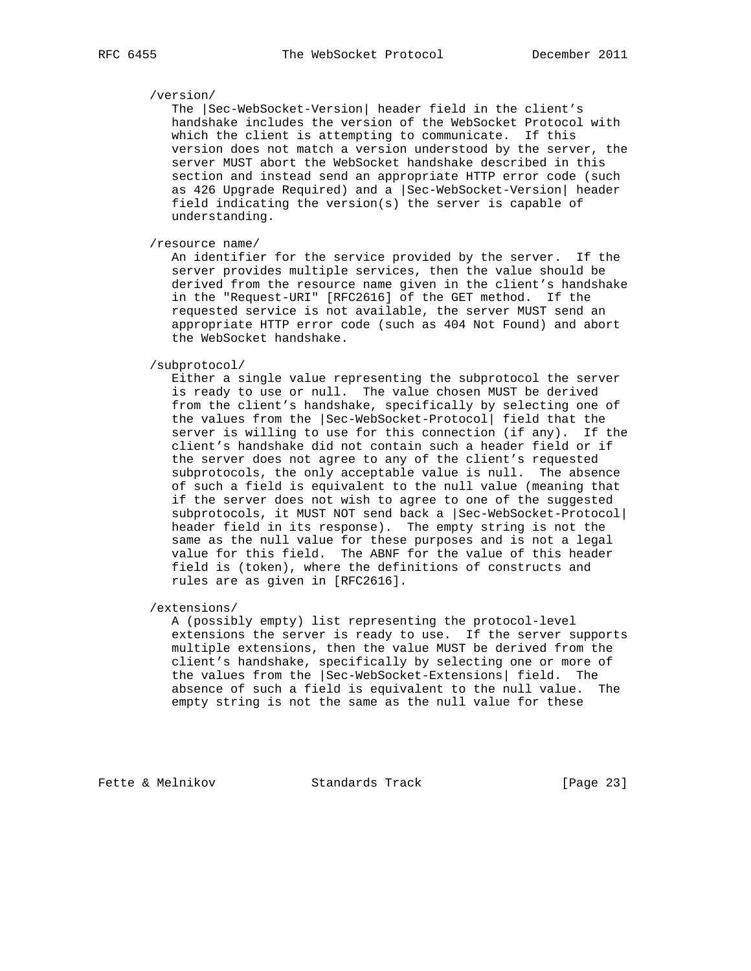## /version/

 The |Sec-WebSocket-Version| header field in the client's handshake includes the version of the WebSocket Protocol with which the client is attempting to communicate. If this version does not match a version understood by the server, the server MUST abort the WebSocket handshake described in this section and instead send an appropriate HTTP error code (such as 426 Upgrade Required) and a |Sec-WebSocket-Version| header field indicating the version(s) the server is capable of understanding.

/resource name/

 An identifier for the service provided by the server. If the server provides multiple services, then the value should be derived from the resource name given in the client's handshake in the "Request-URI" [RFC2616] of the GET method. If the requested service is not available, the server MUST send an appropriate HTTP error code (such as 404 Not Found) and abort the WebSocket handshake.

/subprotocol/

 Either a single value representing the subprotocol the server is ready to use or null. The value chosen MUST be derived from the client's handshake, specifically by selecting one of the values from the |Sec-WebSocket-Protocol| field that the server is willing to use for this connection (if any). If the client's handshake did not contain such a header field or if the server does not agree to any of the client's requested subprotocols, the only acceptable value is null. The absence of such a field is equivalent to the null value (meaning that if the server does not wish to agree to one of the suggested subprotocols, it MUST NOT send back a |Sec-WebSocket-Protocol| header field in its response). The empty string is not the same as the null value for these purposes and is not a legal value for this field. The ABNF for the value of this header field is (token), where the definitions of constructs and rules are as given in [RFC2616].

/extensions/

 A (possibly empty) list representing the protocol-level extensions the server is ready to use. If the server supports multiple extensions, then the value MUST be derived from the client's handshake, specifically by selecting one or more of the values from the |Sec-WebSocket-Extensions| field. The absence of such a field is equivalent to the null value. The empty string is not the same as the null value for these

Fette & Melnikov Standards Track [Page 23]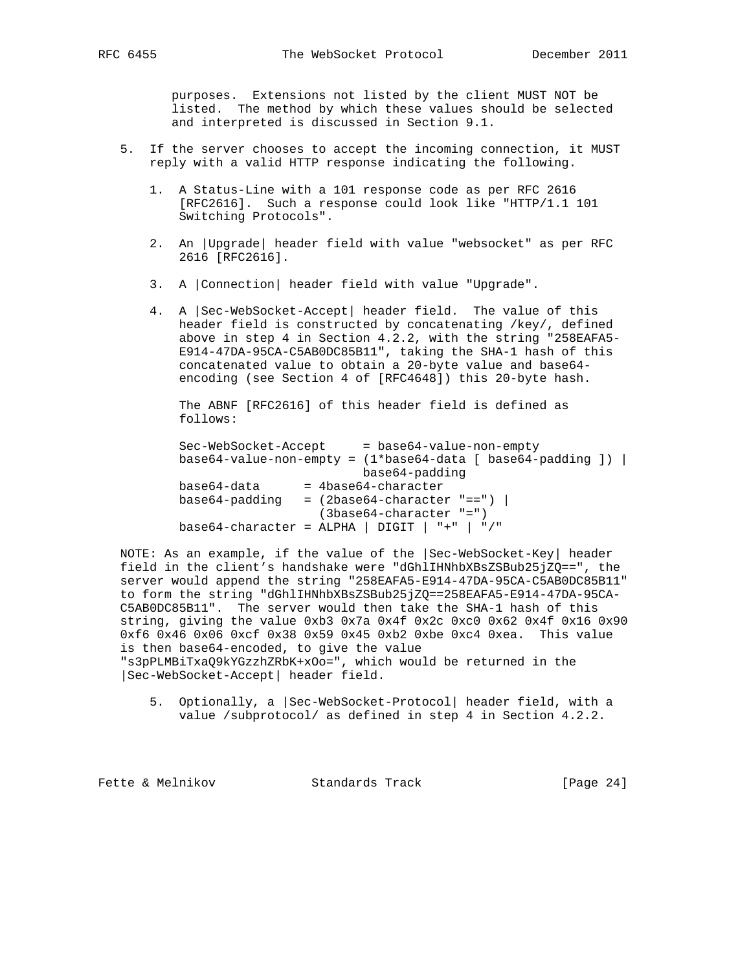purposes. Extensions not listed by the client MUST NOT be listed. The method by which these values should be selected and interpreted is discussed in Section 9.1.

- 5. If the server chooses to accept the incoming connection, it MUST reply with a valid HTTP response indicating the following.
	- 1. A Status-Line with a 101 response code as per RFC 2616 [RFC2616]. Such a response could look like "HTTP/1.1 101 Switching Protocols".
	- 2. An |Upgrade| header field with value "websocket" as per RFC 2616 [RFC2616].
	- 3. A |Connection| header field with value "Upgrade".
	- 4. A |Sec-WebSocket-Accept| header field. The value of this header field is constructed by concatenating /key/, defined above in step 4 in Section 4.2.2, with the string "258EAFA5- E914-47DA-95CA-C5AB0DC85B11", taking the SHA-1 hash of this concatenated value to obtain a 20-byte value and base64 encoding (see Section 4 of [RFC4648]) this 20-byte hash.

 The ABNF [RFC2616] of this header field is defined as follows:

| Sec-WebSocket-Accept | $=$ base64-value-non-empty                                   |
|----------------------|--------------------------------------------------------------|
|                      | $base64-value-non-empty = (1*base64-data [base64-padding ])$ |
|                      | base64-padding                                               |
| base64-data          | $=$ 4base64-character                                        |
| base64-padding       | $=$ (2base64-character "==") $\vert$                         |
|                      | $(3base64-character "="")$                                   |
|                      | base64-character = ALPHA   DIGIT   $"+"$   $"$ /"            |

 NOTE: As an example, if the value of the |Sec-WebSocket-Key| header field in the client's handshake were "dGhlIHNhbXBsZSBub25jZQ==", the server would append the string "258EAFA5-E914-47DA-95CA-C5AB0DC85B11" to form the string "dGhlIHNhbXBsZSBub25jZQ==258EAFA5-E914-47DA-95CA- C5AB0DC85B11". The server would then take the SHA-1 hash of this string, giving the value 0xb3 0x7a 0x4f 0x2c 0xc0 0x62 0x4f 0x16 0x90 0xf6 0x46 0x06 0xcf 0x38 0x59 0x45 0xb2 0xbe 0xc4 0xea. This value is then base64-encoded, to give the value "s3pPLMBiTxaQ9kYGzzhZRbK+xOo=", which would be returned in the |Sec-WebSocket-Accept| header field.

 5. Optionally, a |Sec-WebSocket-Protocol| header field, with a value /subprotocol/ as defined in step 4 in Section 4.2.2.

Fette & Melnikov Standards Track [Page 24]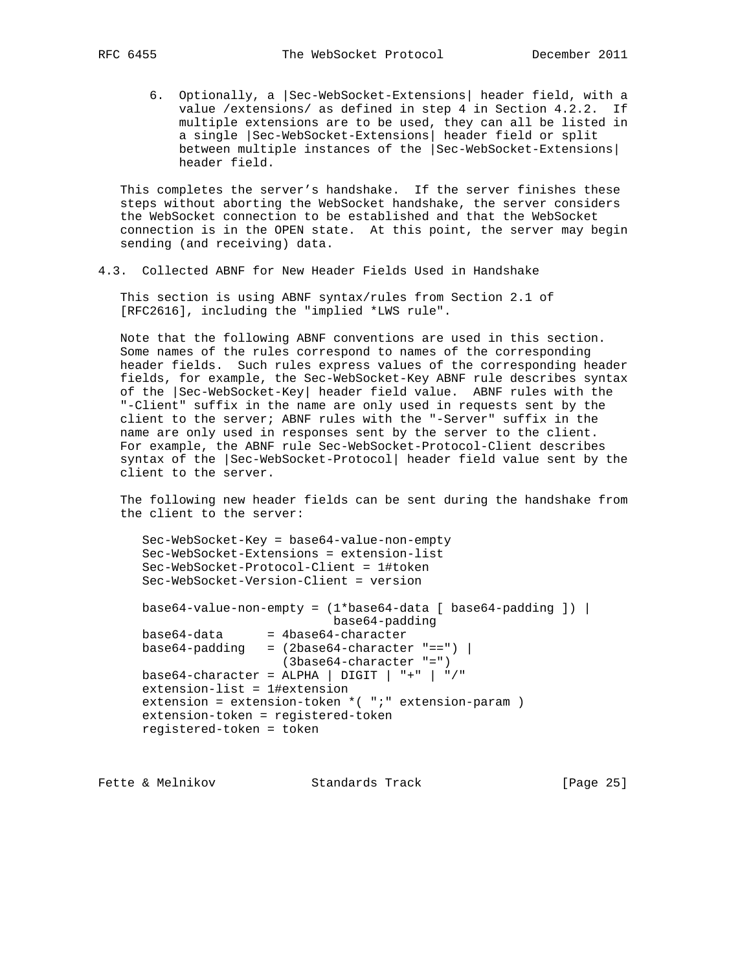6. Optionally, a |Sec-WebSocket-Extensions| header field, with a value /extensions/ as defined in step 4 in Section 4.2.2. If multiple extensions are to be used, they can all be listed in a single |Sec-WebSocket-Extensions| header field or split between multiple instances of the |Sec-WebSocket-Extensions| header field.

 This completes the server's handshake. If the server finishes these steps without aborting the WebSocket handshake, the server considers the WebSocket connection to be established and that the WebSocket connection is in the OPEN state. At this point, the server may begin sending (and receiving) data.

4.3. Collected ABNF for New Header Fields Used in Handshake

 This section is using ABNF syntax/rules from Section 2.1 of [RFC2616], including the "implied \*LWS rule".

 Note that the following ABNF conventions are used in this section. Some names of the rules correspond to names of the corresponding header fields. Such rules express values of the corresponding header fields, for example, the Sec-WebSocket-Key ABNF rule describes syntax of the |Sec-WebSocket-Key| header field value. ABNF rules with the "-Client" suffix in the name are only used in requests sent by the client to the server; ABNF rules with the "-Server" suffix in the name are only used in responses sent by the server to the client. For example, the ABNF rule Sec-WebSocket-Protocol-Client describes syntax of the |Sec-WebSocket-Protocol| header field value sent by the client to the server.

 The following new header fields can be sent during the handshake from the client to the server:

```
 Sec-WebSocket-Key = base64-value-non-empty
 Sec-WebSocket-Extensions = extension-list
 Sec-WebSocket-Protocol-Client = 1#token
 Sec-WebSocket-Version-Client = version
base64-value-non-empty = (1 * base64 - data [base64 - padding ]) base64-padding
 base64-data = 4base64-character
base64-padding = (2base64-character "==") |
                   (3base64-character "=")
base64-character = ALPHA | DIGIT | "+" | "/"
 extension-list = 1#extension
 extension = extension-token *( ";" extension-param )
 extension-token = registered-token
 registered-token = token
```
Fette & Melnikov Standards Track [Page 25]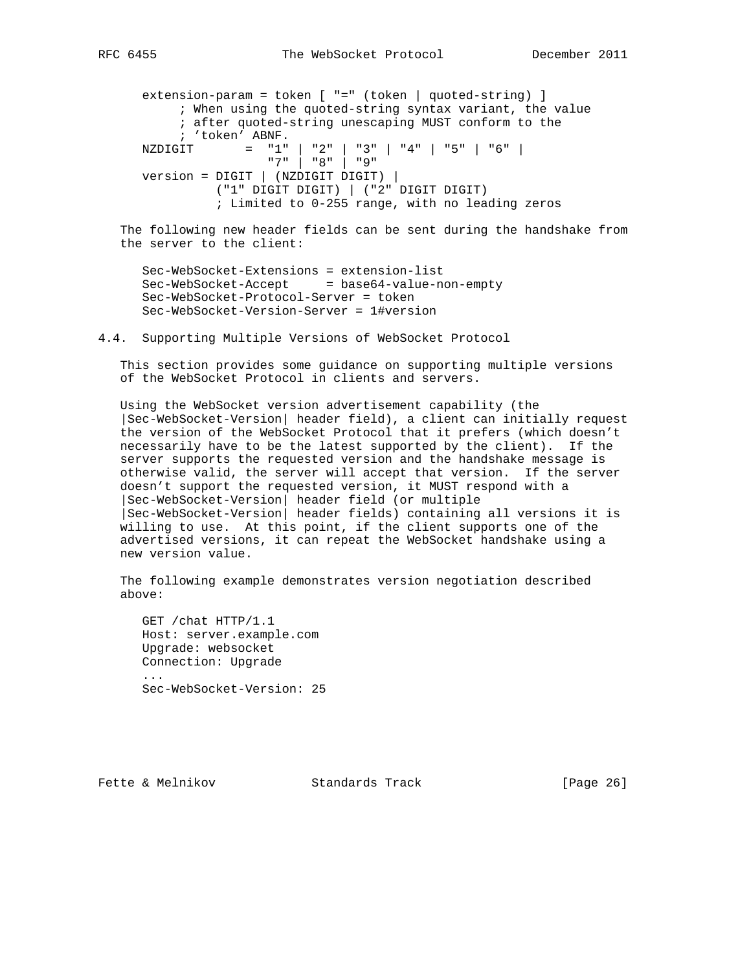extension-param = token [ "=" (token | quoted-string) ] ; When using the quoted-string syntax variant, the value ; after quoted-string unescaping MUST conform to the ; 'token' ABNF. NZDIGIT = "1" | "2" | "3" | "4" | "5" | "6" | "7" | "8" | "9" version = DIGIT | (NZDIGIT DIGIT) | ("1" DIGIT DIGIT) | ("2" DIGIT DIGIT) ; Limited to 0-255 range, with no leading zeros

 The following new header fields can be sent during the handshake from the server to the client:

 Sec-WebSocket-Extensions = extension-list Sec-WebSocket-Accept = base64-value-non-empty Sec-WebSocket-Protocol-Server = token Sec-WebSocket-Version-Server = 1#version

4.4. Supporting Multiple Versions of WebSocket Protocol

 This section provides some guidance on supporting multiple versions of the WebSocket Protocol in clients and servers.

 Using the WebSocket version advertisement capability (the |Sec-WebSocket-Version| header field), a client can initially request the version of the WebSocket Protocol that it prefers (which doesn't necessarily have to be the latest supported by the client). If the server supports the requested version and the handshake message is otherwise valid, the server will accept that version. If the server doesn't support the requested version, it MUST respond with a |Sec-WebSocket-Version| header field (or multiple |Sec-WebSocket-Version| header fields) containing all versions it is willing to use. At this point, if the client supports one of the advertised versions, it can repeat the WebSocket handshake using a new version value.

 The following example demonstrates version negotiation described above:

 GET /chat HTTP/1.1 Host: server.example.com Upgrade: websocket Connection: Upgrade ... Sec-WebSocket-Version: 25

Fette & Melnikov Standards Track [Page 26]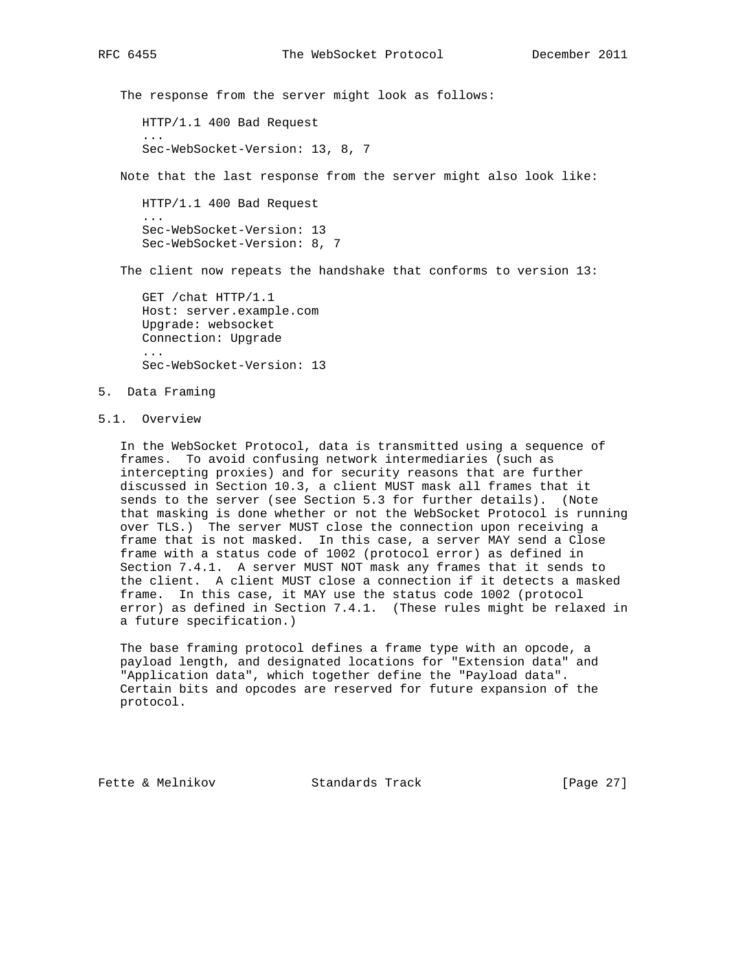The response from the server might look as follows:

HTTP/1.1 400 Bad Request

Sec-WebSocket-Version: 13, 8, 7

Note that the last response from the server might also look like:

 HTTP/1.1 400 Bad Request ... Sec-WebSocket-Version: 13 Sec-WebSocket-Version: 8, 7

The client now repeats the handshake that conforms to version 13:

 GET /chat HTTP/1.1 Host: server.example.com Upgrade: websocket Connection: Upgrade ... Sec-WebSocket-Version: 13

- 5. Data Framing
- 5.1. Overview

 In the WebSocket Protocol, data is transmitted using a sequence of frames. To avoid confusing network intermediaries (such as intercepting proxies) and for security reasons that are further discussed in Section 10.3, a client MUST mask all frames that it sends to the server (see Section 5.3 for further details). (Note that masking is done whether or not the WebSocket Protocol is running over TLS.) The server MUST close the connection upon receiving a frame that is not masked. In this case, a server MAY send a Close frame with a status code of 1002 (protocol error) as defined in Section 7.4.1. A server MUST NOT mask any frames that it sends to the client. A client MUST close a connection if it detects a masked frame. In this case, it MAY use the status code 1002 (protocol error) as defined in Section 7.4.1. (These rules might be relaxed in a future specification.)

 The base framing protocol defines a frame type with an opcode, a payload length, and designated locations for "Extension data" and "Application data", which together define the "Payload data". Certain bits and opcodes are reserved for future expansion of the protocol.

Fette & Melnikov Standards Track [Page 27]

...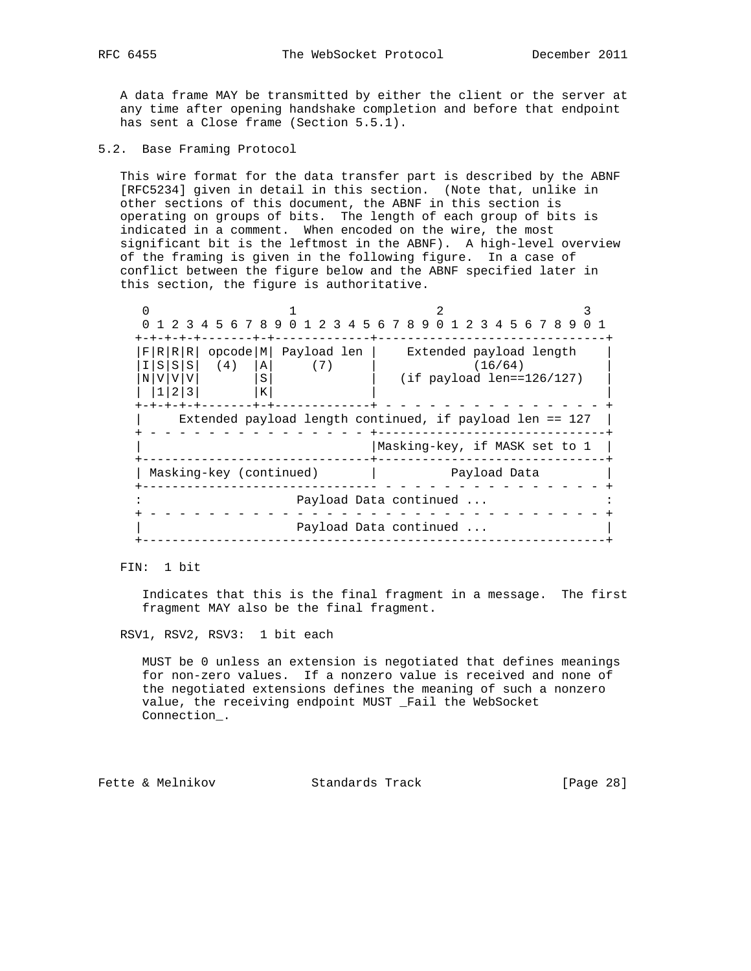A data frame MAY be transmitted by either the client or the server at any time after opening handshake completion and before that endpoint has sent a Close frame (Section 5.5.1).

5.2. Base Framing Protocol

 This wire format for the data transfer part is described by the ABNF [RFC5234] given in detail in this section. (Note that, unlike in other sections of this document, the ABNF in this section is operating on groups of bits. The length of each group of bits is indicated in a comment. When encoded on the wire, the most significant bit is the leftmost in the ABNF). A high-level overview of the framing is given in the following figure. In a case of conflict between the figure below and the ABNF specified later in this section, the figure is authoritative.

0  $1$   $2$   $3$  0 1 2 3 4 5 6 7 8 9 0 1 2 3 4 5 6 7 8 9 0 1 2 3 4 5 6 7 8 9 0 1 +-+-+-+-+-------+-+-------------+-------------------------------+ |F|R|R|R| opcode|M| Payload len | Extended payload length |  $|I|S|S|S|$  (4)  $|A|$  (7) | (16/64) | |N|V|V|V| |S| | (if payload len==126/127) |  $|1|2|3|$   $|K|$  |  $|$  +-+-+-+-+-------+-+-------------+ - - - - - - - - - - - - - - - + Extended payload length continued, if payload len ==  $127$  | + - - - - - - - - - - - - - - - +-------------------------------+ | |Masking-key, if MASK set to 1 | +-------------------------------+-------------------------------+ | Masking-key (continued) | Payload Data +-------------------------------- - - - - - - - - - - - - - - - + Payload Data continued ... + - - - - - - - - - - - - - - - - - - - - - - - - - - - - - - - + Payload Data continued ... +---------------------------------------------------------------+

FIN: 1 bit

 Indicates that this is the final fragment in a message. The first fragment MAY also be the final fragment.

RSV1, RSV2, RSV3: 1 bit each

 MUST be 0 unless an extension is negotiated that defines meanings for non-zero values. If a nonzero value is received and none of the negotiated extensions defines the meaning of such a nonzero value, the receiving endpoint MUST \_Fail the WebSocket Connection\_.

Fette & Melnikov Standards Track [Page 28]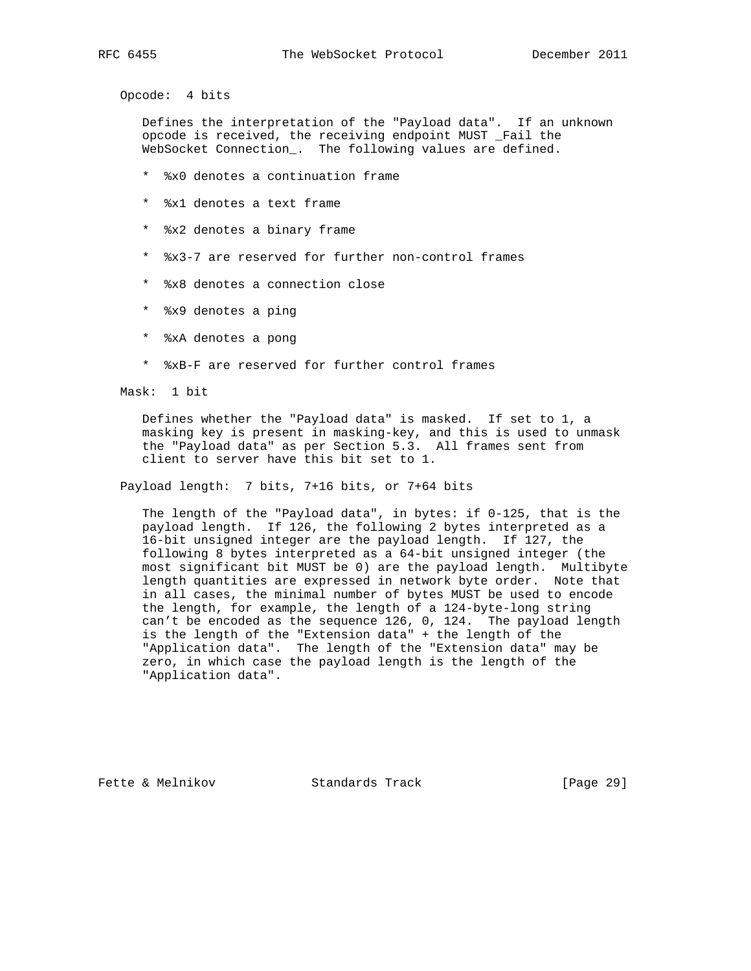Opcode: 4 bits

 Defines the interpretation of the "Payload data". If an unknown opcode is received, the receiving endpoint MUST \_Fail the WebSocket Connection\_. The following values are defined.

- \* %x0 denotes a continuation frame
- \* %x1 denotes a text frame
- \* %x2 denotes a binary frame
- \* %x3-7 are reserved for further non-control frames
- \* %x8 denotes a connection close
- \* %x9 denotes a ping
- \* %xA denotes a pong
- \* %xB-F are reserved for further control frames

Mask: 1 bit

 Defines whether the "Payload data" is masked. If set to 1, a masking key is present in masking-key, and this is used to unmask the "Payload data" as per Section 5.3. All frames sent from client to server have this bit set to 1.

Payload length: 7 bits, 7+16 bits, or 7+64 bits

 The length of the "Payload data", in bytes: if 0-125, that is the payload length. If 126, the following 2 bytes interpreted as a 16-bit unsigned integer are the payload length. If 127, the following 8 bytes interpreted as a 64-bit unsigned integer (the most significant bit MUST be 0) are the payload length. Multibyte length quantities are expressed in network byte order. Note that in all cases, the minimal number of bytes MUST be used to encode the length, for example, the length of a 124-byte-long string can't be encoded as the sequence 126, 0, 124. The payload length is the length of the "Extension data" + the length of the "Application data". The length of the "Extension data" may be zero, in which case the payload length is the length of the "Application data".

Fette & Melnikov Standards Track [Page 29]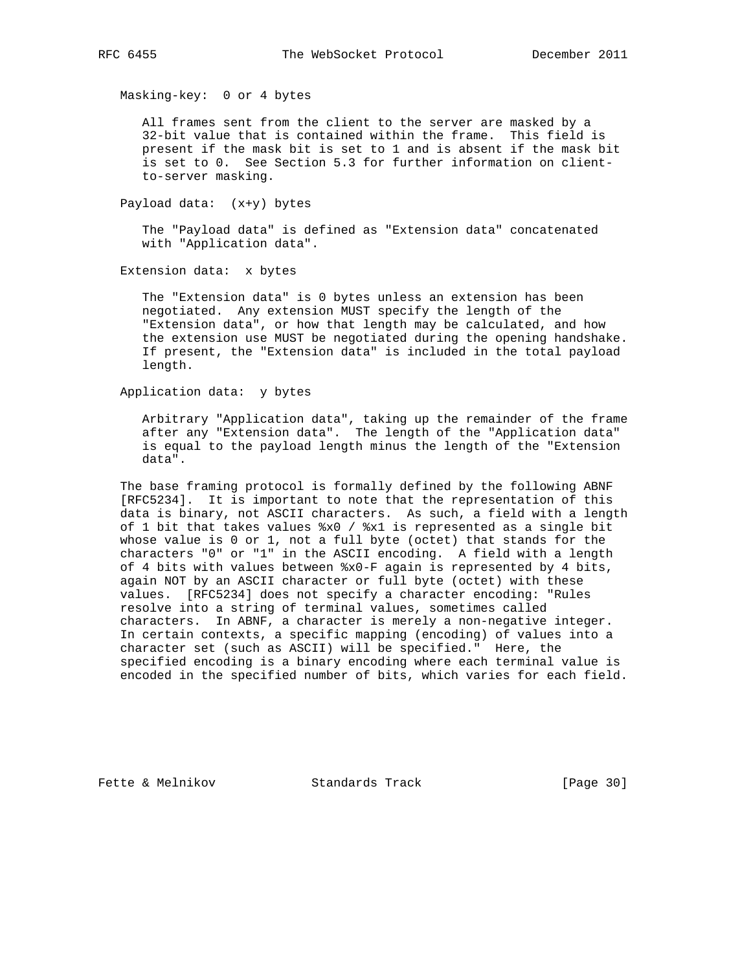Masking-key: 0 or 4 bytes

 All frames sent from the client to the server are masked by a 32-bit value that is contained within the frame. This field is present if the mask bit is set to 1 and is absent if the mask bit is set to 0. See Section 5.3 for further information on client to-server masking.

Payload data: (x+y) bytes

 The "Payload data" is defined as "Extension data" concatenated with "Application data".

Extension data: x bytes

 The "Extension data" is 0 bytes unless an extension has been negotiated. Any extension MUST specify the length of the "Extension data", or how that length may be calculated, and how the extension use MUST be negotiated during the opening handshake. If present, the "Extension data" is included in the total payload length.

Application data: y bytes

 Arbitrary "Application data", taking up the remainder of the frame after any "Extension data". The length of the "Application data" is equal to the payload length minus the length of the "Extension data".

 The base framing protocol is formally defined by the following ABNF [RFC5234]. It is important to note that the representation of this data is binary, not ASCII characters. As such, a field with a length of 1 bit that takes values %x0 / %x1 is represented as a single bit whose value is 0 or 1, not a full byte (octet) that stands for the characters "0" or "1" in the ASCII encoding. A field with a length of 4 bits with values between %x0-F again is represented by 4 bits, again NOT by an ASCII character or full byte (octet) with these values. [RFC5234] does not specify a character encoding: "Rules resolve into a string of terminal values, sometimes called characters. In ABNF, a character is merely a non-negative integer. In certain contexts, a specific mapping (encoding) of values into a character set (such as ASCII) will be specified." Here, the specified encoding is a binary encoding where each terminal value is encoded in the specified number of bits, which varies for each field.

Fette & Melnikov Standards Track [Page 30]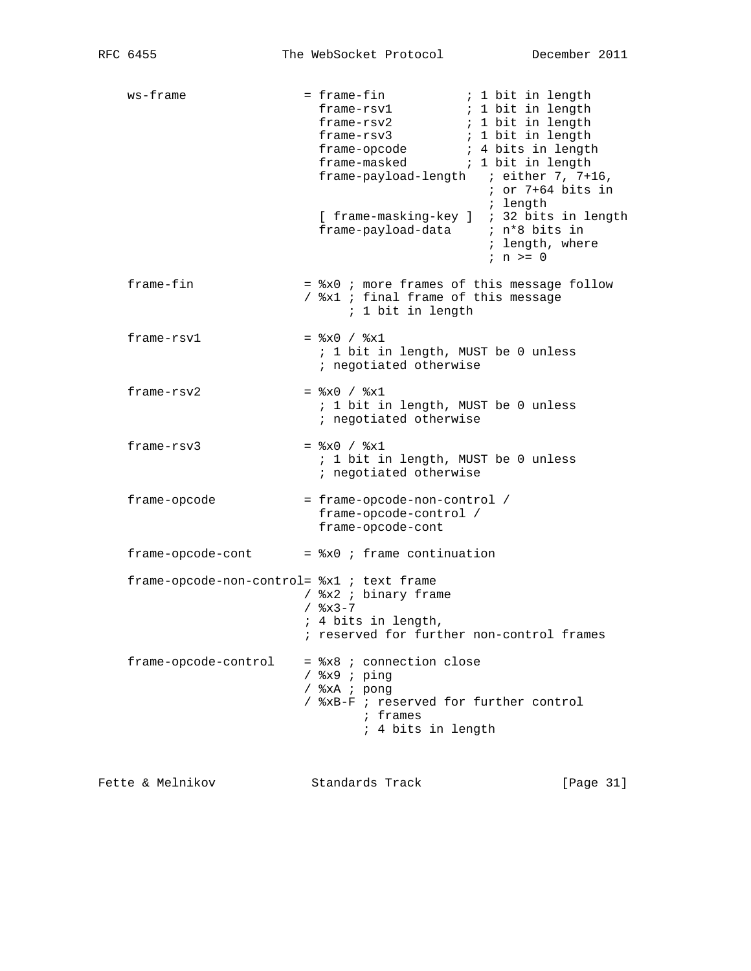| ws-frame                                   | = frame-fin<br>; 1 bit in length<br>frame-rsv1<br>; 1 bit in length<br>frame-opcode (a) ; 4 bits in length<br>frame-masked<br>; 1 bit in length<br>frame-payload-length ; either 7, 7+16,<br>$:$ or 7+64 bits in<br>; length<br>[ frame-masking-key ] ; 32 bits in length<br>; length, where<br>$i$ n $>=$ 0 |
|--------------------------------------------|--------------------------------------------------------------------------------------------------------------------------------------------------------------------------------------------------------------------------------------------------------------------------------------------------------------|
| frame-fin                                  | = %x0 ; more frames of this message follow<br>/ %x1 ; final frame of this message<br>; 1 bit in length                                                                                                                                                                                                       |
| frame-rsv1                                 | $=$ $x0 /$ $x1$<br>; 1 bit in length, MUST be 0 unless<br>; negotiated otherwise                                                                                                                                                                                                                             |
| frame-rsv2                                 | $=$ $x0 / 8x1$<br>; 1 bit in length, MUST be 0 unless<br>; negotiated otherwise                                                                                                                                                                                                                              |
| frame-rsv3                                 | $=$ $x0 /$ $x1$<br>; 1 bit in length, MUST be 0 unless<br>; negotiated otherwise                                                                                                                                                                                                                             |
| frame-opcode                               | = frame-opcode-non-control /<br>frame-opcode-control /<br>frame-opcode-cont                                                                                                                                                                                                                                  |
| frame-opcode-cont                          | $=$ $x0$ ; frame continuation                                                                                                                                                                                                                                                                                |
| frame-opcode-non-control= %x1 ; text frame | / %x2 ; binary frame<br>$/$ $\frac{8x3-7}{ }$<br>; 4 bits in length,<br>; reserved for further non-control frames                                                                                                                                                                                            |
| frame-opcode-control                       | $=$ $x8$ ; connection close<br>$/$ %x9 ; ping<br>/ %xA ; pong<br>/ %xB-F ; reserved for further control<br>; frames<br>; 4 bits in length                                                                                                                                                                    |

Fette & Melnikov Standards Track [Page 31]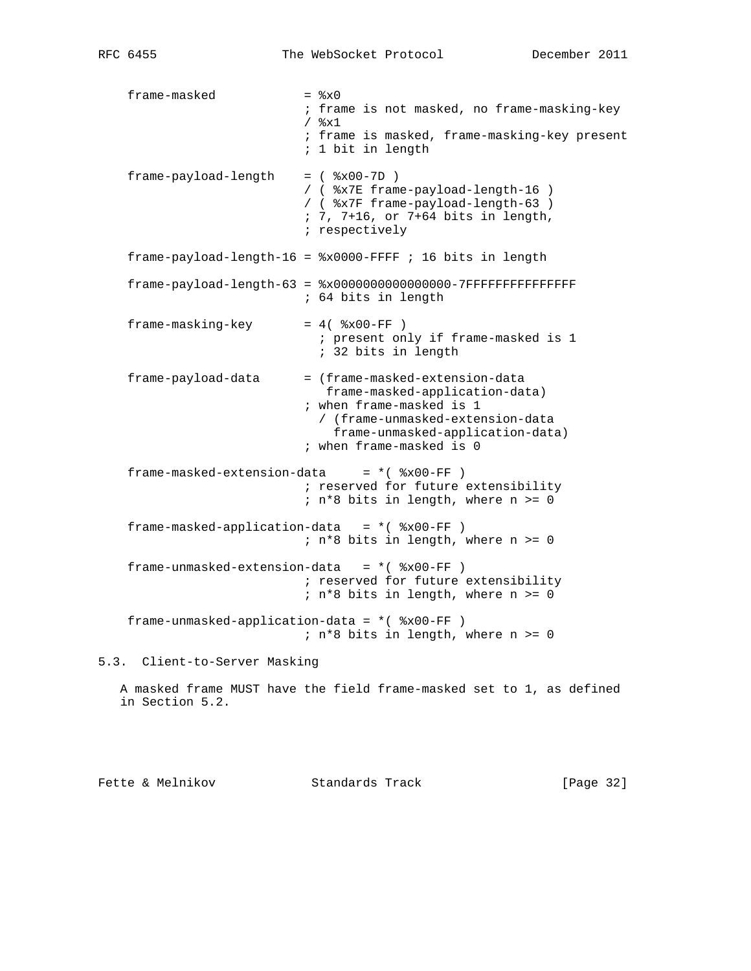$frame-masked$  =  $*x0$  ; frame is not masked, no frame-masking-key  $/$   $\textdegree x1$  ; frame is masked, frame-masking-key present ; 1 bit in length frame-payload-length = ( %x00-7D ) / ( %x7E frame-payload-length-16 ) / ( %x7F frame-payload-length-63 ) ; 7, 7+16, or 7+64 bits in length, ; respectively  $frame-payload-length-16 =  $*x0000-FFFF$  : 16 bits in length$  frame-payload-length-63 = %x0000000000000000-7FFFFFFFFFFFFFFF ; 64 bits in length  $frame-masking-key = 4( $$x00-FF$ )$  ; present only if frame-masked is 1 ; 32 bits in length frame-payload-data = (frame-masked-extension-data frame-masked-application-data) ; when frame-masked is 1 / (frame-unmasked-extension-data frame-unmasked-application-data) ; when frame-masked is 0  $frame-masked-extension-data = *( $8x00-FF$ )$  ; reserved for future extensibility ; n\*8 bits in length, where n >= 0  $frame-masked-application-data = *( $8x00-FF$ )$  ; n\*8 bits in length, where n >= 0 frame-unmasked-extension-data =  $*($   $% x00-FF )$  ; reserved for future extensibility ; n\*8 bits in length, where n >= 0 frame-unmasked-application-data = \*( %x00-FF ) ; n\*8 bits in length, where n >= 0 5.3. Client-to-Server Masking A masked frame MUST have the field frame-masked set to 1, as defined in Section 5.2.

Fette & Melnikov Standards Track [Page 32]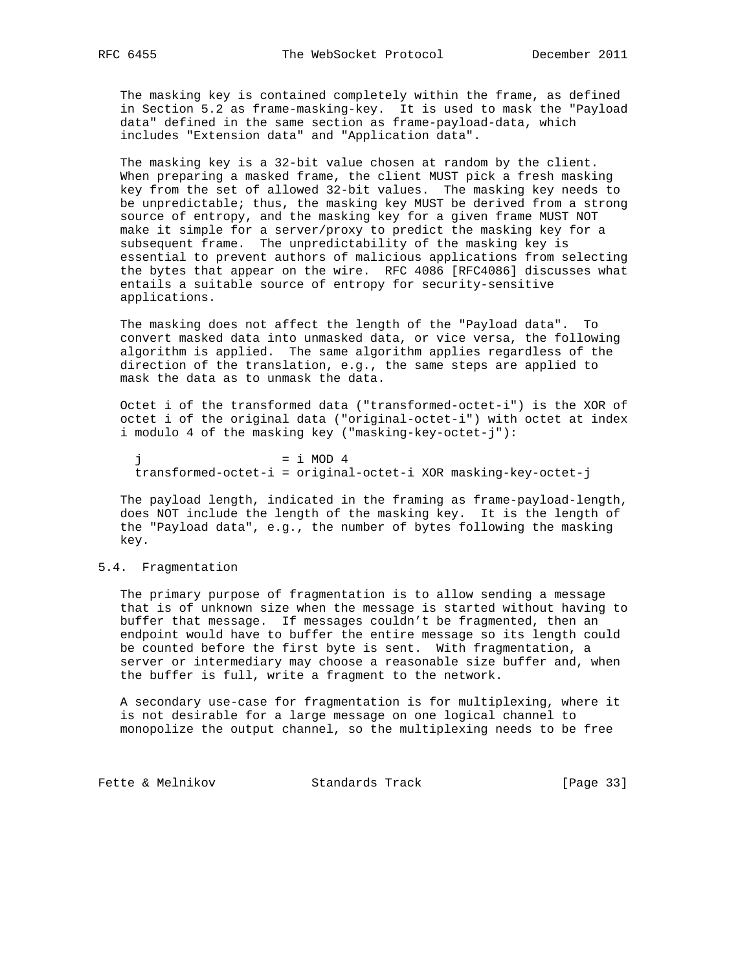The masking key is contained completely within the frame, as defined in Section 5.2 as frame-masking-key. It is used to mask the "Payload data" defined in the same section as frame-payload-data, which includes "Extension data" and "Application data".

 The masking key is a 32-bit value chosen at random by the client. When preparing a masked frame, the client MUST pick a fresh masking key from the set of allowed 32-bit values. The masking key needs to be unpredictable; thus, the masking key MUST be derived from a strong source of entropy, and the masking key for a given frame MUST NOT make it simple for a server/proxy to predict the masking key for a subsequent frame. The unpredictability of the masking key is essential to prevent authors of malicious applications from selecting the bytes that appear on the wire. RFC 4086 [RFC4086] discusses what entails a suitable source of entropy for security-sensitive applications.

 The masking does not affect the length of the "Payload data". To convert masked data into unmasked data, or vice versa, the following algorithm is applied. The same algorithm applies regardless of the direction of the translation, e.g., the same steps are applied to mask the data as to unmask the data.

 Octet i of the transformed data ("transformed-octet-i") is the XOR of octet i of the original data ("original-octet-i") with octet at index i modulo 4 of the masking key ("masking-key-octet-j"):

 $= i$  MOD 4 transformed-octet-i = original-octet-i XOR masking-key-octet-j

 The payload length, indicated in the framing as frame-payload-length, does NOT include the length of the masking key. It is the length of the "Payload data", e.g., the number of bytes following the masking key.

#### 5.4. Fragmentation

 The primary purpose of fragmentation is to allow sending a message that is of unknown size when the message is started without having to buffer that message. If messages couldn't be fragmented, then an endpoint would have to buffer the entire message so its length could be counted before the first byte is sent. With fragmentation, a server or intermediary may choose a reasonable size buffer and, when the buffer is full, write a fragment to the network.

 A secondary use-case for fragmentation is for multiplexing, where it is not desirable for a large message on one logical channel to monopolize the output channel, so the multiplexing needs to be free

Fette & Melnikov Standards Track [Page 33]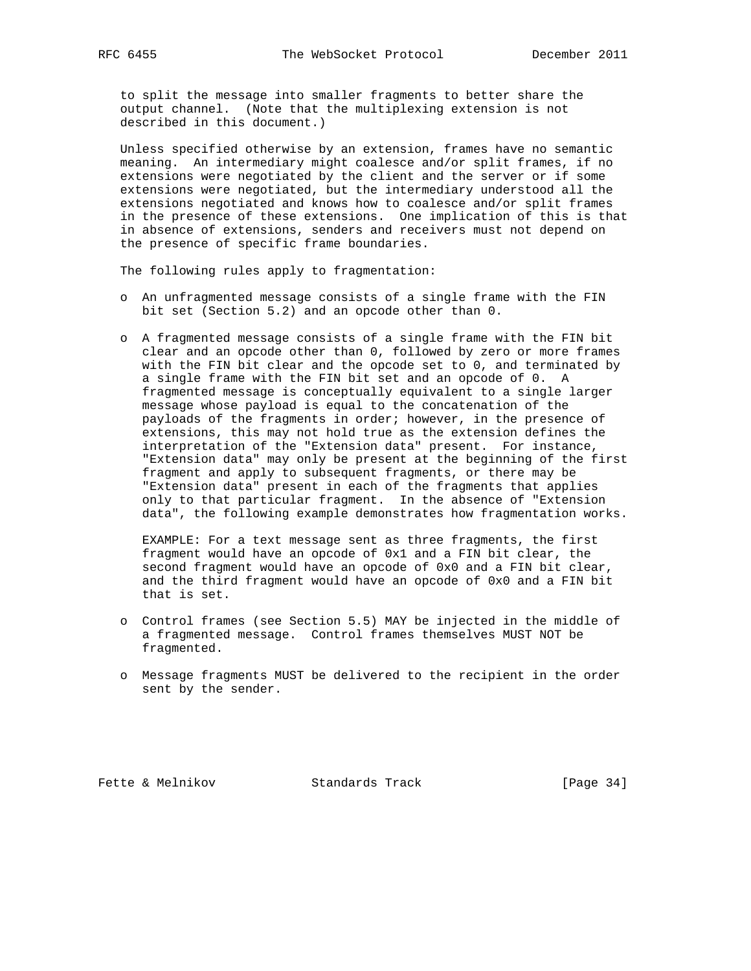to split the message into smaller fragments to better share the output channel. (Note that the multiplexing extension is not described in this document.)

 Unless specified otherwise by an extension, frames have no semantic meaning. An intermediary might coalesce and/or split frames, if no extensions were negotiated by the client and the server or if some extensions were negotiated, but the intermediary understood all the extensions negotiated and knows how to coalesce and/or split frames in the presence of these extensions. One implication of this is that in absence of extensions, senders and receivers must not depend on the presence of specific frame boundaries.

The following rules apply to fragmentation:

- o An unfragmented message consists of a single frame with the FIN bit set (Section 5.2) and an opcode other than 0.
- o A fragmented message consists of a single frame with the FIN bit clear and an opcode other than 0, followed by zero or more frames with the FIN bit clear and the opcode set to 0, and terminated by a single frame with the FIN bit set and an opcode of 0. A fragmented message is conceptually equivalent to a single larger message whose payload is equal to the concatenation of the payloads of the fragments in order; however, in the presence of extensions, this may not hold true as the extension defines the interpretation of the "Extension data" present. For instance, "Extension data" may only be present at the beginning of the first fragment and apply to subsequent fragments, or there may be "Extension data" present in each of the fragments that applies only to that particular fragment. In the absence of "Extension data", the following example demonstrates how fragmentation works.

 EXAMPLE: For a text message sent as three fragments, the first fragment would have an opcode of 0x1 and a FIN bit clear, the second fragment would have an opcode of 0x0 and a FIN bit clear, and the third fragment would have an opcode of 0x0 and a FIN bit that is set.

- o Control frames (see Section 5.5) MAY be injected in the middle of a fragmented message. Control frames themselves MUST NOT be fragmented.
- o Message fragments MUST be delivered to the recipient in the order sent by the sender.

Fette & Melnikov Standards Track [Page 34]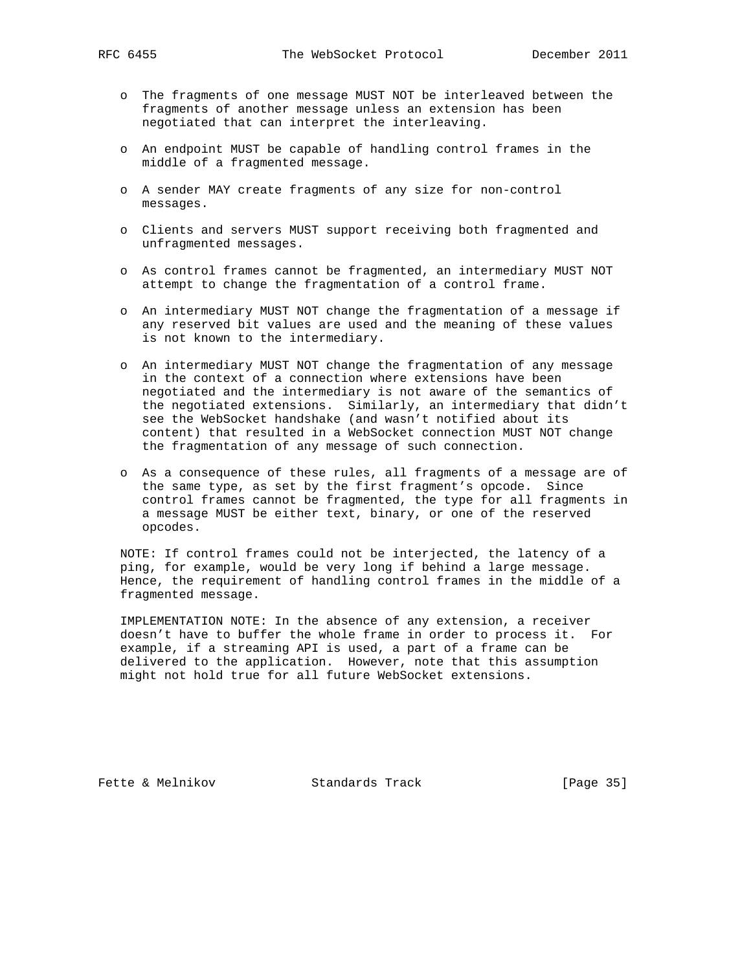- o The fragments of one message MUST NOT be interleaved between the fragments of another message unless an extension has been negotiated that can interpret the interleaving.
- o An endpoint MUST be capable of handling control frames in the middle of a fragmented message.
- o A sender MAY create fragments of any size for non-control messages.
- o Clients and servers MUST support receiving both fragmented and unfragmented messages.
- o As control frames cannot be fragmented, an intermediary MUST NOT attempt to change the fragmentation of a control frame.
- o An intermediary MUST NOT change the fragmentation of a message if any reserved bit values are used and the meaning of these values is not known to the intermediary.
- o An intermediary MUST NOT change the fragmentation of any message in the context of a connection where extensions have been negotiated and the intermediary is not aware of the semantics of the negotiated extensions. Similarly, an intermediary that didn't see the WebSocket handshake (and wasn't notified about its content) that resulted in a WebSocket connection MUST NOT change the fragmentation of any message of such connection.
- o As a consequence of these rules, all fragments of a message are of the same type, as set by the first fragment's opcode. Since control frames cannot be fragmented, the type for all fragments in a message MUST be either text, binary, or one of the reserved opcodes.

 NOTE: If control frames could not be interjected, the latency of a ping, for example, would be very long if behind a large message. Hence, the requirement of handling control frames in the middle of a fragmented message.

 IMPLEMENTATION NOTE: In the absence of any extension, a receiver doesn't have to buffer the whole frame in order to process it. For example, if a streaming API is used, a part of a frame can be delivered to the application. However, note that this assumption might not hold true for all future WebSocket extensions.

Fette & Melnikov Standards Track [Page 35]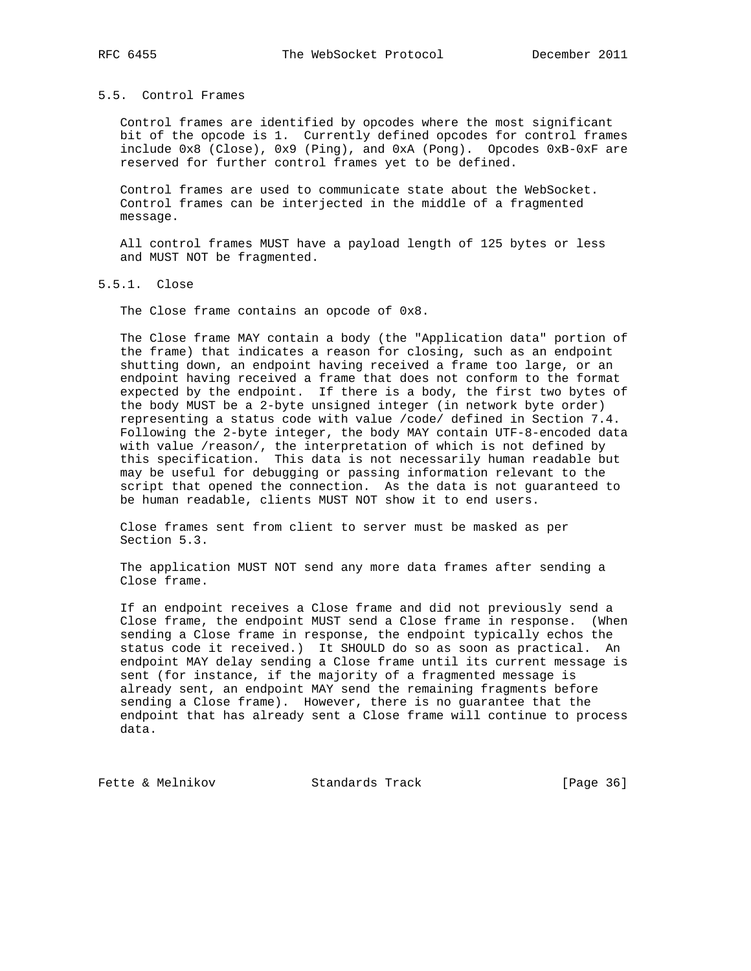#### 5.5. Control Frames

 Control frames are identified by opcodes where the most significant bit of the opcode is 1. Currently defined opcodes for control frames include 0x8 (Close), 0x9 (Ping), and 0xA (Pong). Opcodes 0xB-0xF are reserved for further control frames yet to be defined.

 Control frames are used to communicate state about the WebSocket. Control frames can be interjected in the middle of a fragmented message.

 All control frames MUST have a payload length of 125 bytes or less and MUST NOT be fragmented.

5.5.1. Close

The Close frame contains an opcode of 0x8.

 The Close frame MAY contain a body (the "Application data" portion of the frame) that indicates a reason for closing, such as an endpoint shutting down, an endpoint having received a frame too large, or an endpoint having received a frame that does not conform to the format expected by the endpoint. If there is a body, the first two bytes of the body MUST be a 2-byte unsigned integer (in network byte order) representing a status code with value /code/ defined in Section 7.4. Following the 2-byte integer, the body MAY contain UTF-8-encoded data with value /reason/, the interpretation of which is not defined by this specification. This data is not necessarily human readable but may be useful for debugging or passing information relevant to the script that opened the connection. As the data is not guaranteed to be human readable, clients MUST NOT show it to end users.

 Close frames sent from client to server must be masked as per Section 5.3.

 The application MUST NOT send any more data frames after sending a Close frame.

 If an endpoint receives a Close frame and did not previously send a Close frame, the endpoint MUST send a Close frame in response. (When sending a Close frame in response, the endpoint typically echos the status code it received.) It SHOULD do so as soon as practical. An endpoint MAY delay sending a Close frame until its current message is sent (for instance, if the majority of a fragmented message is already sent, an endpoint MAY send the remaining fragments before sending a Close frame). However, there is no guarantee that the endpoint that has already sent a Close frame will continue to process data.

Fette & Melnikov Standards Track [Page 36]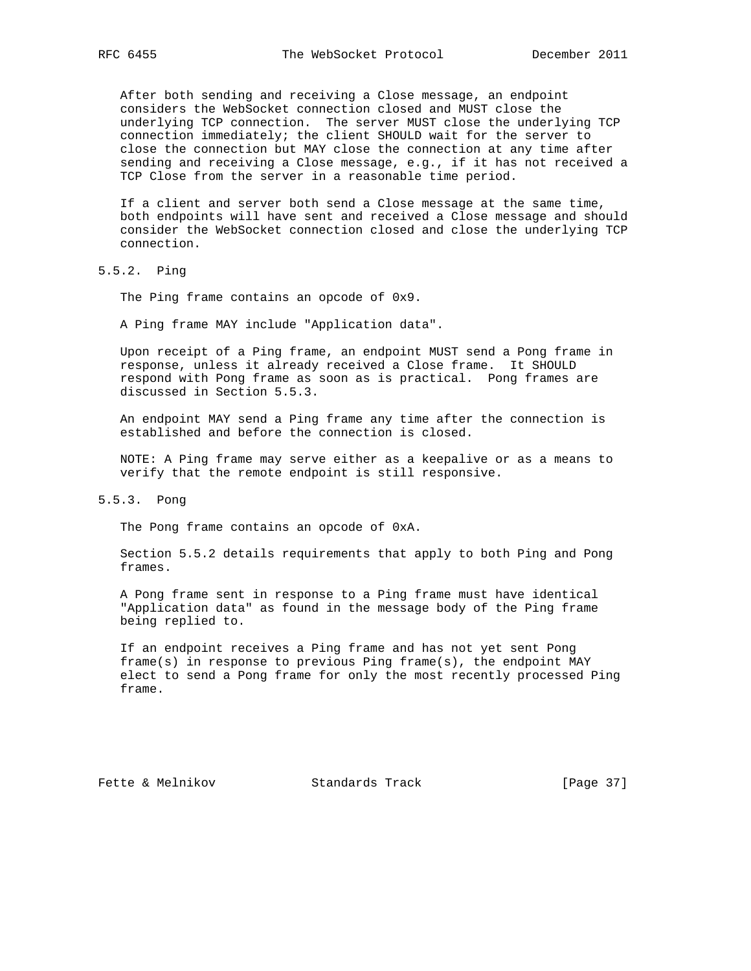After both sending and receiving a Close message, an endpoint considers the WebSocket connection closed and MUST close the underlying TCP connection. The server MUST close the underlying TCP connection immediately; the client SHOULD wait for the server to close the connection but MAY close the connection at any time after sending and receiving a Close message, e.g., if it has not received a TCP Close from the server in a reasonable time period.

 If a client and server both send a Close message at the same time, both endpoints will have sent and received a Close message and should consider the WebSocket connection closed and close the underlying TCP connection.

5.5.2. Ping

The Ping frame contains an opcode of 0x9.

A Ping frame MAY include "Application data".

 Upon receipt of a Ping frame, an endpoint MUST send a Pong frame in response, unless it already received a Close frame. It SHOULD respond with Pong frame as soon as is practical. Pong frames are discussed in Section 5.5.3.

 An endpoint MAY send a Ping frame any time after the connection is established and before the connection is closed.

 NOTE: A Ping frame may serve either as a keepalive or as a means to verify that the remote endpoint is still responsive.

### 5.5.3. Pong

The Pong frame contains an opcode of 0xA.

 Section 5.5.2 details requirements that apply to both Ping and Pong frames.

 A Pong frame sent in response to a Ping frame must have identical "Application data" as found in the message body of the Ping frame being replied to.

 If an endpoint receives a Ping frame and has not yet sent Pong frame(s) in response to previous Ping frame(s), the endpoint MAY elect to send a Pong frame for only the most recently processed Ping frame.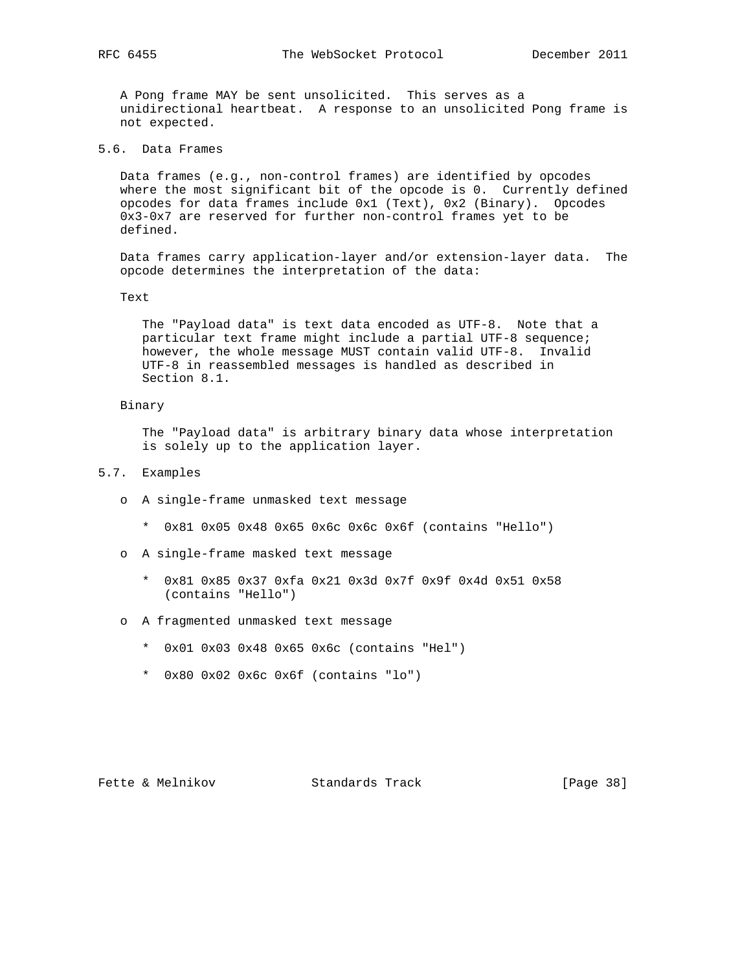A Pong frame MAY be sent unsolicited. This serves as a unidirectional heartbeat. A response to an unsolicited Pong frame is not expected.

5.6. Data Frames

 Data frames (e.g., non-control frames) are identified by opcodes where the most significant bit of the opcode is 0. Currently defined opcodes for data frames include 0x1 (Text), 0x2 (Binary). Opcodes 0x3-0x7 are reserved for further non-control frames yet to be defined.

 Data frames carry application-layer and/or extension-layer data. The opcode determines the interpretation of the data:

Text

 The "Payload data" is text data encoded as UTF-8. Note that a particular text frame might include a partial UTF-8 sequence; however, the whole message MUST contain valid UTF-8. Invalid UTF-8 in reassembled messages is handled as described in Section 8.1.

#### Binary

 The "Payload data" is arbitrary binary data whose interpretation is solely up to the application layer.

- 5.7. Examples
	- o A single-frame unmasked text message
		- \* 0x81 0x05 0x48 0x65 0x6c 0x6c 0x6f (contains "Hello")
	- o A single-frame masked text message
		- \* 0x81 0x85 0x37 0xfa 0x21 0x3d 0x7f 0x9f 0x4d 0x51 0x58 (contains "Hello")
	- o A fragmented unmasked text message
		- \* 0x01 0x03 0x48 0x65 0x6c (contains "Hel")
		- \* 0x80 0x02 0x6c 0x6f (contains "lo")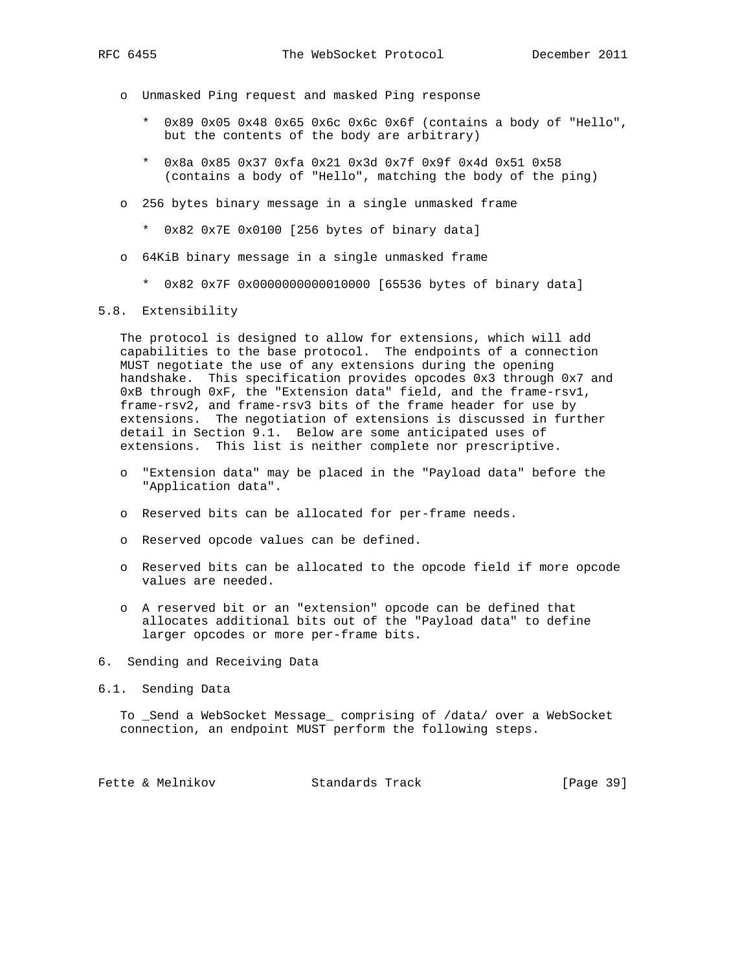- - o Unmasked Ping request and masked Ping response
		- \* 0x89 0x05 0x48 0x65 0x6c 0x6c 0x6f (contains a body of "Hello", but the contents of the body are arbitrary)
		- \* 0x8a 0x85 0x37 0xfa 0x21 0x3d 0x7f 0x9f 0x4d 0x51 0x58 (contains a body of "Hello", matching the body of the ping)
	- o 256 bytes binary message in a single unmasked frame
		- \* 0x82 0x7E 0x0100 [256 bytes of binary data]
	- o 64KiB binary message in a single unmasked frame
		- \* 0x82 0x7F 0x0000000000010000 [65536 bytes of binary data]

#### 5.8. Extensibility

 The protocol is designed to allow for extensions, which will add capabilities to the base protocol. The endpoints of a connection MUST negotiate the use of any extensions during the opening handshake. This specification provides opcodes 0x3 through 0x7 and 0xB through 0xF, the "Extension data" field, and the frame-rsv1, frame-rsv2, and frame-rsv3 bits of the frame header for use by extensions. The negotiation of extensions is discussed in further detail in Section 9.1. Below are some anticipated uses of extensions. This list is neither complete nor prescriptive.

- o "Extension data" may be placed in the "Payload data" before the "Application data".
- o Reserved bits can be allocated for per-frame needs.
- o Reserved opcode values can be defined.
- o Reserved bits can be allocated to the opcode field if more opcode values are needed.
- o A reserved bit or an "extension" opcode can be defined that allocates additional bits out of the "Payload data" to define larger opcodes or more per-frame bits.
- 6. Sending and Receiving Data
- 6.1. Sending Data

 To \_Send a WebSocket Message\_ comprising of /data/ over a WebSocket connection, an endpoint MUST perform the following steps.

Fette & Melnikov Standards Track [Page 39]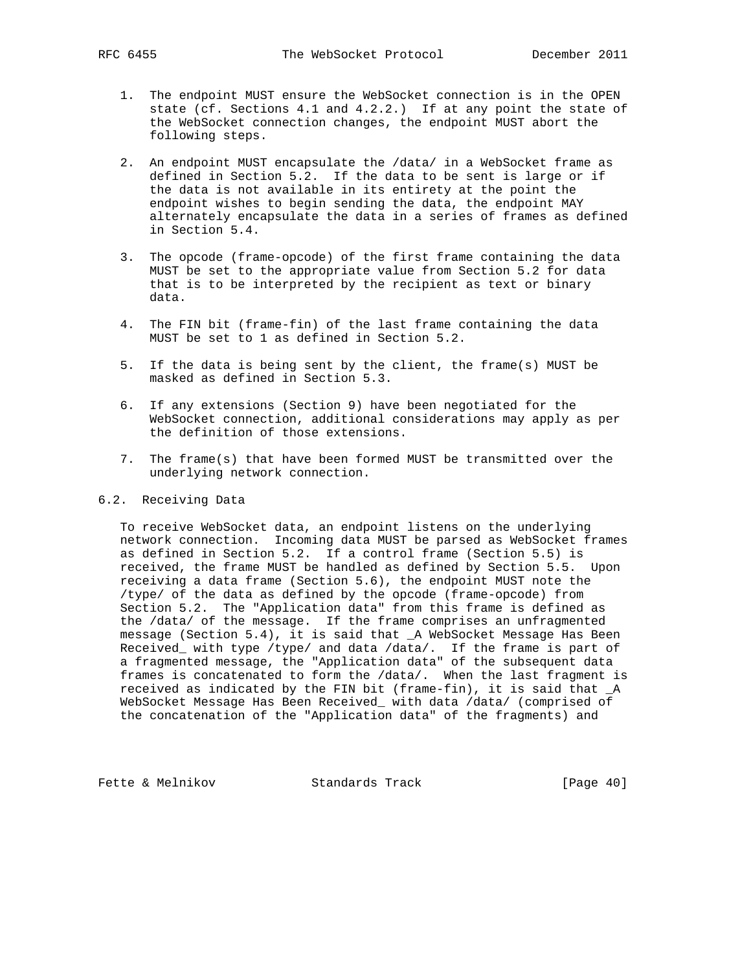- 1. The endpoint MUST ensure the WebSocket connection is in the OPEN state (cf. Sections 4.1 and 4.2.2.) If at any point the state of the WebSocket connection changes, the endpoint MUST abort the following steps.
- 2. An endpoint MUST encapsulate the /data/ in a WebSocket frame as defined in Section 5.2. If the data to be sent is large or if the data is not available in its entirety at the point the endpoint wishes to begin sending the data, the endpoint MAY alternately encapsulate the data in a series of frames as defined in Section 5.4.
- 3. The opcode (frame-opcode) of the first frame containing the data MUST be set to the appropriate value from Section 5.2 for data that is to be interpreted by the recipient as text or binary data.
- 4. The FIN bit (frame-fin) of the last frame containing the data MUST be set to 1 as defined in Section 5.2.
- 5. If the data is being sent by the client, the frame(s) MUST be masked as defined in Section 5.3.
- 6. If any extensions (Section 9) have been negotiated for the WebSocket connection, additional considerations may apply as per the definition of those extensions.
- 7. The frame(s) that have been formed MUST be transmitted over the underlying network connection.

# 6.2. Receiving Data

 To receive WebSocket data, an endpoint listens on the underlying network connection. Incoming data MUST be parsed as WebSocket frames as defined in Section 5.2. If a control frame (Section 5.5) is received, the frame MUST be handled as defined by Section 5.5. Upon receiving a data frame (Section 5.6), the endpoint MUST note the /type/ of the data as defined by the opcode (frame-opcode) from Section 5.2. The "Application data" from this frame is defined as the /data/ of the message. If the frame comprises an unfragmented message (Section 5.4), it is said that \_A WebSocket Message Has Been Received\_ with type /type/ and data /data/. If the frame is part of a fragmented message, the "Application data" of the subsequent data frames is concatenated to form the /data/. When the last fragment is received as indicated by the FIN bit (frame-fin), it is said that \_A WebSocket Message Has Been Received\_ with data /data/ (comprised of the concatenation of the "Application data" of the fragments) and

Fette & Melnikov Standards Track [Page 40]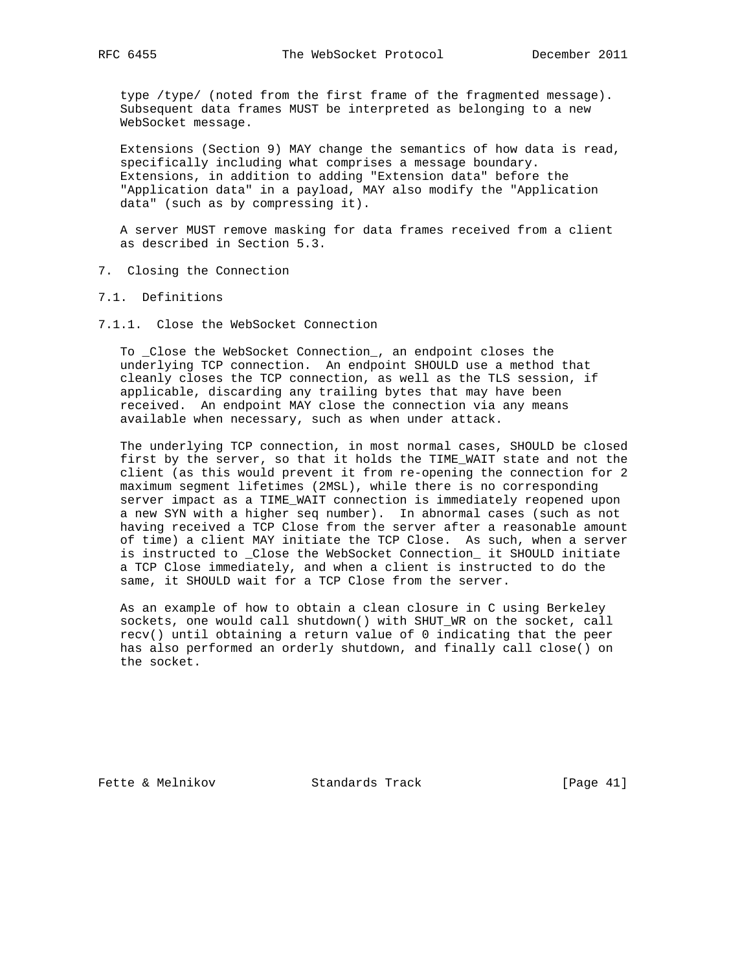type /type/ (noted from the first frame of the fragmented message). Subsequent data frames MUST be interpreted as belonging to a new WebSocket message.

 Extensions (Section 9) MAY change the semantics of how data is read, specifically including what comprises a message boundary. Extensions, in addition to adding "Extension data" before the "Application data" in a payload, MAY also modify the "Application data" (such as by compressing it).

 A server MUST remove masking for data frames received from a client as described in Section 5.3.

- 7. Closing the Connection
- 7.1. Definitions
- 7.1.1. Close the WebSocket Connection

 To \_Close the WebSocket Connection\_, an endpoint closes the underlying TCP connection. An endpoint SHOULD use a method that cleanly closes the TCP connection, as well as the TLS session, if applicable, discarding any trailing bytes that may have been received. An endpoint MAY close the connection via any means available when necessary, such as when under attack.

 The underlying TCP connection, in most normal cases, SHOULD be closed first by the server, so that it holds the TIME\_WAIT state and not the client (as this would prevent it from re-opening the connection for 2 maximum segment lifetimes (2MSL), while there is no corresponding server impact as a TIME\_WAIT connection is immediately reopened upon a new SYN with a higher seq number). In abnormal cases (such as not having received a TCP Close from the server after a reasonable amount of time) a client MAY initiate the TCP Close. As such, when a server is instructed to \_Close the WebSocket Connection\_ it SHOULD initiate a TCP Close immediately, and when a client is instructed to do the same, it SHOULD wait for a TCP Close from the server.

 As an example of how to obtain a clean closure in C using Berkeley sockets, one would call shutdown() with SHUT\_WR on the socket, call recv() until obtaining a return value of 0 indicating that the peer has also performed an orderly shutdown, and finally call close() on the socket.

Fette & Melnikov Standards Track [Page 41]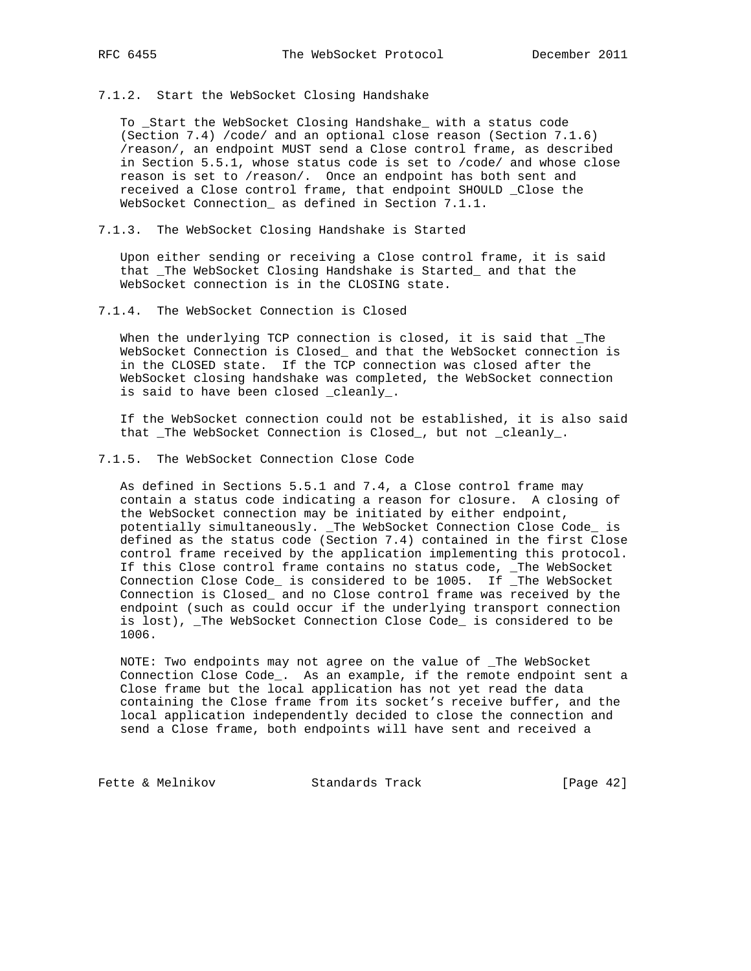7.1.2. Start the WebSocket Closing Handshake

 To \_Start the WebSocket Closing Handshake\_ with a status code (Section 7.4) /code/ and an optional close reason (Section 7.1.6) /reason/, an endpoint MUST send a Close control frame, as described in Section 5.5.1, whose status code is set to /code/ and whose close reason is set to /reason/. Once an endpoint has both sent and received a Close control frame, that endpoint SHOULD \_Close the WebSocket Connection\_ as defined in Section 7.1.1.

7.1.3. The WebSocket Closing Handshake is Started

 Upon either sending or receiving a Close control frame, it is said that \_The WebSocket Closing Handshake is Started\_ and that the WebSocket connection is in the CLOSING state.

7.1.4. The WebSocket Connection is Closed

 When the underlying TCP connection is closed, it is said that \_The WebSocket Connection is Closed\_ and that the WebSocket connection is in the CLOSED state. If the TCP connection was closed after the WebSocket closing handshake was completed, the WebSocket connection is said to have been closed \_cleanly\_.

 If the WebSocket connection could not be established, it is also said that \_The WebSocket Connection is Closed\_, but not \_cleanly\_.

7.1.5. The WebSocket Connection Close Code

 As defined in Sections 5.5.1 and 7.4, a Close control frame may contain a status code indicating a reason for closure. A closing of the WebSocket connection may be initiated by either endpoint, potentially simultaneously. \_The WebSocket Connection Close Code\_ is defined as the status code (Section 7.4) contained in the first Close control frame received by the application implementing this protocol. If this Close control frame contains no status code, \_The WebSocket Connection Close Code\_ is considered to be 1005. If \_The WebSocket Connection is Closed\_ and no Close control frame was received by the endpoint (such as could occur if the underlying transport connection is lost), \_The WebSocket Connection Close Code\_ is considered to be 1006.

 NOTE: Two endpoints may not agree on the value of \_The WebSocket Connection Close Code\_. As an example, if the remote endpoint sent a Close frame but the local application has not yet read the data containing the Close frame from its socket's receive buffer, and the local application independently decided to close the connection and send a Close frame, both endpoints will have sent and received a

Fette & Melnikov Standards Track [Page 42]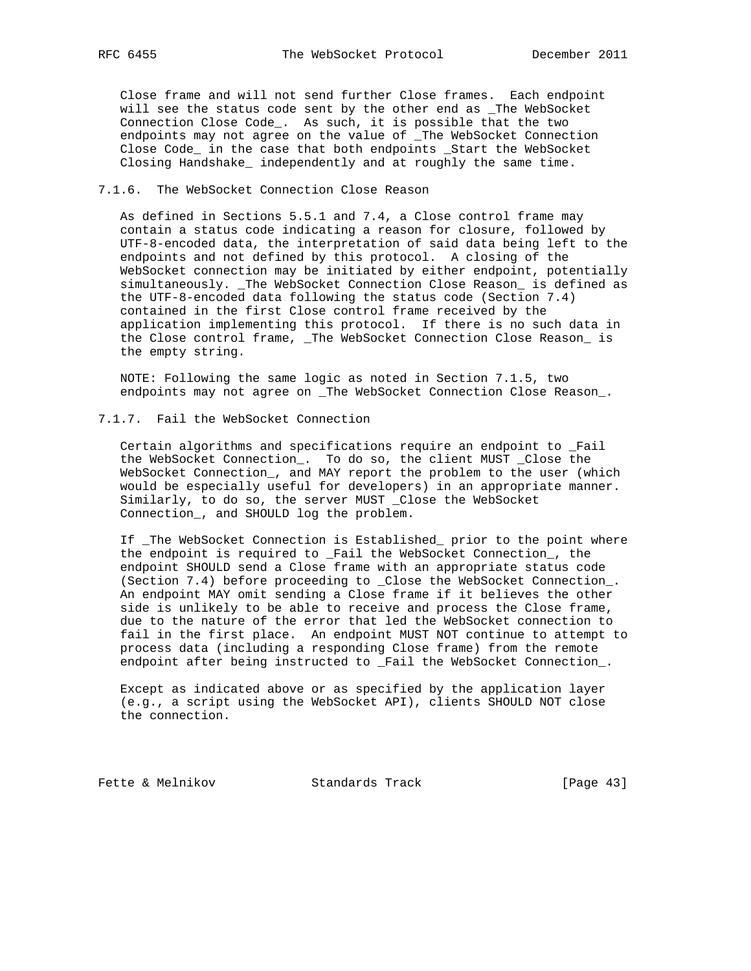Close frame and will not send further Close frames. Each endpoint will see the status code sent by the other end as \_The WebSocket Connection Close Code\_. As such, it is possible that the two endpoints may not agree on the value of \_The WebSocket Connection Close Code\_ in the case that both endpoints \_Start the WebSocket Closing Handshake\_ independently and at roughly the same time.

#### 7.1.6. The WebSocket Connection Close Reason

 As defined in Sections 5.5.1 and 7.4, a Close control frame may contain a status code indicating a reason for closure, followed by UTF-8-encoded data, the interpretation of said data being left to the endpoints and not defined by this protocol. A closing of the WebSocket connection may be initiated by either endpoint, potentially simultaneously. \_The WebSocket Connection Close Reason\_ is defined as the UTF-8-encoded data following the status code (Section 7.4) contained in the first Close control frame received by the application implementing this protocol. If there is no such data in the Close control frame, \_The WebSocket Connection Close Reason\_ is the empty string.

 NOTE: Following the same logic as noted in Section 7.1.5, two endpoints may not agree on \_The WebSocket Connection Close Reason\_.

## 7.1.7. Fail the WebSocket Connection

 Certain algorithms and specifications require an endpoint to \_Fail the WebSocket Connection\_. To do so, the client MUST \_Close the WebSocket Connection\_, and MAY report the problem to the user (which would be especially useful for developers) in an appropriate manner. Similarly, to do so, the server MUST \_Close the WebSocket Connection\_, and SHOULD log the problem.

 If \_The WebSocket Connection is Established\_ prior to the point where the endpoint is required to \_Fail the WebSocket Connection\_, the endpoint SHOULD send a Close frame with an appropriate status code (Section 7.4) before proceeding to \_Close the WebSocket Connection\_. An endpoint MAY omit sending a Close frame if it believes the other side is unlikely to be able to receive and process the Close frame, due to the nature of the error that led the WebSocket connection to fail in the first place. An endpoint MUST NOT continue to attempt to process data (including a responding Close frame) from the remote endpoint after being instructed to \_Fail the WebSocket Connection\_.

 Except as indicated above or as specified by the application layer (e.g., a script using the WebSocket API), clients SHOULD NOT close the connection.

Fette & Melnikov Standards Track [Page 43]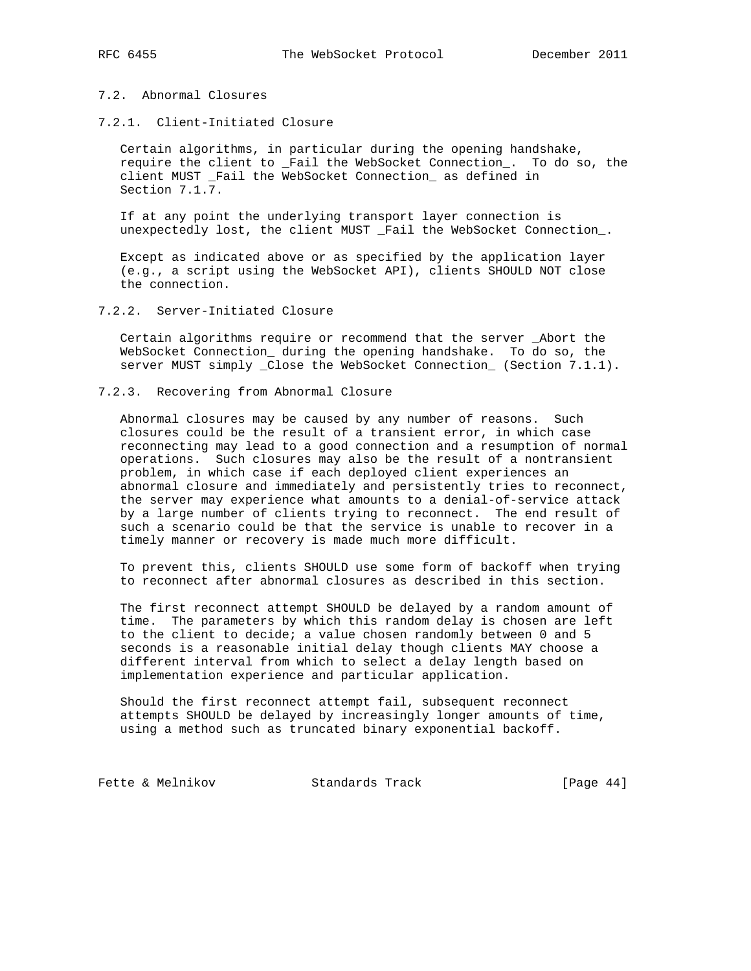## 7.2. Abnormal Closures

#### 7.2.1. Client-Initiated Closure

 Certain algorithms, in particular during the opening handshake, require the client to \_Fail the WebSocket Connection\_. To do so, the client MUST \_Fail the WebSocket Connection\_ as defined in Section 7.1.7.

 If at any point the underlying transport layer connection is unexpectedly lost, the client MUST \_Fail the WebSocket Connection\_.

 Except as indicated above or as specified by the application layer (e.g., a script using the WebSocket API), clients SHOULD NOT close the connection.

## 7.2.2. Server-Initiated Closure

 Certain algorithms require or recommend that the server \_Abort the WebSocket Connection\_ during the opening handshake. To do so, the server MUST simply \_Close the WebSocket Connection\_ (Section 7.1.1).

#### 7.2.3. Recovering from Abnormal Closure

 Abnormal closures may be caused by any number of reasons. Such closures could be the result of a transient error, in which case reconnecting may lead to a good connection and a resumption of normal operations. Such closures may also be the result of a nontransient problem, in which case if each deployed client experiences an abnormal closure and immediately and persistently tries to reconnect, the server may experience what amounts to a denial-of-service attack by a large number of clients trying to reconnect. The end result of such a scenario could be that the service is unable to recover in a timely manner or recovery is made much more difficult.

 To prevent this, clients SHOULD use some form of backoff when trying to reconnect after abnormal closures as described in this section.

 The first reconnect attempt SHOULD be delayed by a random amount of time. The parameters by which this random delay is chosen are left to the client to decide; a value chosen randomly between 0 and 5 seconds is a reasonable initial delay though clients MAY choose a different interval from which to select a delay length based on implementation experience and particular application.

 Should the first reconnect attempt fail, subsequent reconnect attempts SHOULD be delayed by increasingly longer amounts of time, using a method such as truncated binary exponential backoff.

Fette & Melnikov Standards Track [Page 44]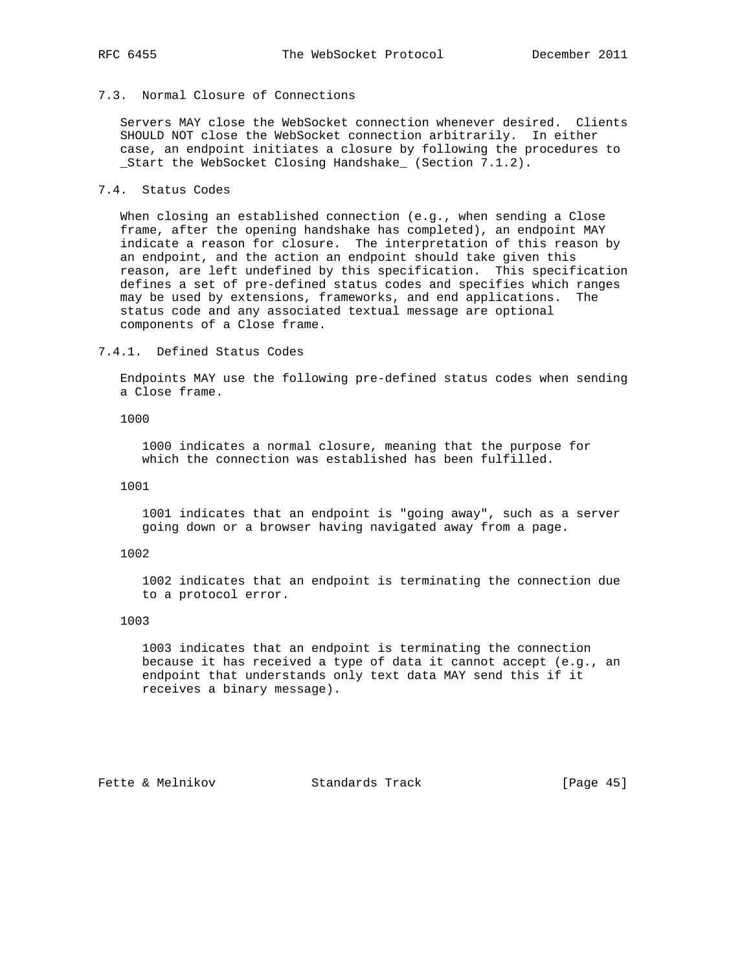# 7.3. Normal Closure of Connections

 Servers MAY close the WebSocket connection whenever desired. Clients SHOULD NOT close the WebSocket connection arbitrarily. In either case, an endpoint initiates a closure by following the procedures to \_Start the WebSocket Closing Handshake\_ (Section 7.1.2).

# 7.4. Status Codes

 When closing an established connection (e.g., when sending a Close frame, after the opening handshake has completed), an endpoint MAY indicate a reason for closure. The interpretation of this reason by an endpoint, and the action an endpoint should take given this reason, are left undefined by this specification. This specification defines a set of pre-defined status codes and specifies which ranges may be used by extensions, frameworks, and end applications. The status code and any associated textual message are optional components of a Close frame.

#### 7.4.1. Defined Status Codes

 Endpoints MAY use the following pre-defined status codes when sending a Close frame.

#### 1000

 1000 indicates a normal closure, meaning that the purpose for which the connection was established has been fulfilled.

### 1001

 1001 indicates that an endpoint is "going away", such as a server going down or a browser having navigated away from a page.

#### 1002

 1002 indicates that an endpoint is terminating the connection due to a protocol error.

### 1003

 1003 indicates that an endpoint is terminating the connection because it has received a type of data it cannot accept (e.g., an endpoint that understands only text data MAY send this if it receives a binary message).

Fette & Melnikov Standards Track [Page 45]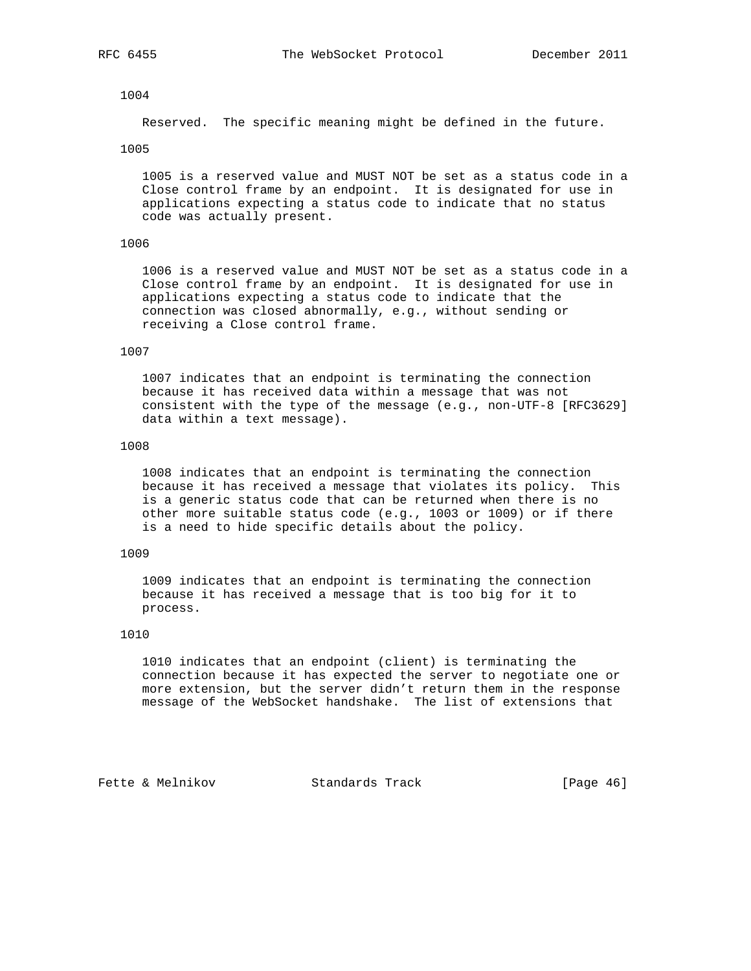#### 1004

Reserved. The specific meaning might be defined in the future.

#### 1005

 1005 is a reserved value and MUST NOT be set as a status code in a Close control frame by an endpoint. It is designated for use in applications expecting a status code to indicate that no status code was actually present.

#### 1006

 1006 is a reserved value and MUST NOT be set as a status code in a Close control frame by an endpoint. It is designated for use in applications expecting a status code to indicate that the connection was closed abnormally, e.g., without sending or receiving a Close control frame.

## 1007

 1007 indicates that an endpoint is terminating the connection because it has received data within a message that was not consistent with the type of the message (e.g., non-UTF-8 [RFC3629] data within a text message).

#### 1008

 1008 indicates that an endpoint is terminating the connection because it has received a message that violates its policy. This is a generic status code that can be returned when there is no other more suitable status code (e.g., 1003 or 1009) or if there is a need to hide specific details about the policy.

#### 1009

 1009 indicates that an endpoint is terminating the connection because it has received a message that is too big for it to process.

## 1010

 1010 indicates that an endpoint (client) is terminating the connection because it has expected the server to negotiate one or more extension, but the server didn't return them in the response message of the WebSocket handshake. The list of extensions that

Fette & Melnikov Standards Track [Page 46]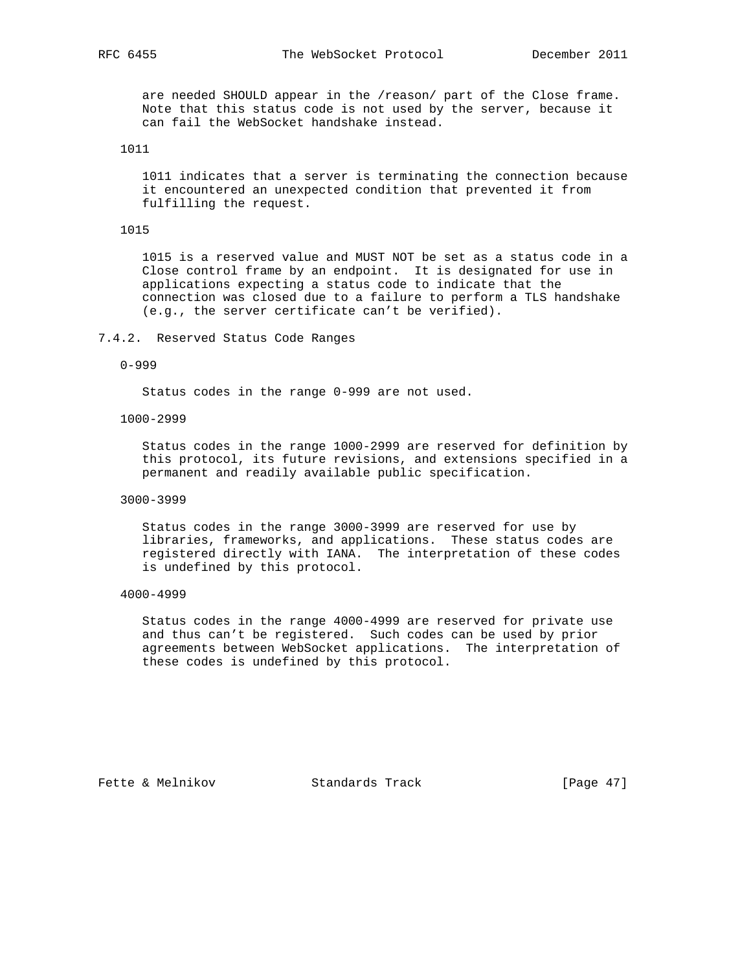are needed SHOULD appear in the /reason/ part of the Close frame. Note that this status code is not used by the server, because it can fail the WebSocket handshake instead.

#### 1011

 1011 indicates that a server is terminating the connection because it encountered an unexpected condition that prevented it from fulfilling the request.

#### 1015

 1015 is a reserved value and MUST NOT be set as a status code in a Close control frame by an endpoint. It is designated for use in applications expecting a status code to indicate that the connection was closed due to a failure to perform a TLS handshake (e.g., the server certificate can't be verified).

#### 7.4.2. Reserved Status Code Ranges

### 0-999

Status codes in the range 0-999 are not used.

## 1000-2999

 Status codes in the range 1000-2999 are reserved for definition by this protocol, its future revisions, and extensions specified in a permanent and readily available public specification.

#### 3000-3999

 Status codes in the range 3000-3999 are reserved for use by libraries, frameworks, and applications. These status codes are registered directly with IANA. The interpretation of these codes is undefined by this protocol.

#### 4000-4999

 Status codes in the range 4000-4999 are reserved for private use and thus can't be registered. Such codes can be used by prior agreements between WebSocket applications. The interpretation of these codes is undefined by this protocol.

Fette & Melnikov Standards Track [Page 47]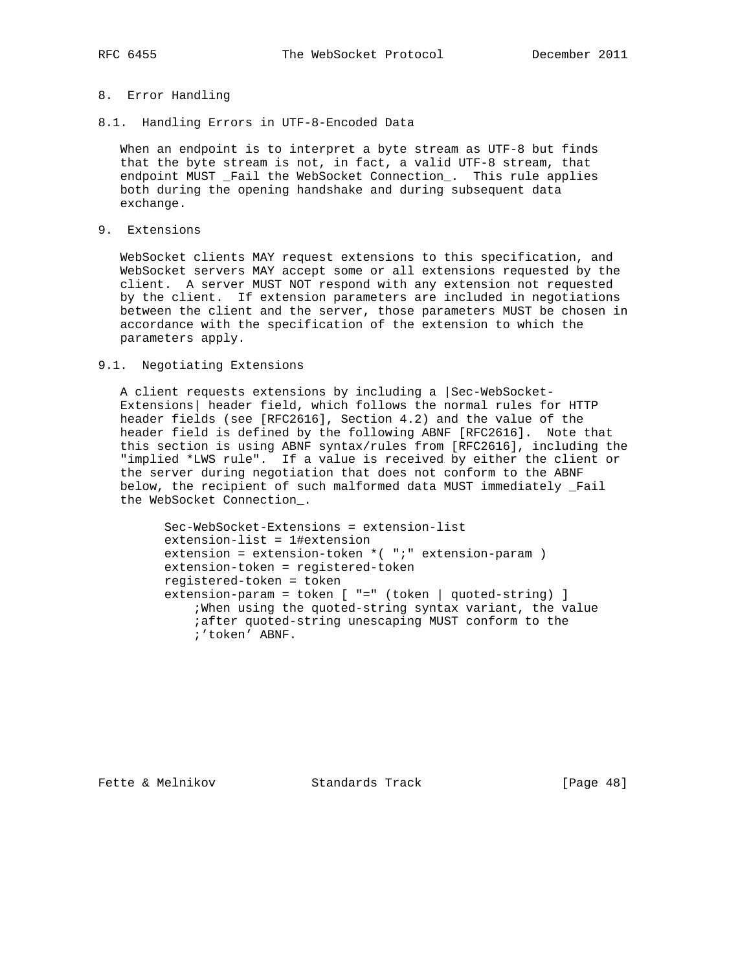# 8. Error Handling

8.1. Handling Errors in UTF-8-Encoded Data

 When an endpoint is to interpret a byte stream as UTF-8 but finds that the byte stream is not, in fact, a valid UTF-8 stream, that endpoint MUST \_Fail the WebSocket Connection\_. This rule applies both during the opening handshake and during subsequent data exchange.

9. Extensions

 WebSocket clients MAY request extensions to this specification, and WebSocket servers MAY accept some or all extensions requested by the client. A server MUST NOT respond with any extension not requested by the client. If extension parameters are included in negotiations between the client and the server, those parameters MUST be chosen in accordance with the specification of the extension to which the parameters apply.

#### 9.1. Negotiating Extensions

 A client requests extensions by including a |Sec-WebSocket- Extensions| header field, which follows the normal rules for HTTP header fields (see [RFC2616], Section 4.2) and the value of the header field is defined by the following ABNF [RFC2616]. Note that this section is using ABNF syntax/rules from [RFC2616], including the "implied \*LWS rule". If a value is received by either the client or the server during negotiation that does not conform to the ABNF below, the recipient of such malformed data MUST immediately \_Fail the WebSocket Connection\_.

 Sec-WebSocket-Extensions = extension-list extension-list = 1#extension extension = extension-token \*( ";" extension-param ) extension-token = registered-token registered-token = token extension-param = token [ "=" (token | quoted-string) ] ;When using the quoted-string syntax variant, the value ;after quoted-string unescaping MUST conform to the ;'token' ABNF.

Fette & Melnikov Standards Track [Page 48]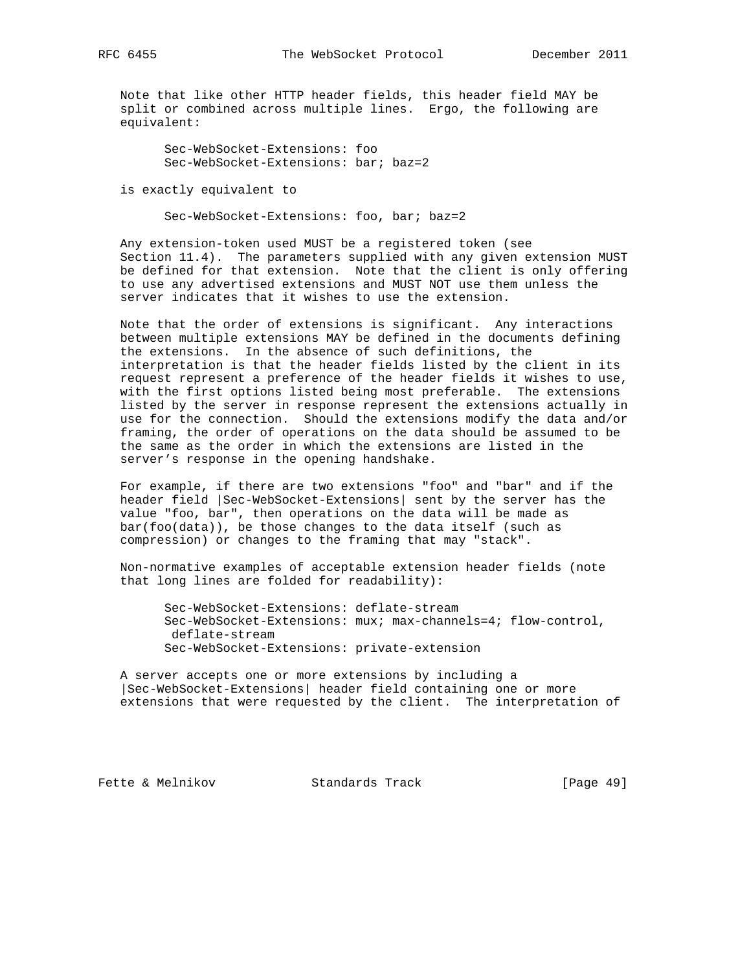Note that like other HTTP header fields, this header field MAY be split or combined across multiple lines. Ergo, the following are equivalent:

 Sec-WebSocket-Extensions: foo Sec-WebSocket-Extensions: bar; baz=2

is exactly equivalent to

Sec-WebSocket-Extensions: foo, bar; baz=2

 Any extension-token used MUST be a registered token (see Section 11.4). The parameters supplied with any given extension MUST be defined for that extension. Note that the client is only offering to use any advertised extensions and MUST NOT use them unless the server indicates that it wishes to use the extension.

 Note that the order of extensions is significant. Any interactions between multiple extensions MAY be defined in the documents defining the extensions. In the absence of such definitions, the interpretation is that the header fields listed by the client in its request represent a preference of the header fields it wishes to use, with the first options listed being most preferable. The extensions listed by the server in response represent the extensions actually in use for the connection. Should the extensions modify the data and/or framing, the order of operations on the data should be assumed to be the same as the order in which the extensions are listed in the server's response in the opening handshake.

 For example, if there are two extensions "foo" and "bar" and if the header field |Sec-WebSocket-Extensions| sent by the server has the value "foo, bar", then operations on the data will be made as bar(foo(data)), be those changes to the data itself (such as compression) or changes to the framing that may "stack".

 Non-normative examples of acceptable extension header fields (note that long lines are folded for readability):

 Sec-WebSocket-Extensions: deflate-stream Sec-WebSocket-Extensions: mux; max-channels=4; flow-control, deflate-stream Sec-WebSocket-Extensions: private-extension

 A server accepts one or more extensions by including a |Sec-WebSocket-Extensions| header field containing one or more extensions that were requested by the client. The interpretation of

Fette & Melnikov Standards Track [Page 49]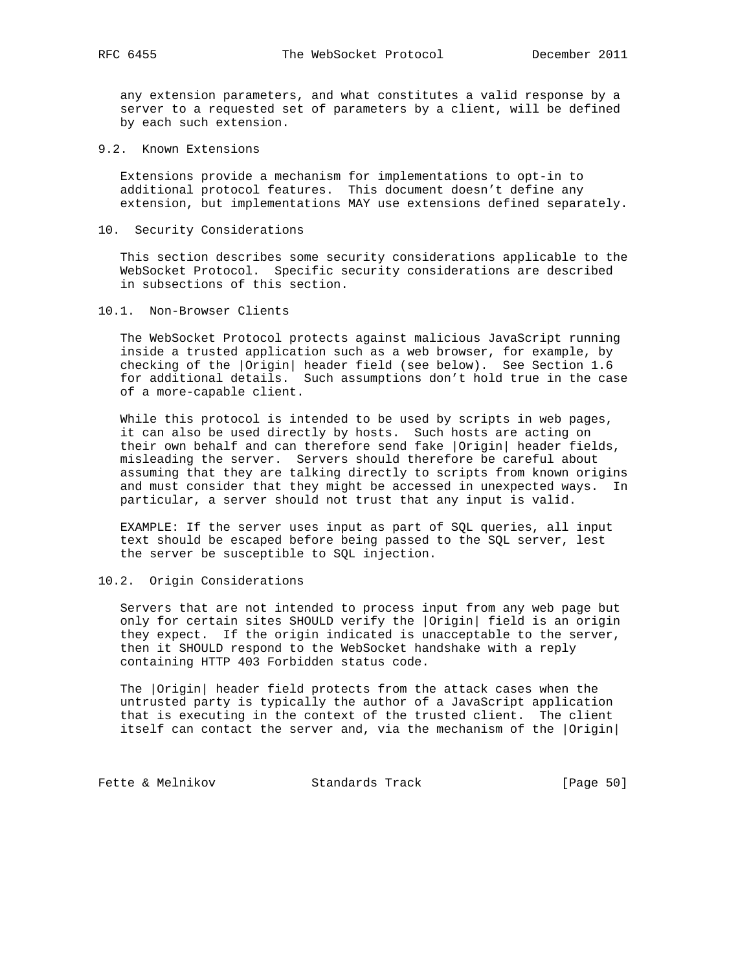any extension parameters, and what constitutes a valid response by a server to a requested set of parameters by a client, will be defined by each such extension.

9.2. Known Extensions

 Extensions provide a mechanism for implementations to opt-in to additional protocol features. This document doesn't define any extension, but implementations MAY use extensions defined separately.

10. Security Considerations

 This section describes some security considerations applicable to the WebSocket Protocol. Specific security considerations are described in subsections of this section.

10.1. Non-Browser Clients

 The WebSocket Protocol protects against malicious JavaScript running inside a trusted application such as a web browser, for example, by checking of the |Origin| header field (see below). See Section 1.6 for additional details. Such assumptions don't hold true in the case of a more-capable client.

 While this protocol is intended to be used by scripts in web pages, it can also be used directly by hosts. Such hosts are acting on their own behalf and can therefore send fake |Origin| header fields, misleading the server. Servers should therefore be careful about assuming that they are talking directly to scripts from known origins and must consider that they might be accessed in unexpected ways. In particular, a server should not trust that any input is valid.

 EXAMPLE: If the server uses input as part of SQL queries, all input text should be escaped before being passed to the SQL server, lest the server be susceptible to SQL injection.

10.2. Origin Considerations

 Servers that are not intended to process input from any web page but only for certain sites SHOULD verify the |Origin| field is an origin they expect. If the origin indicated is unacceptable to the server, then it SHOULD respond to the WebSocket handshake with a reply containing HTTP 403 Forbidden status code.

 The |Origin| header field protects from the attack cases when the untrusted party is typically the author of a JavaScript application that is executing in the context of the trusted client. The client itself can contact the server and, via the mechanism of the |Origin|

Fette & Melnikov Standards Track [Page 50]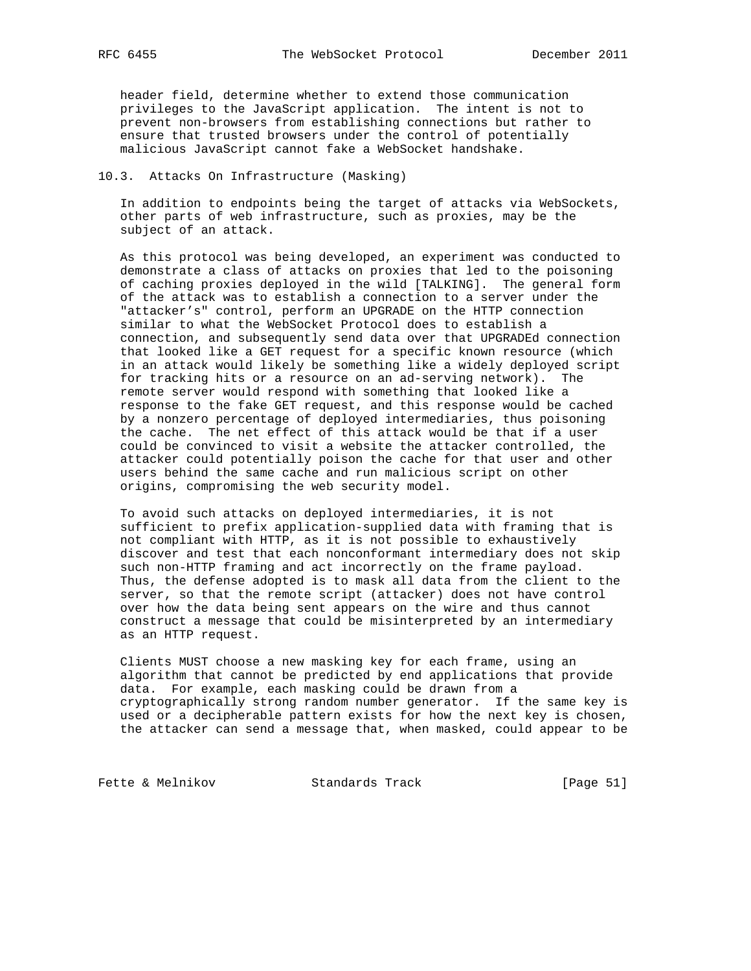header field, determine whether to extend those communication privileges to the JavaScript application. The intent is not to prevent non-browsers from establishing connections but rather to ensure that trusted browsers under the control of potentially malicious JavaScript cannot fake a WebSocket handshake.

## 10.3. Attacks On Infrastructure (Masking)

 In addition to endpoints being the target of attacks via WebSockets, other parts of web infrastructure, such as proxies, may be the subject of an attack.

 As this protocol was being developed, an experiment was conducted to demonstrate a class of attacks on proxies that led to the poisoning of caching proxies deployed in the wild [TALKING]. The general form of the attack was to establish a connection to a server under the "attacker's" control, perform an UPGRADE on the HTTP connection similar to what the WebSocket Protocol does to establish a connection, and subsequently send data over that UPGRADEd connection that looked like a GET request for a specific known resource (which in an attack would likely be something like a widely deployed script for tracking hits or a resource on an ad-serving network). The remote server would respond with something that looked like a response to the fake GET request, and this response would be cached by a nonzero percentage of deployed intermediaries, thus poisoning the cache. The net effect of this attack would be that if a user could be convinced to visit a website the attacker controlled, the attacker could potentially poison the cache for that user and other users behind the same cache and run malicious script on other origins, compromising the web security model.

 To avoid such attacks on deployed intermediaries, it is not sufficient to prefix application-supplied data with framing that is not compliant with HTTP, as it is not possible to exhaustively discover and test that each nonconformant intermediary does not skip such non-HTTP framing and act incorrectly on the frame payload. Thus, the defense adopted is to mask all data from the client to the server, so that the remote script (attacker) does not have control over how the data being sent appears on the wire and thus cannot construct a message that could be misinterpreted by an intermediary as an HTTP request.

 Clients MUST choose a new masking key for each frame, using an algorithm that cannot be predicted by end applications that provide data. For example, each masking could be drawn from a cryptographically strong random number generator. If the same key is used or a decipherable pattern exists for how the next key is chosen, the attacker can send a message that, when masked, could appear to be

Fette & Melnikov Standards Track [Page 51]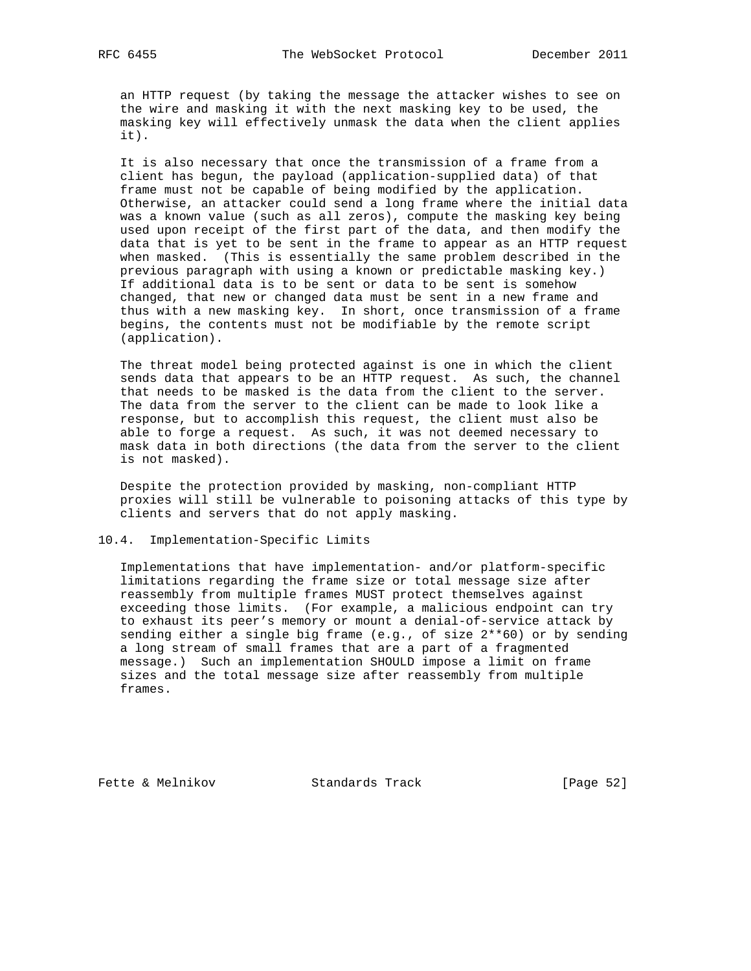an HTTP request (by taking the message the attacker wishes to see on the wire and masking it with the next masking key to be used, the masking key will effectively unmask the data when the client applies it).

 It is also necessary that once the transmission of a frame from a client has begun, the payload (application-supplied data) of that frame must not be capable of being modified by the application. Otherwise, an attacker could send a long frame where the initial data was a known value (such as all zeros), compute the masking key being used upon receipt of the first part of the data, and then modify the data that is yet to be sent in the frame to appear as an HTTP request when masked. (This is essentially the same problem described in the previous paragraph with using a known or predictable masking key.) If additional data is to be sent or data to be sent is somehow changed, that new or changed data must be sent in a new frame and thus with a new masking key. In short, once transmission of a frame begins, the contents must not be modifiable by the remote script (application).

 The threat model being protected against is one in which the client sends data that appears to be an HTTP request. As such, the channel that needs to be masked is the data from the client to the server. The data from the server to the client can be made to look like a response, but to accomplish this request, the client must also be able to forge a request. As such, it was not deemed necessary to mask data in both directions (the data from the server to the client is not masked).

 Despite the protection provided by masking, non-compliant HTTP proxies will still be vulnerable to poisoning attacks of this type by clients and servers that do not apply masking.

## 10.4. Implementation-Specific Limits

 Implementations that have implementation- and/or platform-specific limitations regarding the frame size or total message size after reassembly from multiple frames MUST protect themselves against exceeding those limits. (For example, a malicious endpoint can try to exhaust its peer's memory or mount a denial-of-service attack by sending either a single big frame (e.g., of size 2\*\*60) or by sending a long stream of small frames that are a part of a fragmented message.) Such an implementation SHOULD impose a limit on frame sizes and the total message size after reassembly from multiple frames.

Fette & Melnikov Standards Track [Page 52]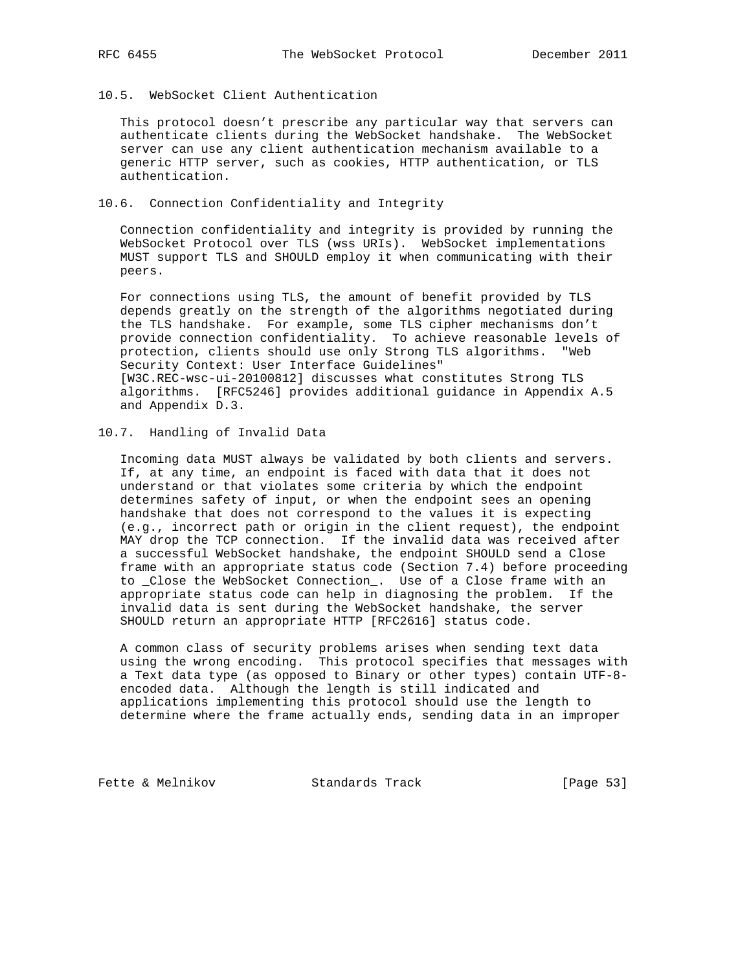# 10.5. WebSocket Client Authentication

 This protocol doesn't prescribe any particular way that servers can authenticate clients during the WebSocket handshake. The WebSocket server can use any client authentication mechanism available to a generic HTTP server, such as cookies, HTTP authentication, or TLS authentication.

#### 10.6. Connection Confidentiality and Integrity

 Connection confidentiality and integrity is provided by running the WebSocket Protocol over TLS (wss URIs). WebSocket implementations MUST support TLS and SHOULD employ it when communicating with their peers.

 For connections using TLS, the amount of benefit provided by TLS depends greatly on the strength of the algorithms negotiated during the TLS handshake. For example, some TLS cipher mechanisms don't provide connection confidentiality. To achieve reasonable levels of protection, clients should use only Strong TLS algorithms. "Web Security Context: User Interface Guidelines" [W3C.REC-wsc-ui-20100812] discusses what constitutes Strong TLS algorithms. [RFC5246] provides additional guidance in Appendix A.5 and Appendix D.3.

## 10.7. Handling of Invalid Data

 Incoming data MUST always be validated by both clients and servers. If, at any time, an endpoint is faced with data that it does not understand or that violates some criteria by which the endpoint determines safety of input, or when the endpoint sees an opening handshake that does not correspond to the values it is expecting (e.g., incorrect path or origin in the client request), the endpoint MAY drop the TCP connection. If the invalid data was received after a successful WebSocket handshake, the endpoint SHOULD send a Close frame with an appropriate status code (Section 7.4) before proceeding to \_Close the WebSocket Connection\_. Use of a Close frame with an appropriate status code can help in diagnosing the problem. If the invalid data is sent during the WebSocket handshake, the server SHOULD return an appropriate HTTP [RFC2616] status code.

 A common class of security problems arises when sending text data using the wrong encoding. This protocol specifies that messages with a Text data type (as opposed to Binary or other types) contain UTF-8 encoded data. Although the length is still indicated and applications implementing this protocol should use the length to determine where the frame actually ends, sending data in an improper

Fette & Melnikov Standards Track [Page 53]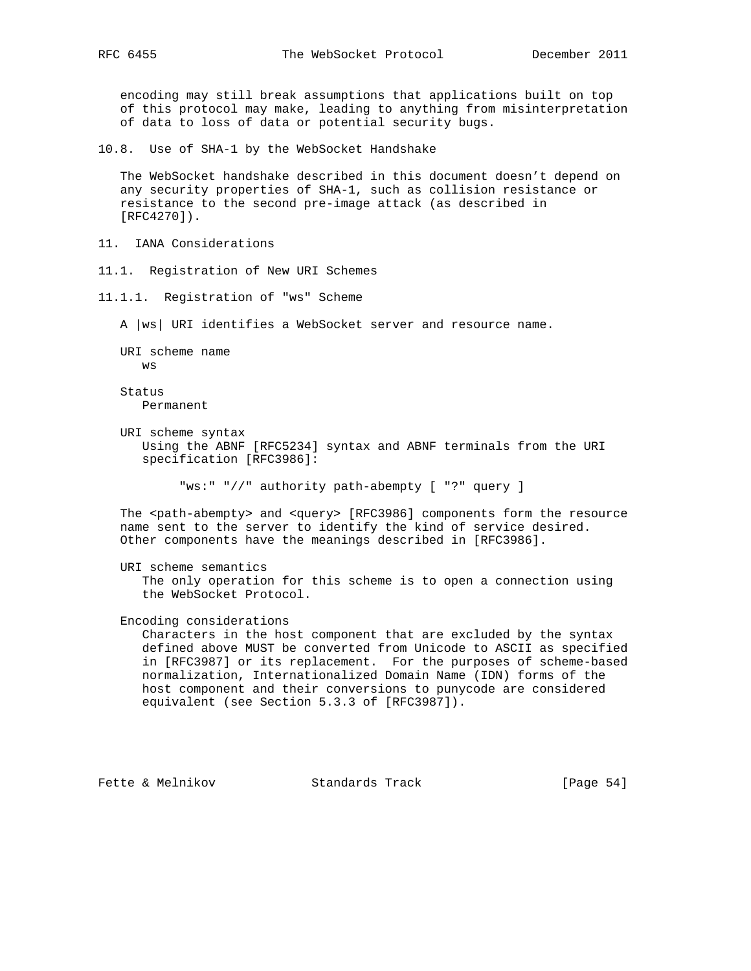encoding may still break assumptions that applications built on top of this protocol may make, leading to anything from misinterpretation of data to loss of data or potential security bugs.

10.8. Use of SHA-1 by the WebSocket Handshake

 The WebSocket handshake described in this document doesn't depend on any security properties of SHA-1, such as collision resistance or resistance to the second pre-image attack (as described in [RFC4270]).

11. IANA Considerations

11.1. Registration of New URI Schemes

11.1.1. Registration of "ws" Scheme

A |ws| URI identifies a WebSocket server and resource name.

 URI scheme name ws

 Status Permanent

 URI scheme syntax Using the ABNF [RFC5234] syntax and ABNF terminals from the URI specification [RFC3986]:

"ws:" "//" authority path-abempty [ "?" query ]

 The <path-abempty> and <query> [RFC3986] components form the resource name sent to the server to identify the kind of service desired. Other components have the meanings described in [RFC3986].

 URI scheme semantics The only operation for this scheme is to open a connection using the WebSocket Protocol.

Encoding considerations

 Characters in the host component that are excluded by the syntax defined above MUST be converted from Unicode to ASCII as specified in [RFC3987] or its replacement. For the purposes of scheme-based normalization, Internationalized Domain Name (IDN) forms of the host component and their conversions to punycode are considered equivalent (see Section 5.3.3 of [RFC3987]).

Fette & Melnikov Standards Track [Page 54]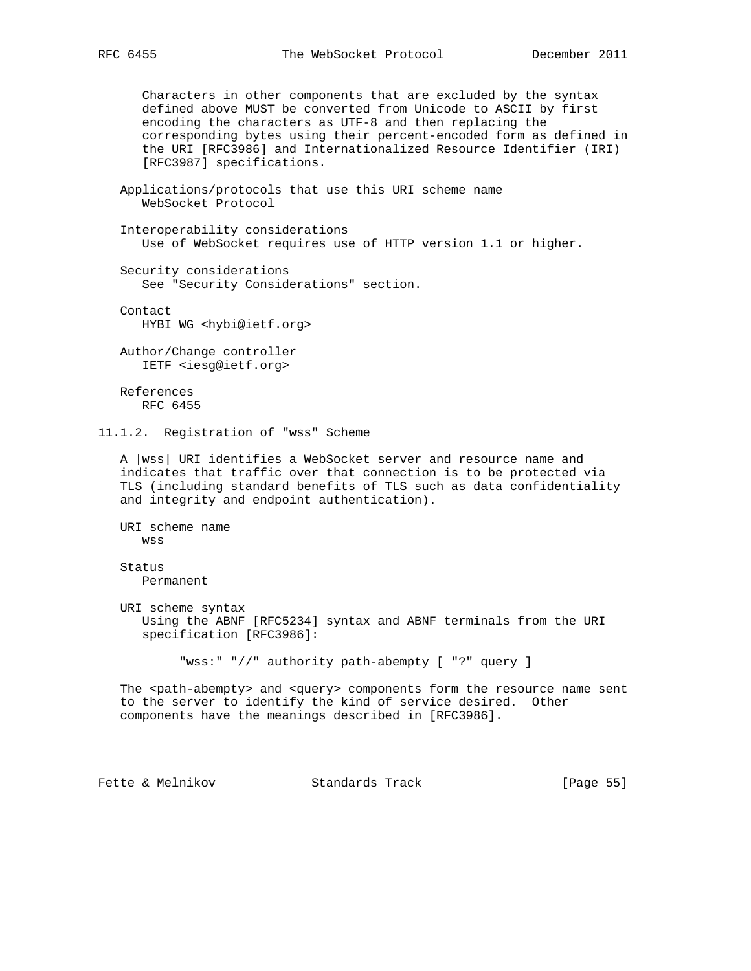Characters in other components that are excluded by the syntax defined above MUST be converted from Unicode to ASCII by first encoding the characters as UTF-8 and then replacing the corresponding bytes using their percent-encoded form as defined in the URI [RFC3986] and Internationalized Resource Identifier (IRI) [RFC3987] specifications.

```
 Applications/protocols that use this URI scheme name
    WebSocket Protocol
```
 Interoperability considerations Use of WebSocket requires use of HTTP version 1.1 or higher.

 Security considerations See "Security Considerations" section.

 Contact HYBI WG <hybi@ietf.org>

 Author/Change controller IETF <iesg@ietf.org>

 References RFC 6455

11.1.2. Registration of "wss" Scheme

 A |wss| URI identifies a WebSocket server and resource name and indicates that traffic over that connection is to be protected via TLS (including standard benefits of TLS such as data confidentiality and integrity and endpoint authentication).

 URI scheme name wss

 Status Permanent

 URI scheme syntax Using the ABNF [RFC5234] syntax and ABNF terminals from the URI specification [RFC3986]:

"wss:" "//" authority path-abempty [ "?" query ]

The <path-abempty> and <query> components form the resource name sent to the server to identify the kind of service desired. Other components have the meanings described in [RFC3986].

Fette & Melnikov Standards Track [Page 55]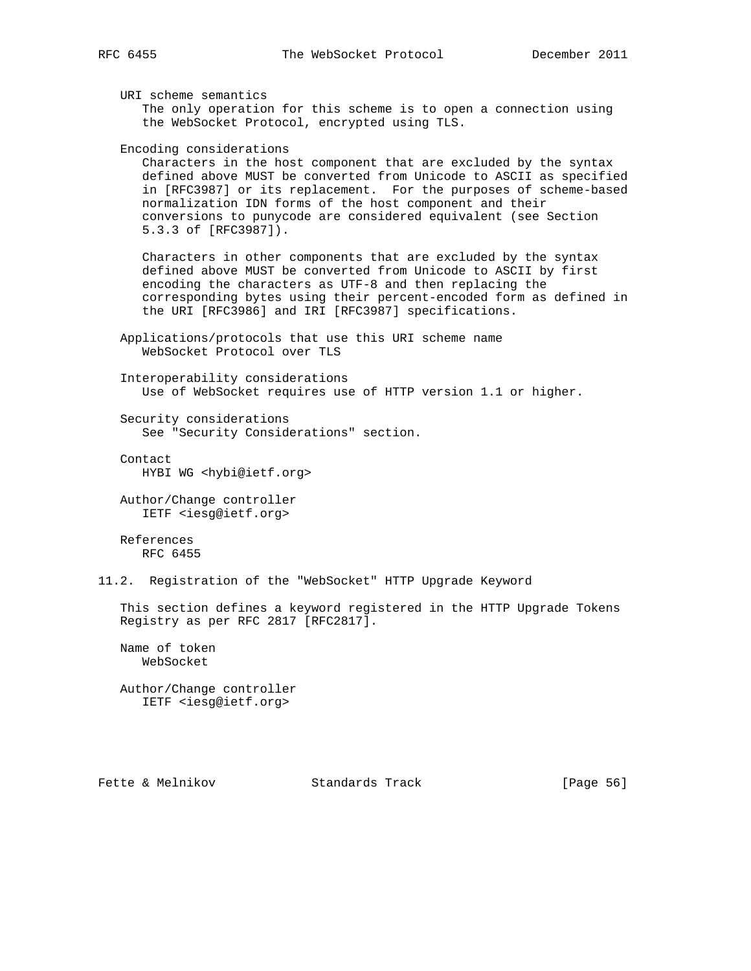URI scheme semantics The only operation for this scheme is to open a connection using the WebSocket Protocol, encrypted using TLS.

Encoding considerations

 Characters in the host component that are excluded by the syntax defined above MUST be converted from Unicode to ASCII as specified in [RFC3987] or its replacement. For the purposes of scheme-based normalization IDN forms of the host component and their conversions to punycode are considered equivalent (see Section 5.3.3 of [RFC3987]).

 Characters in other components that are excluded by the syntax defined above MUST be converted from Unicode to ASCII by first encoding the characters as UTF-8 and then replacing the corresponding bytes using their percent-encoded form as defined in the URI [RFC3986] and IRI [RFC3987] specifications.

 Applications/protocols that use this URI scheme name WebSocket Protocol over TLS

 Interoperability considerations Use of WebSocket requires use of HTTP version 1.1 or higher.

 Security considerations See "Security Considerations" section.

Contact

HYBI WG <hybi@ietf.org>

 Author/Change controller IETF <iesg@ietf.org>

 References RFC 6455

11.2. Registration of the "WebSocket" HTTP Upgrade Keyword

 This section defines a keyword registered in the HTTP Upgrade Tokens Registry as per RFC 2817 [RFC2817].

 Name of token WebSocket

 Author/Change controller IETF <iesg@ietf.org>

Fette & Melnikov Standards Track [Page 56]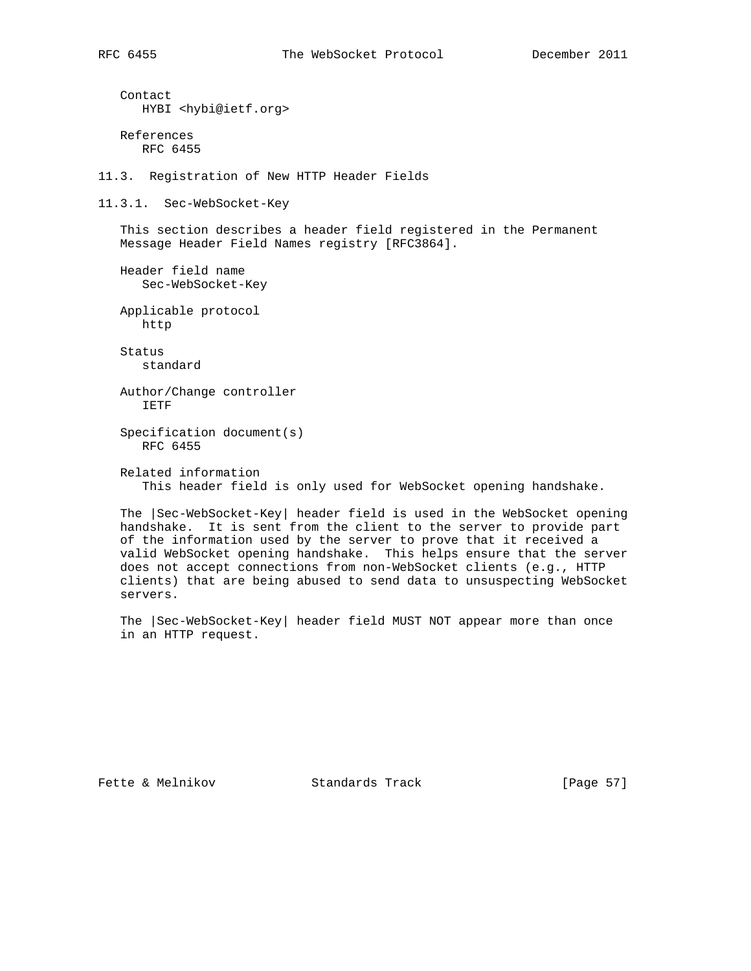Contact HYBI <hybi@ietf.org> References RFC 6455 11.3. Registration of New HTTP Header Fields 11.3.1. Sec-WebSocket-Key This section describes a header field registered in the Permanent Message Header Field Names registry [RFC3864]. Header field name Sec-WebSocket-Key Applicable protocol http Status standard Author/Change controller IETF Specification document(s) RFC 6455 Related information This header field is only used for WebSocket opening handshake.

 The |Sec-WebSocket-Key| header field is used in the WebSocket opening handshake. It is sent from the client to the server to provide part of the information used by the server to prove that it received a valid WebSocket opening handshake. This helps ensure that the server does not accept connections from non-WebSocket clients (e.g., HTTP clients) that are being abused to send data to unsuspecting WebSocket servers.

 The |Sec-WebSocket-Key| header field MUST NOT appear more than once in an HTTP request.

Fette & Melnikov Standards Track [Page 57]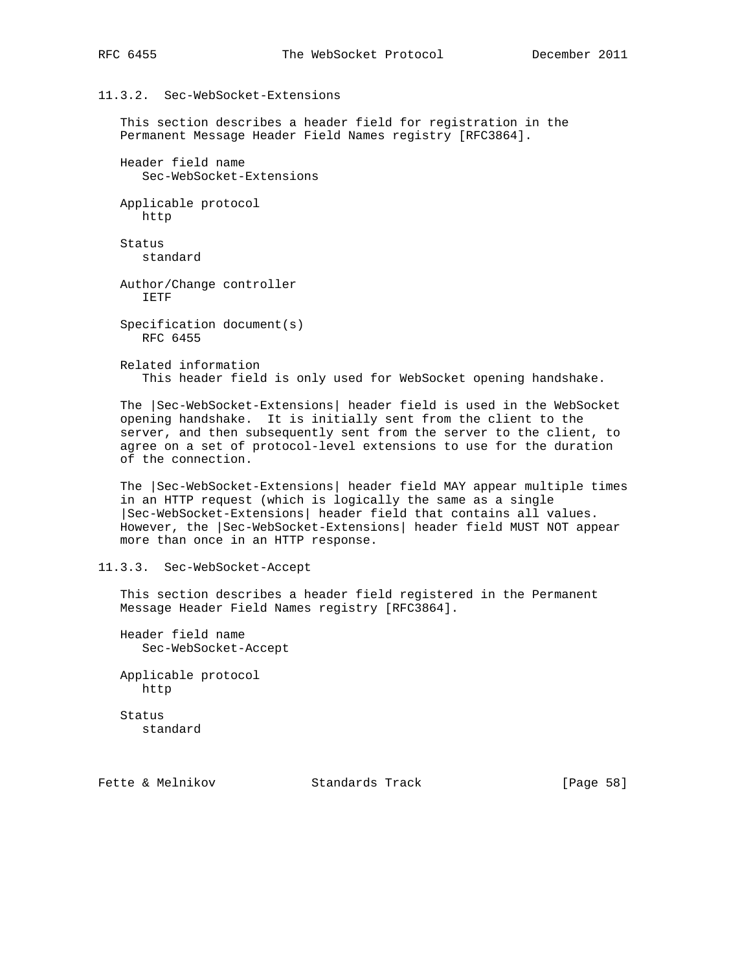## 11.3.2. Sec-WebSocket-Extensions

 This section describes a header field for registration in the Permanent Message Header Field Names registry [RFC3864].

 Header field name Sec-WebSocket-Extensions

 Applicable protocol http

 Status standard

 Author/Change controller IETF

 Specification document(s) RFC 6455

 Related information This header field is only used for WebSocket opening handshake.

 The |Sec-WebSocket-Extensions| header field is used in the WebSocket opening handshake. It is initially sent from the client to the server, and then subsequently sent from the server to the client, to agree on a set of protocol-level extensions to use for the duration of the connection.

 The |Sec-WebSocket-Extensions| header field MAY appear multiple times in an HTTP request (which is logically the same as a single |Sec-WebSocket-Extensions| header field that contains all values. However, the |Sec-WebSocket-Extensions| header field MUST NOT appear more than once in an HTTP response.

11.3.3. Sec-WebSocket-Accept

 This section describes a header field registered in the Permanent Message Header Field Names registry [RFC3864].

 Header field name Sec-WebSocket-Accept

 Applicable protocol http

 Status standard

Fette & Melnikov Standards Track [Page 58]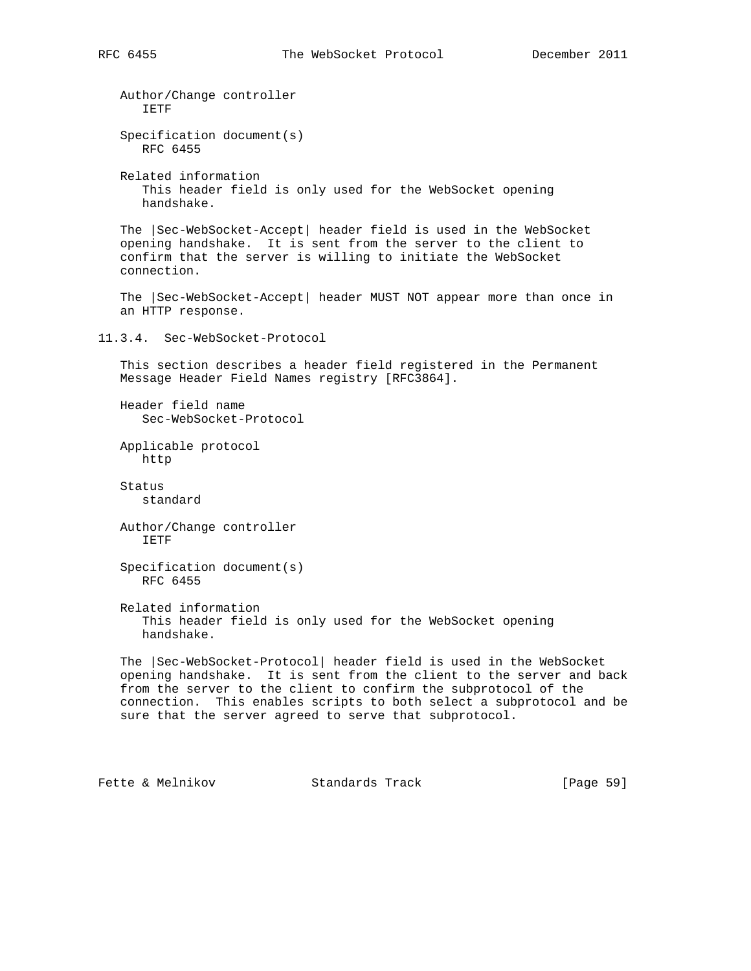```
 Author/Change controller
       IETF
    Specification document(s)
      RFC 6455
   Related information
      This header field is only used for the WebSocket opening
       handshake.
    The |Sec-WebSocket-Accept| header field is used in the WebSocket
    opening handshake. It is sent from the server to the client to
    confirm that the server is willing to initiate the WebSocket
    connection.
    The |Sec-WebSocket-Accept| header MUST NOT appear more than once in
    an HTTP response.
11.3.4. Sec-WebSocket-Protocol
    This section describes a header field registered in the Permanent
   Message Header Field Names registry [RFC3864].
   Header field name
       Sec-WebSocket-Protocol
   Applicable protocol
      http
    Status
       standard
   Author/Change controller
       IETF
    Specification document(s)
       RFC 6455
    Related information
       This header field is only used for the WebSocket opening
      handshake.
    The |Sec-WebSocket-Protocol| header field is used in the WebSocket
    opening handshake. It is sent from the client to the server and back
    from the server to the client to confirm the subprotocol of the
   connection. This enables scripts to both select a subprotocol and be
    sure that the server agreed to serve that subprotocol.
Fette & Melnikov               Standards Track               [Page 59]
```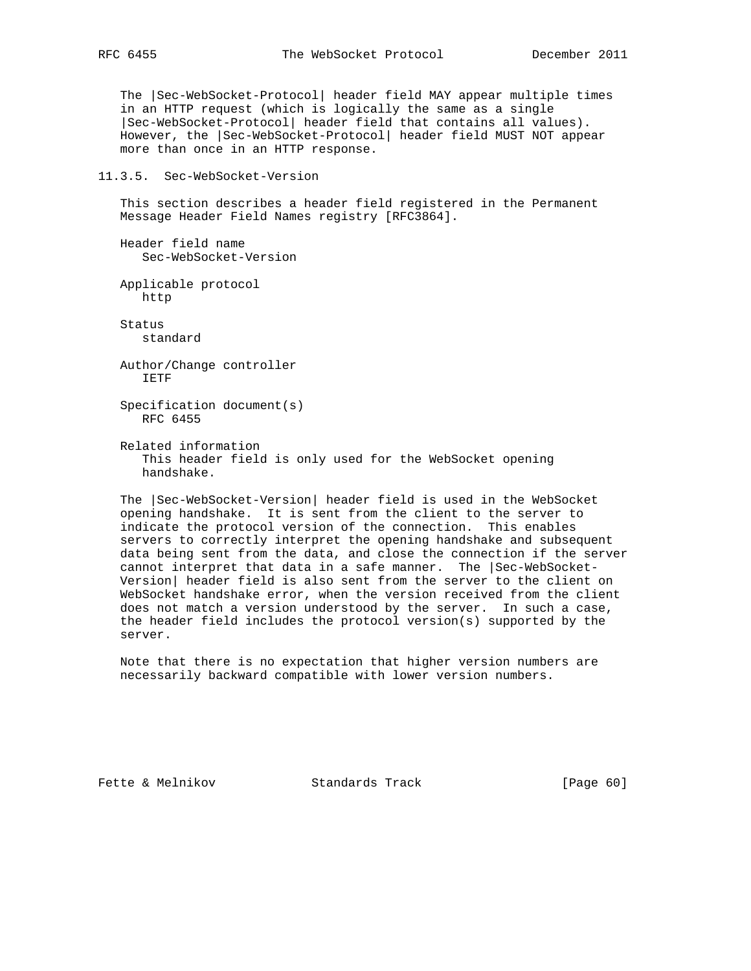The |Sec-WebSocket-Protocol| header field MAY appear multiple times in an HTTP request (which is logically the same as a single |Sec-WebSocket-Protocol| header field that contains all values). However, the |Sec-WebSocket-Protocol| header field MUST NOT appear more than once in an HTTP response.

#### 11.3.5. Sec-WebSocket-Version

 This section describes a header field registered in the Permanent Message Header Field Names registry [RFC3864].

 Header field name Sec-WebSocket-Version

 Applicable protocol http

 Status standard

 Author/Change controller IETF

 Specification document(s) RFC 6455

 Related information This header field is only used for the WebSocket opening handshake.

 The |Sec-WebSocket-Version| header field is used in the WebSocket opening handshake. It is sent from the client to the server to indicate the protocol version of the connection. This enables servers to correctly interpret the opening handshake and subsequent data being sent from the data, and close the connection if the server cannot interpret that data in a safe manner. The |Sec-WebSocket- Version| header field is also sent from the server to the client on WebSocket handshake error, when the version received from the client does not match a version understood by the server. In such a case, the header field includes the protocol version(s) supported by the server.

 Note that there is no expectation that higher version numbers are necessarily backward compatible with lower version numbers.

Fette & Melnikov Standards Track [Page 60]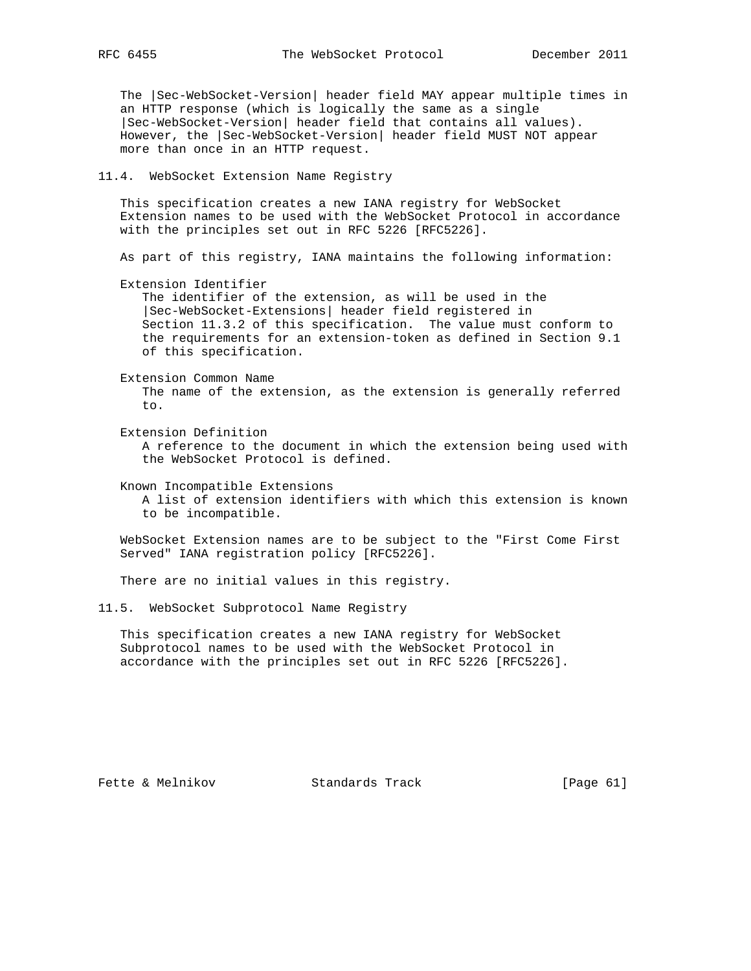The |Sec-WebSocket-Version| header field MAY appear multiple times in an HTTP response (which is logically the same as a single |Sec-WebSocket-Version| header field that contains all values). However, the |Sec-WebSocket-Version| header field MUST NOT appear more than once in an HTTP request.

#### 11.4. WebSocket Extension Name Registry

 This specification creates a new IANA registry for WebSocket Extension names to be used with the WebSocket Protocol in accordance with the principles set out in RFC 5226 [RFC5226].

As part of this registry, IANA maintains the following information:

Extension Identifier

 The identifier of the extension, as will be used in the |Sec-WebSocket-Extensions| header field registered in Section 11.3.2 of this specification. The value must conform to the requirements for an extension-token as defined in Section 9.1 of this specification.

Extension Common Name

 The name of the extension, as the extension is generally referred to.

Extension Definition

 A reference to the document in which the extension being used with the WebSocket Protocol is defined.

Known Incompatible Extensions

 A list of extension identifiers with which this extension is known to be incompatible.

 WebSocket Extension names are to be subject to the "First Come First Served" IANA registration policy [RFC5226].

There are no initial values in this registry.

11.5. WebSocket Subprotocol Name Registry

 This specification creates a new IANA registry for WebSocket Subprotocol names to be used with the WebSocket Protocol in accordance with the principles set out in RFC 5226 [RFC5226].

Fette & Melnikov Standards Track [Page 61]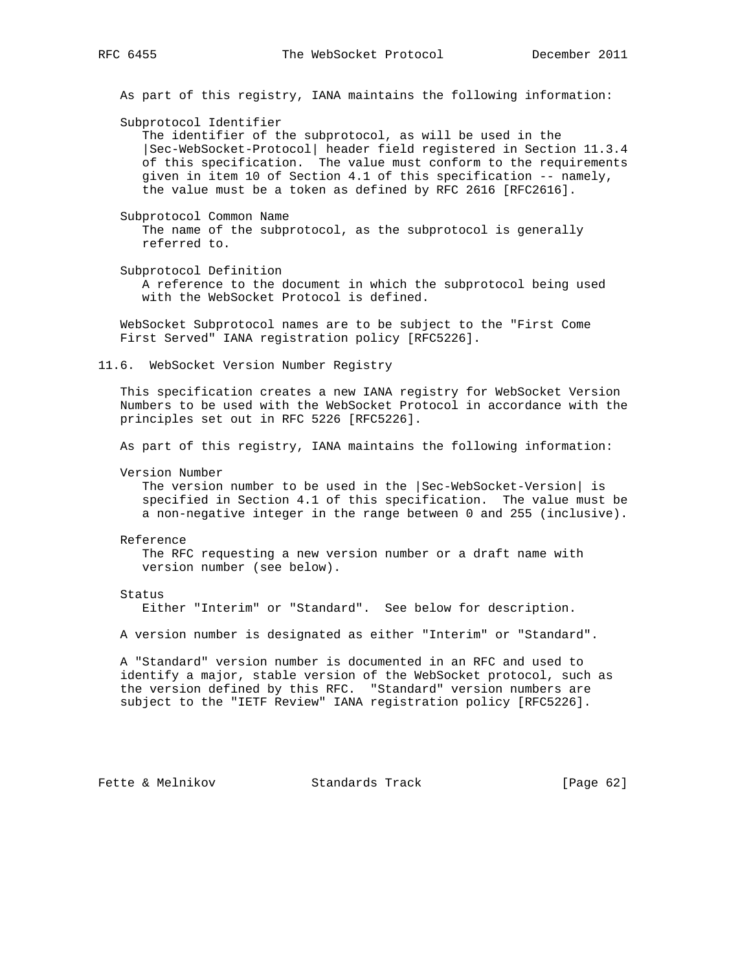As part of this registry, IANA maintains the following information: Subprotocol Identifier The identifier of the subprotocol, as will be used in the |Sec-WebSocket-Protocol| header field registered in Section 11.3.4 of this specification. The value must conform to the requirements given in item 10 of Section 4.1 of this specification -- namely, the value must be a token as defined by RFC 2616 [RFC2616]. Subprotocol Common Name The name of the subprotocol, as the subprotocol is generally referred to. Subprotocol Definition A reference to the document in which the subprotocol being used with the WebSocket Protocol is defined. WebSocket Subprotocol names are to be subject to the "First Come First Served" IANA registration policy [RFC5226]. 11.6. WebSocket Version Number Registry This specification creates a new IANA registry for WebSocket Version Numbers to be used with the WebSocket Protocol in accordance with the principles set out in RFC 5226 [RFC5226]. As part of this registry, IANA maintains the following information: Version Number The version number to be used in the |Sec-WebSocket-Version| is specified in Section 4.1 of this specification. The value must be a non-negative integer in the range between 0 and 255 (inclusive). Reference The RFC requesting a new version number or a draft name with version number (see below). Status Either "Interim" or "Standard". See below for description. A version number is designated as either "Interim" or "Standard". A "Standard" version number is documented in an RFC and used to identify a major, stable version of the WebSocket protocol, such as the version defined by this RFC. "Standard" version numbers are subject to the "IETF Review" IANA registration policy [RFC5226].

Fette & Melnikov Standards Track [Page 62]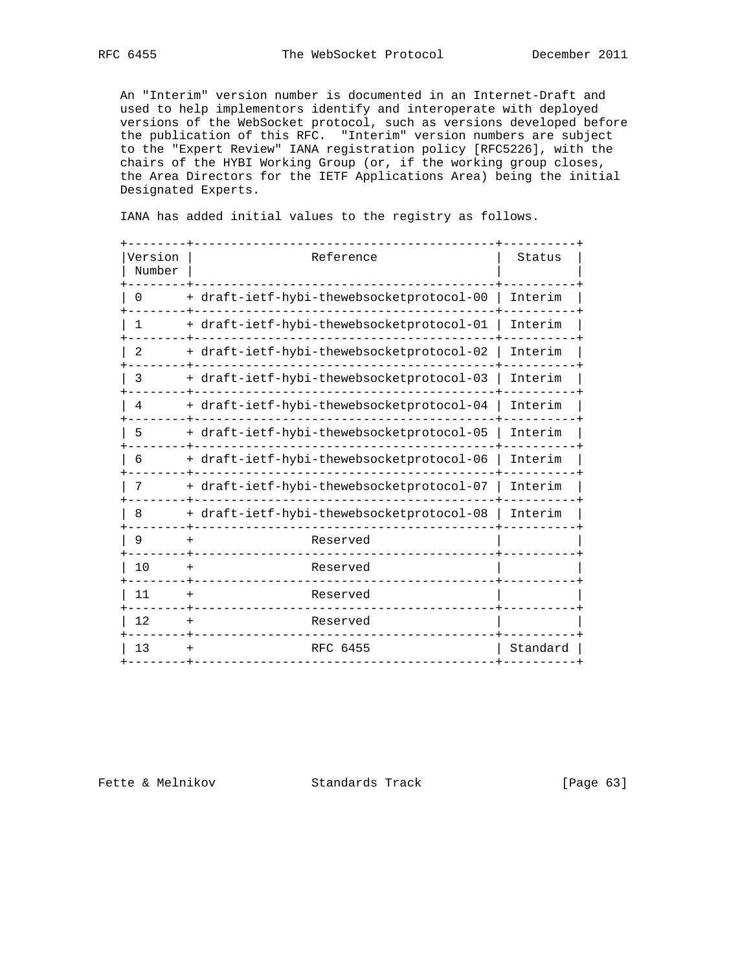An "Interim" version number is documented in an Internet-Draft and used to help implementors identify and interoperate with deployed versions of the WebSocket protocol, such as versions developed before the publication of this RFC. "Interim" version numbers are subject to the "Expert Review" IANA registration policy [RFC5226], with the chairs of the HYBI Working Group (or, if the working group closes, the Area Directors for the IETF Applications Area) being the initial Designated Experts.

IANA has added initial values to the registry as follows.

| Version<br>Number | Reference                                 | Status   |
|-------------------|-------------------------------------------|----------|
| 0                 | + draft-ietf-hybi-thewebsocketprotocol-00 | Interim  |
| 1                 | + draft-ietf-hybi-thewebsocketprotocol-01 | Interim  |
| 2                 | + draft-ietf-hybi-thewebsocketprotocol-02 | Interim  |
| 3                 | + draft-ietf-hybi-thewebsocketprotocol-03 | Interim  |
| 4                 | + draft-ietf-hybi-thewebsocketprotocol-04 | Interim  |
| 5                 | + draft-ietf-hybi-thewebsocketprotocol-05 | Interim  |
| 6                 | + draft-ietf-hybi-thewebsocketprotocol-06 | Interim  |
| 7                 | + draft-ietf-hybi-thewebsocketprotocol-07 | Interim  |
| 8                 | + draft-ietf-hybi-thewebsocketprotocol-08 | Interim  |
| 9                 | Reserved<br>$\div$                        |          |
| 10                | Reserved                                  |          |
| 11                | Reserved<br>$\,{}^+$                      |          |
| 12                | Reserved                                  |          |
| 13                | RFC 6455                                  | Standard |

Fette & Melnikov Standards Track [Page 63]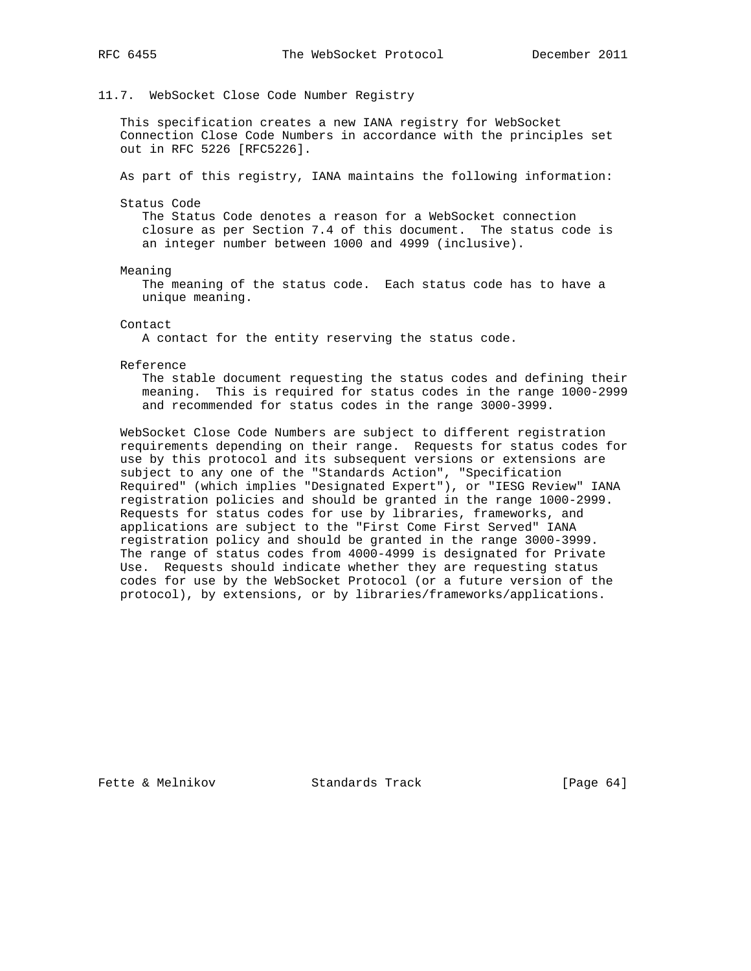## 11.7. WebSocket Close Code Number Registry

 This specification creates a new IANA registry for WebSocket Connection Close Code Numbers in accordance with the principles set out in RFC 5226 [RFC5226].

As part of this registry, IANA maintains the following information:

Status Code

 The Status Code denotes a reason for a WebSocket connection closure as per Section 7.4 of this document. The status code is an integer number between 1000 and 4999 (inclusive).

Meaning

 The meaning of the status code. Each status code has to have a unique meaning.

Contact

A contact for the entity reserving the status code.

Reference

 The stable document requesting the status codes and defining their meaning. This is required for status codes in the range 1000-2999 and recommended for status codes in the range 3000-3999.

 WebSocket Close Code Numbers are subject to different registration requirements depending on their range. Requests for status codes for use by this protocol and its subsequent versions or extensions are subject to any one of the "Standards Action", "Specification Required" (which implies "Designated Expert"), or "IESG Review" IANA registration policies and should be granted in the range 1000-2999. Requests for status codes for use by libraries, frameworks, and applications are subject to the "First Come First Served" IANA registration policy and should be granted in the range 3000-3999. The range of status codes from 4000-4999 is designated for Private Use. Requests should indicate whether they are requesting status codes for use by the WebSocket Protocol (or a future version of the protocol), by extensions, or by libraries/frameworks/applications.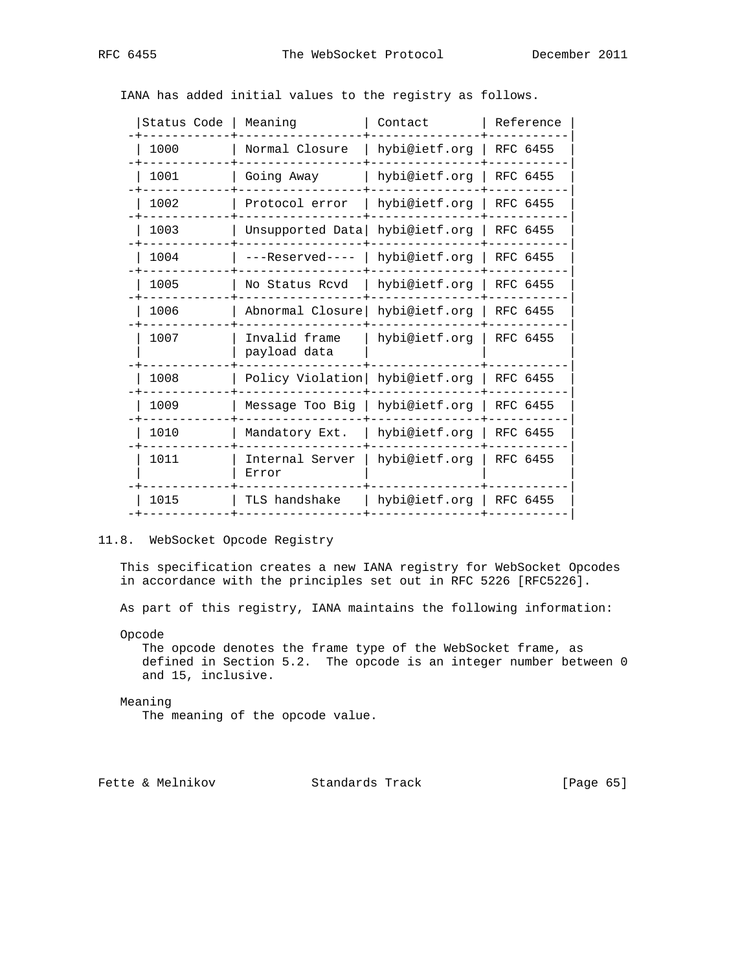| Status Code | Meaning                        | Contact       | Reference |
|-------------|--------------------------------|---------------|-----------|
| 1000        | Normal Closure                 | hybi@ietf.org | RFC 6455  |
| 1001        | Going Away                     | hybi@ietf.org | RFC 6455  |
| 1002        | Protocol error                 | hybi@ietf.org | RFC 6455  |
| 1003        | Unsupported Data hybi@ietf.org |               | RFC 6455  |
| 1004        | ---Reserved----                | hybi@ietf.org | RFC 6455  |
| 1005        | No Status Rcvd                 | hybi@ietf.org | RFC 6455  |
| 1006        | Abnormal Closure               | hybi@ietf.orq | RFC 6455  |
| 1007        | Invalid frame<br>payload data  | hybi@ietf.org | RFC 6455  |
| 1008        | Policy Violation               | hybi@ietf.org | RFC 6455  |
| 1009        | Message Too Big                | hybi@ietf.org | RFC 6455  |
| 1010        | Mandatory Ext.                 | hybi@ietf.org | RFC 6455  |
| 1011        | Internal Server<br>Error       | hybi@ietf.org | RFC 6455  |
| 1015        | TLS handshake                  | hybi@ietf.org | RFC 6455  |
|             |                                |               |           |

IANA has added initial values to the registry as follows.

# 11.8. WebSocket Opcode Registry

 This specification creates a new IANA registry for WebSocket Opcodes in accordance with the principles set out in RFC 5226 [RFC5226].

As part of this registry, IANA maintains the following information:

Opcode

 The opcode denotes the frame type of the WebSocket frame, as defined in Section 5.2. The opcode is an integer number between 0 and 15, inclusive.

#### Meaning

The meaning of the opcode value.

Fette & Melnikov Standards Track [Page 65]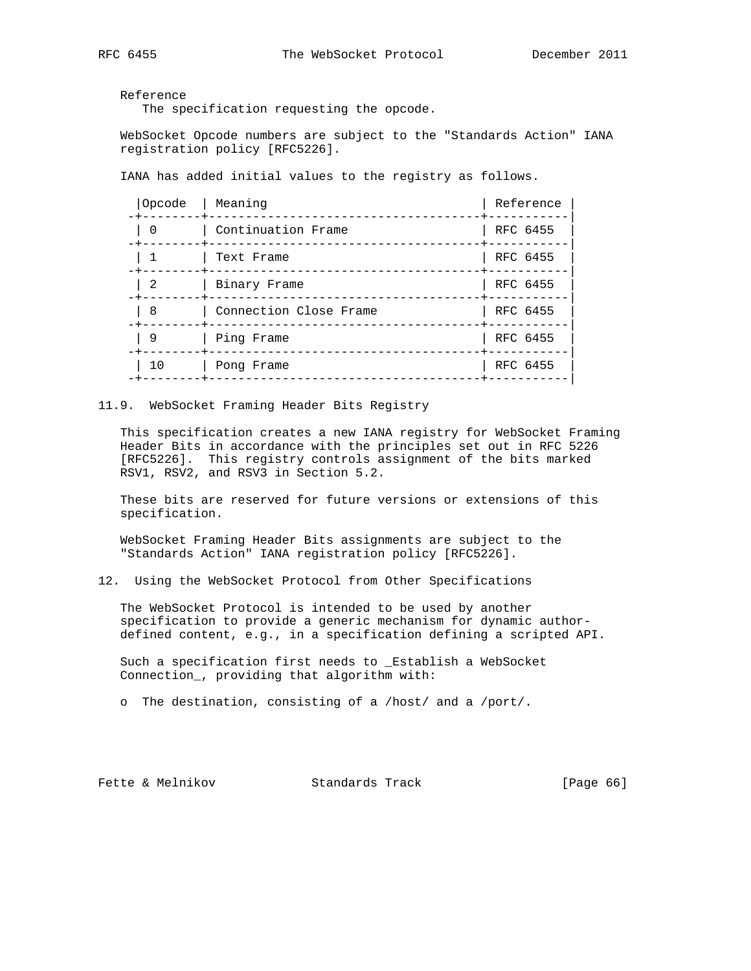Reference

The specification requesting the opcode.

 WebSocket Opcode numbers are subject to the "Standards Action" IANA registration policy [RFC5226].

IANA has added initial values to the registry as follows.

| Opcode<br>-+--------+- | Meaning                | Reference |
|------------------------|------------------------|-----------|
| $\Omega$               | Continuation Frame     | RFC 6455  |
|                        | Text Frame             | RFC 6455  |
| 2                      | Binary Frame           | RFC 6455  |
| 8                      | Connection Close Frame | RFC 6455  |
| 9                      | Ping Frame             | RFC 6455  |
| 10                     | Pong Frame             | RFC 6455  |
|                        |                        |           |

## 11.9. WebSocket Framing Header Bits Registry

 This specification creates a new IANA registry for WebSocket Framing Header Bits in accordance with the principles set out in RFC 5226 [RFC5226]. This registry controls assignment of the bits marked RSV1, RSV2, and RSV3 in Section 5.2.

 These bits are reserved for future versions or extensions of this specification.

 WebSocket Framing Header Bits assignments are subject to the "Standards Action" IANA registration policy [RFC5226].

12. Using the WebSocket Protocol from Other Specifications

 The WebSocket Protocol is intended to be used by another specification to provide a generic mechanism for dynamic author defined content, e.g., in a specification defining a scripted API.

 Such a specification first needs to \_Establish a WebSocket Connection\_, providing that algorithm with:

o The destination, consisting of a /host/ and a /port/.

Fette & Melnikov Standards Track [Page 66]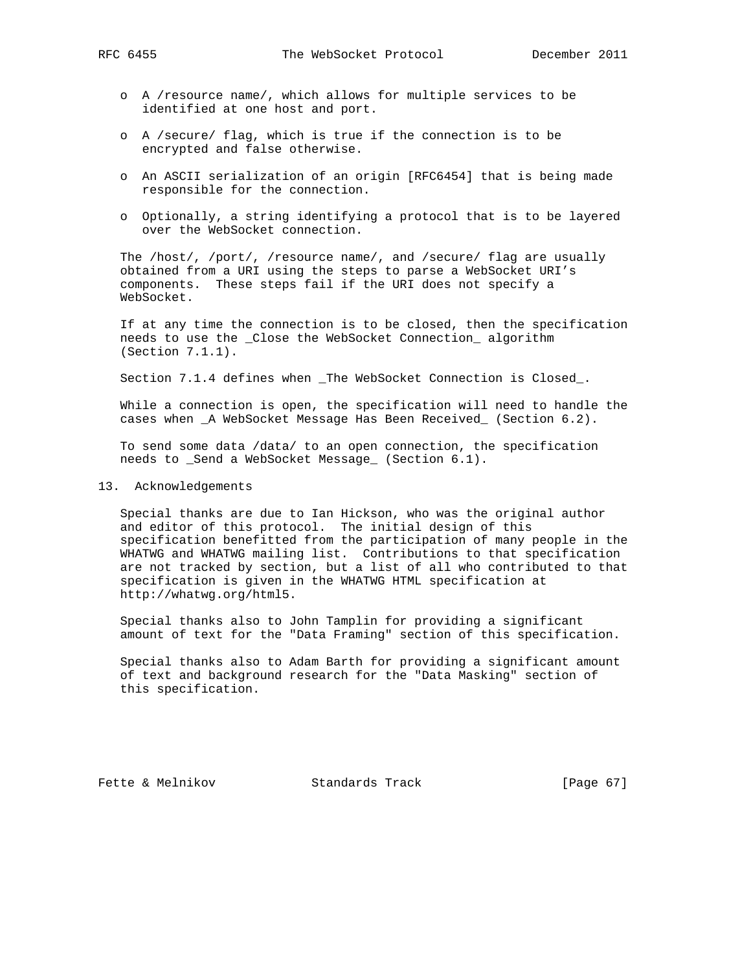- o A /resource name/, which allows for multiple services to be identified at one host and port.
- o A /secure/ flag, which is true if the connection is to be encrypted and false otherwise.
- o An ASCII serialization of an origin [RFC6454] that is being made responsible for the connection.
- o Optionally, a string identifying a protocol that is to be layered over the WebSocket connection.

 The /host/, /port/, /resource name/, and /secure/ flag are usually obtained from a URI using the steps to parse a WebSocket URI's components. These steps fail if the URI does not specify a WebSocket.

 If at any time the connection is to be closed, then the specification needs to use the \_Close the WebSocket Connection\_ algorithm (Section 7.1.1).

Section 7.1.4 defines when \_The WebSocket Connection is Closed\_.

 While a connection is open, the specification will need to handle the cases when \_A WebSocket Message Has Been Received\_ (Section 6.2).

 To send some data /data/ to an open connection, the specification needs to \_Send a WebSocket Message\_ (Section 6.1).

### 13. Acknowledgements

 Special thanks are due to Ian Hickson, who was the original author and editor of this protocol. The initial design of this specification benefitted from the participation of many people in the WHATWG and WHATWG mailing list. Contributions to that specification are not tracked by section, but a list of all who contributed to that specification is given in the WHATWG HTML specification at http://whatwg.org/html5.

 Special thanks also to John Tamplin for providing a significant amount of text for the "Data Framing" section of this specification.

 Special thanks also to Adam Barth for providing a significant amount of text and background research for the "Data Masking" section of this specification.

Fette & Melnikov Standards Track [Page 67]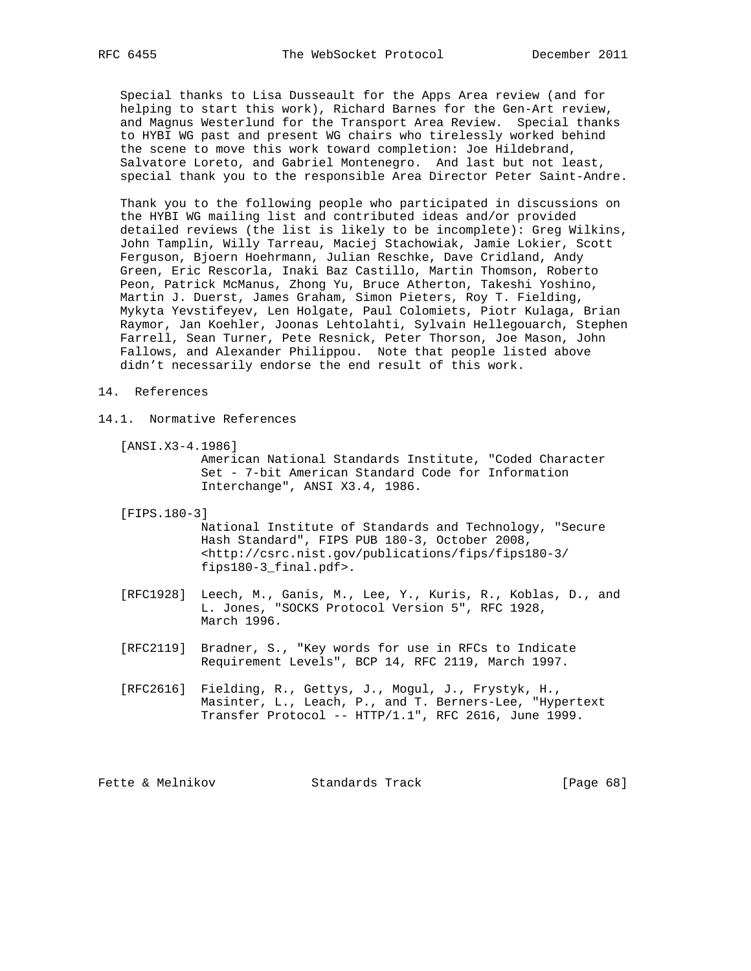Special thanks to Lisa Dusseault for the Apps Area review (and for helping to start this work), Richard Barnes for the Gen-Art review, and Magnus Westerlund for the Transport Area Review. Special thanks to HYBI WG past and present WG chairs who tirelessly worked behind the scene to move this work toward completion: Joe Hildebrand, Salvatore Loreto, and Gabriel Montenegro. And last but not least, special thank you to the responsible Area Director Peter Saint-Andre.

 Thank you to the following people who participated in discussions on the HYBI WG mailing list and contributed ideas and/or provided detailed reviews (the list is likely to be incomplete): Greg Wilkins, John Tamplin, Willy Tarreau, Maciej Stachowiak, Jamie Lokier, Scott Ferguson, Bjoern Hoehrmann, Julian Reschke, Dave Cridland, Andy Green, Eric Rescorla, Inaki Baz Castillo, Martin Thomson, Roberto Peon, Patrick McManus, Zhong Yu, Bruce Atherton, Takeshi Yoshino, Martin J. Duerst, James Graham, Simon Pieters, Roy T. Fielding, Mykyta Yevstifeyev, Len Holgate, Paul Colomiets, Piotr Kulaga, Brian Raymor, Jan Koehler, Joonas Lehtolahti, Sylvain Hellegouarch, Stephen Farrell, Sean Turner, Pete Resnick, Peter Thorson, Joe Mason, John Fallows, and Alexander Philippou. Note that people listed above didn't necessarily endorse the end result of this work.

#### 14. References

- 14.1. Normative References
	- [ANSI.X3-4.1986]

 American National Standards Institute, "Coded Character Set - 7-bit American Standard Code for Information Interchange", ANSI X3.4, 1986.

[FIPS.180-3]

 National Institute of Standards and Technology, "Secure Hash Standard", FIPS PUB 180-3, October 2008, <http://csrc.nist.gov/publications/fips/fips180-3/ fips180-3\_final.pdf>.

- [RFC1928] Leech, M., Ganis, M., Lee, Y., Kuris, R., Koblas, D., and L. Jones, "SOCKS Protocol Version 5", RFC 1928, March 1996.
- [RFC2119] Bradner, S., "Key words for use in RFCs to Indicate Requirement Levels", BCP 14, RFC 2119, March 1997.
- [RFC2616] Fielding, R., Gettys, J., Mogul, J., Frystyk, H., Masinter, L., Leach, P., and T. Berners-Lee, "Hypertext Transfer Protocol -- HTTP/1.1", RFC 2616, June 1999.

Fette & Melnikov Standards Track [Page 68]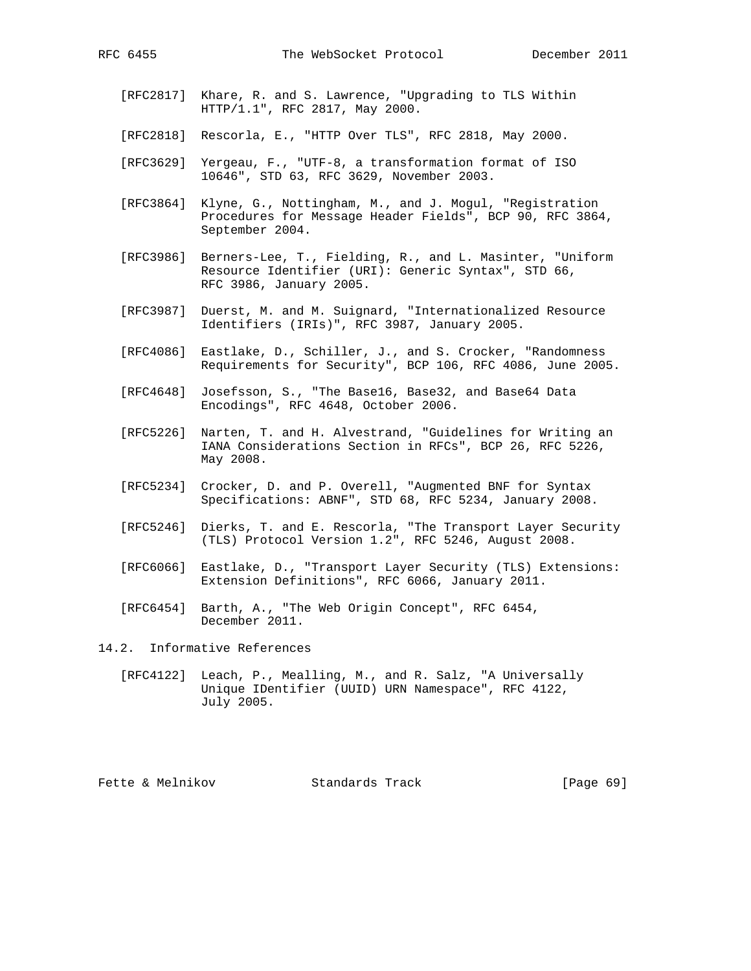- [RFC2817] Khare, R. and S. Lawrence, "Upgrading to TLS Within HTTP/1.1", RFC 2817, May 2000.
- [RFC2818] Rescorla, E., "HTTP Over TLS", RFC 2818, May 2000.
- [RFC3629] Yergeau, F., "UTF-8, a transformation format of ISO 10646", STD 63, RFC 3629, November 2003.
- [RFC3864] Klyne, G., Nottingham, M., and J. Mogul, "Registration Procedures for Message Header Fields", BCP 90, RFC 3864, September 2004.
- [RFC3986] Berners-Lee, T., Fielding, R., and L. Masinter, "Uniform Resource Identifier (URI): Generic Syntax", STD 66, RFC 3986, January 2005.
- [RFC3987] Duerst, M. and M. Suignard, "Internationalized Resource Identifiers (IRIs)", RFC 3987, January 2005.
- [RFC4086] Eastlake, D., Schiller, J., and S. Crocker, "Randomness Requirements for Security", BCP 106, RFC 4086, June 2005.
- [RFC4648] Josefsson, S., "The Base16, Base32, and Base64 Data Encodings", RFC 4648, October 2006.
- [RFC5226] Narten, T. and H. Alvestrand, "Guidelines for Writing an IANA Considerations Section in RFCs", BCP 26, RFC 5226, May 2008.
- [RFC5234] Crocker, D. and P. Overell, "Augmented BNF for Syntax Specifications: ABNF", STD 68, RFC 5234, January 2008.
- [RFC5246] Dierks, T. and E. Rescorla, "The Transport Layer Security (TLS) Protocol Version 1.2", RFC 5246, August 2008.
- [RFC6066] Eastlake, D., "Transport Layer Security (TLS) Extensions: Extension Definitions", RFC 6066, January 2011.
- [RFC6454] Barth, A., "The Web Origin Concept", RFC 6454, December 2011.
- 14.2. Informative References
	- [RFC4122] Leach, P., Mealling, M., and R. Salz, "A Universally Unique IDentifier (UUID) URN Namespace", RFC 4122, July 2005.

Fette & Melnikov Standards Track [Page 69]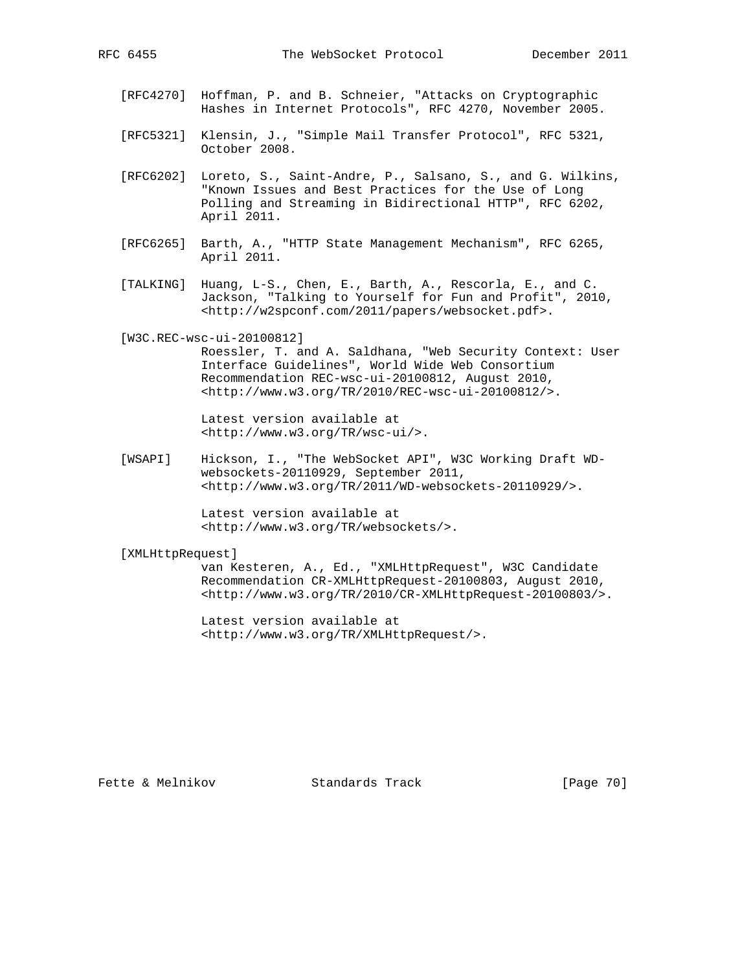- [RFC4270] Hoffman, P. and B. Schneier, "Attacks on Cryptographic Hashes in Internet Protocols", RFC 4270, November 2005.
- [RFC5321] Klensin, J., "Simple Mail Transfer Protocol", RFC 5321, October 2008.
- [RFC6202] Loreto, S., Saint-Andre, P., Salsano, S., and G. Wilkins, "Known Issues and Best Practices for the Use of Long Polling and Streaming in Bidirectional HTTP", RFC 6202, April 2011.
- [RFC6265] Barth, A., "HTTP State Management Mechanism", RFC 6265, April 2011.
- [TALKING] Huang, L-S., Chen, E., Barth, A., Rescorla, E., and C. Jackson, "Talking to Yourself for Fun and Profit", 2010, <http://w2spconf.com/2011/papers/websocket.pdf>.
- [W3C.REC-wsc-ui-20100812]

 Roessler, T. and A. Saldhana, "Web Security Context: User Interface Guidelines", World Wide Web Consortium Recommendation REC-wsc-ui-20100812, August 2010, <http://www.w3.org/TR/2010/REC-wsc-ui-20100812/>.

 Latest version available at <http://www.w3.org/TR/wsc-ui/>.

 [WSAPI] Hickson, I., "The WebSocket API", W3C Working Draft WD websockets-20110929, September 2011, <http://www.w3.org/TR/2011/WD-websockets-20110929/>.

> Latest version available at <http://www.w3.org/TR/websockets/>.

# [XMLHttpRequest]

 van Kesteren, A., Ed., "XMLHttpRequest", W3C Candidate Recommendation CR-XMLHttpRequest-20100803, August 2010, <http://www.w3.org/TR/2010/CR-XMLHttpRequest-20100803/>.

 Latest version available at <http://www.w3.org/TR/XMLHttpRequest/>.

Fette & Melnikov Standards Track [Page 70]